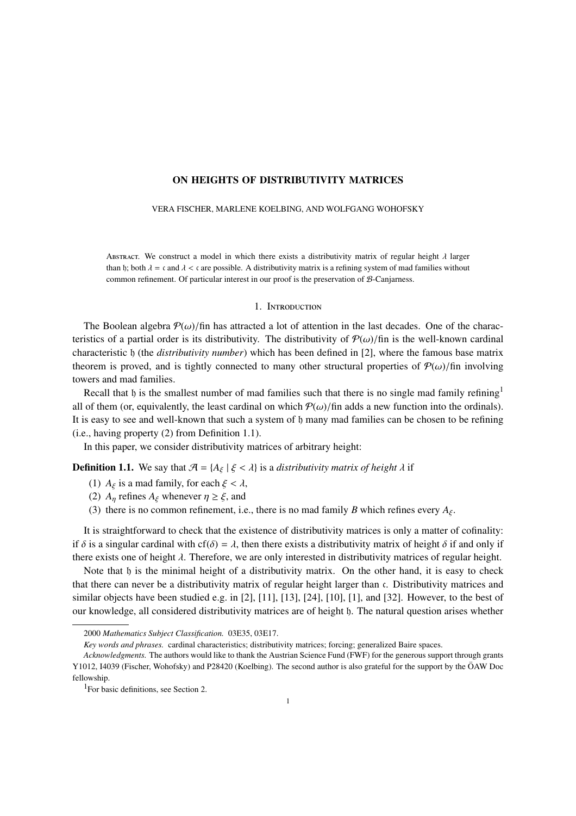## ON HEIGHTS OF DISTRIBUTIVITY MATRICES

VERA FISCHER, MARLENE KOELBING, AND WOLFGANG WOHOFSKY

ABSTRACT. We construct a model in which there exists a distributivity matrix of regular height  $\lambda$  larger than h; both  $\lambda = \mathfrak{c}$  and  $\lambda < \mathfrak{c}$  are possible. A distributivity matrix is a refining system of mad families without common refinement. Of particular interest in our proof is the preservation of B-Canjarness.

## 1. Introduction

The Boolean algebra  $\mathcal{P}(\omega)/\text{fin}$  has attracted a lot of attention in the last decades. One of the characteristics of a partial order is its distributivity. The distributivity of  $\mathcal{P}(\omega)/\text{fin}$  is the well-known cardinal characteristic h (the *distributivity number*) which has been defined in [2], where the famous base matrix theorem is proved, and is tightly connected to many other structural properties of  $\mathcal{P}(\omega)/\text{fin}$  involving towers and mad families.

Recall that h is the smallest number of mad families such that there is no single mad family refining<sup>1</sup> all of them (or, equivalently, the least cardinal on which  $P(\omega)/\text{fin}$  adds a new function into the ordinals). It is easy to see and well-known that such a system of h many mad families can be chosen to be refining (i.e., having property (2) from Definition 1.1).

In this paper, we consider distributivity matrices of arbitrary height:

**Definition 1.1.** We say that  $\mathcal{A} = \{A_{\xi} \mid \xi < \lambda\}$  is a *distributivity matrix of height*  $\lambda$  if

- (1)  $A_{\xi}$  is a mad family, for each  $\xi < \lambda$ ,
- (2)  $A_n$  refines  $A_\xi$  whenever  $\eta \geq \xi$ , and
- (3) there is no common refinement, i.e., there is no mad family *B* which refines every  $A_{\xi}$ .

It is straightforward to check that the existence of distributivity matrices is only a matter of cofinality: if  $\delta$  is a singular cardinal with cf( $\delta$ ) =  $\lambda$ , then there exists a distributivity matrix of height  $\delta$  if and only if there exists one of height  $\lambda$ . Therefore, we are only interested in distributivity matrices of regular height.

Note that h is the minimal height of a distributivity matrix. On the other hand, it is easy to check that there can never be a distributivity matrix of regular height larger than c. Distributivity matrices and similar objects have been studied e.g. in [2], [11], [13], [24], [10], [1], and [32]. However, to the best of our knowledge, all considered distributivity matrices are of height h. The natural question arises whether

<sup>2000</sup> *Mathematics Subject Classification.* 03E35, 03E17.

*Key words and phrases.* cardinal characteristics; distributivity matrices; forcing; generalized Baire spaces.

*Acknowledgments.* The authors would like to thank the Austrian Science Fund (FWF) for the generous support through grants Y1012, I4039 (Fischer, Wohofsky) and P28420 (Koelbing). The second author is also grateful for the support by the OAW Doc ¨ fellowship.

<sup>&</sup>lt;sup>1</sup>For basic definitions, see Section 2.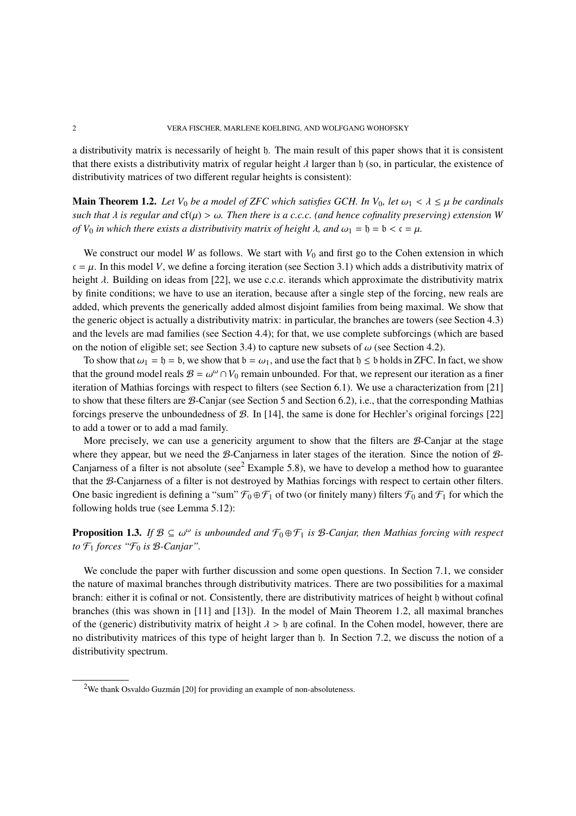a distributivity matrix is necessarily of height h. The main result of this paper shows that it is consistent that there exists a distributivity matrix of regular height  $\lambda$  larger than h (so, in particular, the existence of distributivity matrices of two different regular heights is consistent):

**Main Theorem 1.2.** Let  $V_0$  be a model of ZFC which satisfies GCH. In  $V_0$ , let  $\omega_1 < \lambda \leq \mu$  be cardinals *such that*  $\lambda$  *is regular and*  $cf(\mu) > \omega$ . Then there is a c.c.c. (and hence cofinality preserving) extension W *of*  $V_0$  *in which there exists a distributivity matrix of height*  $\lambda$ , and  $\omega_1 = \mathfrak{h} = \mathfrak{b} < \mathfrak{c} = \mu$ .

We construct our model *W* as follows. We start with  $V_0$  and first go to the Cohen extension in which  $c = \mu$ . In this model *V*, we define a forcing iteration (see Section 3.1) which adds a distributivity matrix of height  $\lambda$ . Building on ideas from [22], we use c.c.c. iterands which approximate the distributivity matrix by finite conditions; we have to use an iteration, because after a single step of the forcing, new reals are added, which prevents the generically added almost disjoint families from being maximal. We show that the generic object is actually a distributivity matrix: in particular, the branches are towers (see Section 4.3) and the levels are mad families (see Section 4.4); for that, we use complete subforcings (which are based on the notion of eligible set; see Section 3.4) to capture new subsets of  $\omega$  (see Section 4.2).

To show that  $\omega_1 = b = b$ , we show that  $b = \omega_1$ , and use the fact that  $b \le b$  holds in ZFC. In fact, we show that the ground model reals  $B = \omega^{\omega} \cap V_0$  remain unbounded. For that, we represent our iteration as a finer iteration of Mathias forcings with respect to filters (see Section 6.1). We use a characterization from [21] to show that these filters are B-Canjar (see Section 5 and Section 6.2), i.e., that the corresponding Mathias forcings preserve the unboundedness of B. In [14], the same is done for Hechler's original forcings [22] to add a tower or to add a mad family.

More precisely, we can use a genericity argument to show that the filters are B-Canjar at the stage where they appear, but we need the B-Canjarness in later stages of the iteration. Since the notion of B-Canjarness of a filter is not absolute (see<sup>2</sup> Example 5.8), we have to develop a method how to guarantee that the B-Canjarness of a filter is not destroyed by Mathias forcings with respect to certain other filters. One basic ingredient is defining a "sum"  $\mathcal{F}_0 \oplus \mathcal{F}_1$  of two (or finitely many) filters  $\mathcal{F}_0$  and  $\mathcal{F}_1$  for which the following holds true (see Lemma 5.12):

**Proposition 1.3.** *If*  $\mathcal{B} \subseteq \omega^{\omega}$  *is unbounded and*  $\mathcal{F}_0 \oplus \mathcal{F}_1$  *is*  $\mathcal{B}$ -Canjar, then Mathias forcing with respect *to*  $\mathcal{F}_1$  *forces* " $\mathcal{F}_0$  *is*  $\mathcal{B}$ *-Canjar*".

We conclude the paper with further discussion and some open questions. In Section 7.1, we consider the nature of maximal branches through distributivity matrices. There are two possibilities for a maximal branch: either it is cofinal or not. Consistently, there are distributivity matrices of height h without cofinal branches (this was shown in [11] and [13]). In the model of Main Theorem 1.2, all maximal branches of the (generic) distributivity matrix of height  $\lambda > 0$  are cofinal. In the Cohen model, however, there are no distributivity matrices of this type of height larger than h. In Section 7.2, we discuss the notion of a distributivity spectrum.

<sup>&</sup>lt;sup>2</sup>We thank Osvaldo Guzmán [20] for providing an example of non-absoluteness.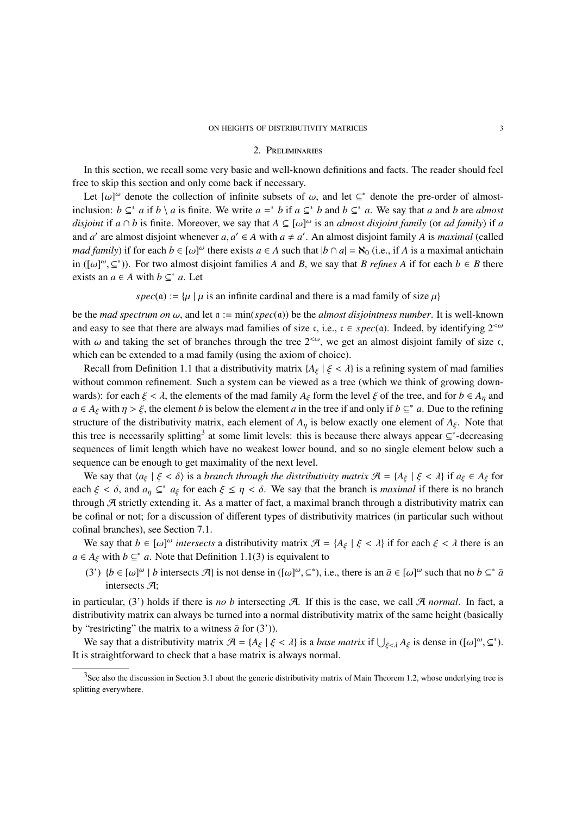#### 2. Preliminaries

In this section, we recall some very basic and well-known definitions and facts. The reader should feel free to skip this section and only come back if necessary.

Let  $[\omega]^\omega$  denote the collection of infinite subsets of  $\omega$ , and let  $\subseteq^*$  denote the pre-order of almostinclusion:  $b \subseteq a$  if  $b \setminus a$  is finite. We write  $a = a \bmod b$   $\subseteq a$  *b* and  $b \subseteq a$ . We say that *a* and *b* are *almost disjoint* if  $a \cap b$  is finite. Moreover, we say that  $A \subseteq [\omega]^{\omega}$  is an *almost disjoint family* (or *ad family*) if *a* and *a'* are almost disjoint whenever  $a, a' \in A$  with  $a \neq a'$ . An almost disjoint family *A* is *maximal* (called *mad family*) if for each  $b \in [\omega]^\omega$  there exists  $a \in A$  such that  $|b \cap a| = \aleph_0$  (i.e., if *A* is a maximal antichain in  $([\omega]^\omega, \subseteq^*)$ ). For two almost disjoint families *A* and *B*, we say that *B refines A* if for each  $b \in B$  there exists an  $a \in A$  with  $b \subseteq^* a$ . Let

 $spec(\mathfrak{a}) := \{ \mu \mid \mu \text{ is an infinite cardinal and there is a mad family of size } \mu \}$ 

be the *mad spectrum on*  $\omega$ , and let  $\alpha := min(spec(\alpha))$  be the *almost disjointness number*. It is well-known and easy to see that there are always mad families of size c, i.e.,  $c \in spec(a)$ . Indeed, by identifying  $2^{<\omega}$ with  $\omega$  and taking the set of branches through the tree  $2<sup>{<</sup>\omega}$ , we get an almost disjoint family of size c, which can be extended to a mad family (using the axiom of choice).

Recall from Definition 1.1 that a distributivity matrix  ${A_\xi \mid \xi < \lambda}$  is a refining system of mad families without common refinement. Such a system can be viewed as a tree (which we think of growing downwards): for each  $\xi < \lambda$ , the elements of the mad family  $A_{\xi}$  form the level  $\xi$  of the tree, and for  $b \in A_n$  and  $a \in A_{\xi}$  with  $\eta > \xi$ , the element *b* is below the element *a* in the tree if and only if  $b \subseteq^* a$ . Due to the refining structure of the distributivity matrix, each element of  $A_n$  is below exactly one element of  $A_\xi$ . Note that this tree is necessarily splitting<sup>3</sup> at some limit levels: this is because there always appear  $\subseteq^*$ -decreasing sequences of limit length which have no weakest lower bound, and so no single element below such a sequence can be enough to get maximality of the next level.

We say that  $\langle a_{\xi} | \xi < \delta \rangle$  is a *branch through the distributivity matrix*  $\mathcal{A} = \{A_{\xi} | \xi < \lambda\}$  if  $a_{\xi} \in A_{\xi}$  for each  $\xi < \delta$ , and  $a_{\eta} \subseteq^* a_{\xi}$  for each  $\xi \leq \eta < \delta$ . We say that the branch is *maximal* if there is no branch through  $A$  strictly extending it. As a matter of fact, a maximal branch through a distributivity matrix can be cofinal or not; for a discussion of different types of distributivity matrices (in particular such without cofinal branches), see Section 7.1.

We say that  $b \in [\omega]^\omega$  *intersects* a distributivity matrix  $\mathcal{A} = \{A_\xi \mid \xi < \lambda\}$  if for each  $\xi < \lambda$  there is an  $a \in A_{\xi}$  with  $b \subseteq^* a$ . Note that Definition 1.1(3) is equivalent to

(3<sup>'</sup>)  $\{b \in [\omega]^{\omega} \mid b \text{ intersects } \mathcal{A}\}\)$  is not dense in  $([\omega]^{\omega}, \subseteq^*)$ , i.e., there is an  $\bar{a} \in [\omega]^{\omega}$  such that no  $b \subseteq^* \bar{a}$ intersects A;

in particular,  $(3')$  holds if there is *no b* intersecting A. If this is the case, we call A *normal*. In fact, a distributivity matrix can always be turned into a normal distributivity matrix of the same height (basically by "restricting" the matrix to a witness  $\bar{a}$  for (3')).

We say that a distributivity matrix  $\mathcal{A} = \{A_{\xi} \mid \xi < \lambda\}$  is a *base matrix* if  $\bigcup_{\xi < \lambda} A_{\xi}$  is dense in  $([\omega]^{\omega}, \subseteq^*).$ It is straightforward to check that a base matrix is always normal.

 $3$ See also the discussion in Section 3.1 about the generic distributivity matrix of Main Theorem 1.2, whose underlying tree is splitting everywhere.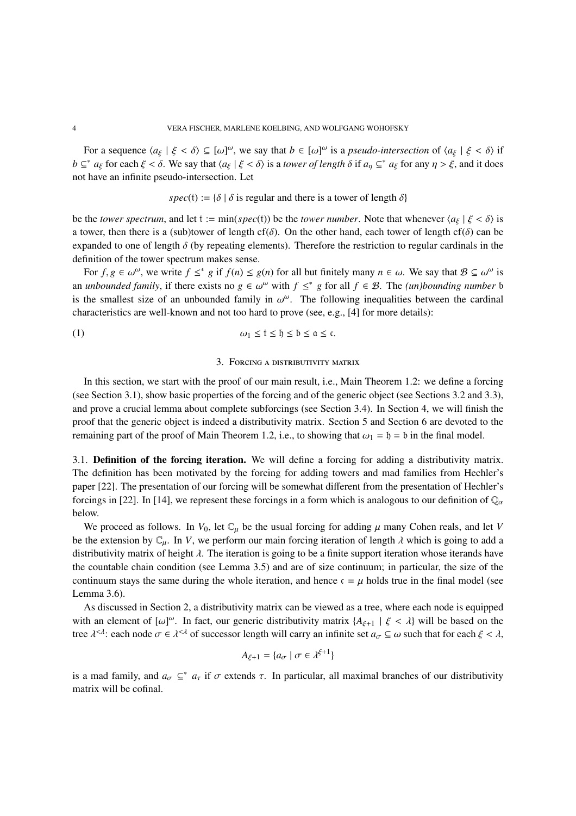For a sequence  $\langle a_{\xi} | \xi < \delta \rangle \subseteq [\omega]^{\omega}$ , we say that  $b \in [\omega]^{\omega}$  is a *pseudo-intersection* of  $\langle a_{\xi} | \xi < \delta \rangle$  if  $b \subseteq^* a_{\xi}$  for each  $\xi < \delta$ . We say that  $\langle a_{\xi} | \xi < \delta \rangle$  is a *tower of length*  $\delta$  if  $a_n \subseteq^* a_{\xi}$  for any  $\eta > \xi$ , and it does not have an infinite pseudo-intersection. Let

*spec*(t) := { $\delta$  |  $\delta$  is regular and there is a tower of length  $\delta$ }

be the *tower spectrum*, and let  $t := min(spec(t))$  be the *tower number*. Note that whenever  $\langle a_{\xi} | \xi < \delta \rangle$  is a tower, then there is a (sub)tower of length cf( $\delta$ ). On the other hand, each tower of length cf( $\delta$ ) can be expanded to one of length  $\delta$  (by repeating elements). Therefore the restriction to regular cardinals in the definition of the tower spectrum makes sense.

For  $f, g \in \omega^{\omega}$ , we write  $f \leq^* g$  if  $f(n) \leq g(n)$  for all but finitely many  $n \in \omega$ . We say that  $\mathcal{B} \subseteq \omega^{\omega}$  is an *unbounded family*, if there exists no  $g \in \omega^\omega$  with  $f \leq^* g$  for all  $f \in \mathcal{B}$ . The *(un)bounding number* b is the smallest size of an unbounded family in  $\omega^{\omega}$ . The following inequalities between the cardinal characteristics are well-known and not too hard to prove (see, e.g., [4] for more details):

$$
\omega_1 \leq t \leq \mathfrak{h} \leq \mathfrak{b} \leq \mathfrak{a} \leq \mathfrak{c}.
$$

#### 3. Forcing a distributivity matrix

In this section, we start with the proof of our main result, i.e., Main Theorem 1.2: we define a forcing (see Section 3.1), show basic properties of the forcing and of the generic object (see Sections 3.2 and 3.3), and prove a crucial lemma about complete subforcings (see Section 3.4). In Section 4, we will finish the proof that the generic object is indeed a distributivity matrix. Section 5 and Section 6 are devoted to the remaining part of the proof of Main Theorem 1.2, i.e., to showing that  $\omega_1 = \mathfrak{h} = \mathfrak{b}$  in the final model.

3.1. Definition of the forcing iteration. We will define a forcing for adding a distributivity matrix. The definition has been motivated by the forcing for adding towers and mad families from Hechler's paper [22]. The presentation of our forcing will be somewhat different from the presentation of Hechler's forcings in [22]. In [14], we represent these forcings in a form which is analogous to our definition of  $\mathbb{Q}_\alpha$ below.

We proceed as follows. In  $V_0$ , let  $\mathbb{C}_{\mu}$  be the usual forcing for adding  $\mu$  many Cohen reals, and let *V* be the extension by  $\mathbb{C}_{\mu}$ . In *V*, we perform our main forcing iteration of length  $\lambda$  which is going to add a distributivity matrix of height  $\lambda$ . The iteration is going to be a finite support iteration whose iterands have the countable chain condition (see Lemma 3.5) and are of size continuum; in particular, the size of the continuum stays the same during the whole iteration, and hence  $c = \mu$  holds true in the final model (see Lemma 3.6).

As discussed in Section 2, a distributivity matrix can be viewed as a tree, where each node is equipped with an element of  $[\omega]^\omega$ . In fact, our generic distributivity matrix  $\{A_{\xi+1} | \xi < \lambda\}$  will be based on the tree  $\lambda^{\leq \lambda}$ : each node  $\sigma \in \lambda^{\leq \lambda}$  of successor length will carry an infinite set  $a_{\sigma} \subseteq \omega$  such that for each  $\xi < \lambda$ ,

$$
A_{\xi+1} = \{a_{\sigma} \mid \sigma \in \lambda^{\xi+1}\}
$$

is a mad family, and  $a_{\sigma} \subseteq^* a_{\tau}$  if  $\sigma$  extends  $\tau$ . In particular, all maximal branches of our distributivity matrix will be cofinal.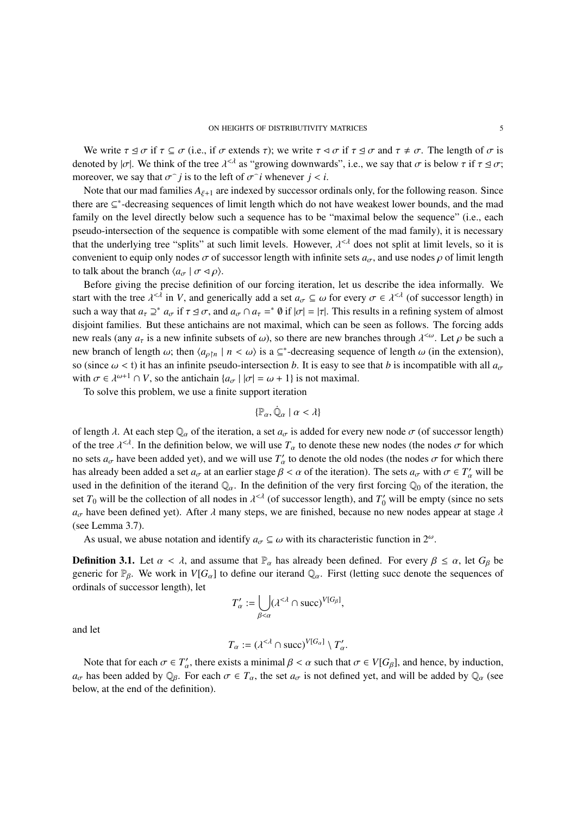We write  $\tau \leq \sigma$  if  $\tau \subseteq \sigma$  (i.e., if  $\sigma$  extends  $\tau$ ); we write  $\tau \leq \sigma$  if  $\tau \leq \sigma$  and  $\tau \neq \sigma$ . The length of  $\sigma$  is denoted by  $|\sigma|$ . We think of the tree  $\lambda^{< \lambda}$  as "growing downwards", i.e., we say that  $\sigma$  is below  $\tau$  if  $\tau \leq \sigma$ ; moreover, we say that  $\sigma$ <sup> $\hat{i}$  is to the left of  $\sigma$ <sup> $\hat{i}$ </sup> whenever  $\hat{i}$  <  $\hat{i}$ .</sup>

Note that our mad families  $A_{\ell+1}$  are indexed by successor ordinals only, for the following reason. Since there are ⊆\*-decreasing sequences of limit length which do not have weakest lower bounds, and the mad family on the level directly below such a sequence has to be "maximal below the sequence" (i.e., each pseudo-intersection of the sequence is compatible with some element of the mad family), it is necessary that the underlying tree "splits" at such limit levels. However,  $\lambda^{< \lambda}$  does not split at limit levels, so it is convenient to equip only nodes  $\sigma$  of successor length with infinite sets  $a_{\sigma}$ , and use nodes  $\rho$  of limit length to talk about the branch  $\langle a_{\sigma} | \sigma \triangleleft \rho \rangle$ .

Before giving the precise definition of our forcing iteration, let us describe the idea informally. We start with the tree  $\lambda^{< \lambda}$  in *V*, and generically add a set  $a_{\sigma} \subseteq \omega$  for every  $\sigma \in \lambda^{< \lambda}$  (of successor length) in such a way that  $a_{\tau} \supseteq^* a_{\sigma}$  if  $\tau \supseteq \sigma$ , and  $a_{\sigma} \cap a_{\tau} = \emptyset$  if  $|\sigma| = |\tau|$ . This results in a refining system of almost disjoint families. But these antichains are not maximal, which can be seen as follows. The forcing adds new reals (any  $a<sub>r</sub>$  is a new infinite subsets of  $\omega$ ), so there are new branches through  $\lambda^{<\omega}$ . Let  $\rho$  be such a new branch of length  $\omega$ ; then  $\langle a_{\rho}\rangle$ <sub>n</sub> |  $n < \omega$ } is a  $\subseteq^*$ -decreasing sequence of length  $\omega$  (in the extension), so (since  $\omega <$  t) it has an infinite pseudo-intersection *b*. It is easy to see that *b* is incompatible with all  $a_{\sigma}$ with  $\sigma \in \lambda^{\omega+1} \cap V$ , so the antichain  $\{a_{\sigma} \mid |\sigma| = \omega + 1\}$  is not maximal.

To solve this problem, we use a finite support iteration

$$
\{\mathbb{P}_{\alpha},\dot{\mathbb{Q}}_{\alpha}\mid\alpha<\lambda\}
$$

of length  $\lambda$ . At each step  $\mathbb{Q}_\alpha$  of the iteration, a set  $a_\sigma$  is added for every new node  $\sigma$  (of successor length) of the tree  $\lambda^{< \lambda}$ . In the definition below, we will use  $T_\alpha$  to denote these new nodes (the nodes  $\sigma$  for which no sets  $a_{\sigma}$  have been added yet), and we will use  $T'_{\alpha}$  to denote the old nodes (the nodes  $\sigma$  for which there has already been added a set  $a_{\sigma}$  at an earlier stage  $\beta < \alpha$  of the iteration). The sets  $a_{\sigma}$  with  $\sigma \in T'_\alpha$  will be used in the definition of the iterand  $\mathbb{Q}_\alpha$ . In the definition of the very first forcing  $\mathbb{Q}_0$  of the iteration, the set  $T_0$  will be the collection of all nodes in  $\lambda^{< \lambda}$  (of successor length), and  $T'_0$  will be empty (since no sets  $a_{\sigma}$  have been defined yet). After  $\lambda$  many steps, we are finished, because no new nodes appear at stage  $\lambda$ (see Lemma 3.7).

As usual, we abuse notation and identify  $a_{\sigma} \subseteq \omega$  with its characteristic function in  $2^{\omega}$ .

**Definition 3.1.** Let  $\alpha < \lambda$ , and assume that  $\mathbb{P}_{\alpha}$  has already been defined. For every  $\beta \leq \alpha$ , let  $G_{\beta}$  be generic for  $\mathbb{P}_{\beta}$ . We work in *V*[*G*<sub> $\alpha$ </sub>] to define our iterand  $\mathbb{Q}_{\alpha}$ . First (letting succ denote the sequences of ordinals of successor length), let

$$
T'_{\alpha} := \bigcup_{\beta < \alpha} (\lambda^{<\lambda} \cap \text{succ})^{V[G_{\beta}]},
$$

and let

$$
T_{\alpha} := (\lambda^{<\lambda} \cap \text{succ})^{V[G_{\alpha}]} \setminus T'_{\alpha}.
$$

Note that for each  $\sigma \in T'_\alpha$ , there exists a minimal  $\beta < \alpha$  such that  $\sigma \in V[G_\beta]$ , and hence, by induction,  $a_{\sigma}$  has been added by  $\mathbb{Q}_{\beta}$ . For each  $\sigma \in T_{\alpha}$ , the set  $a_{\sigma}$  is not defined yet, and will be added by  $\mathbb{Q}_{\alpha}$  (see below, at the end of the definition).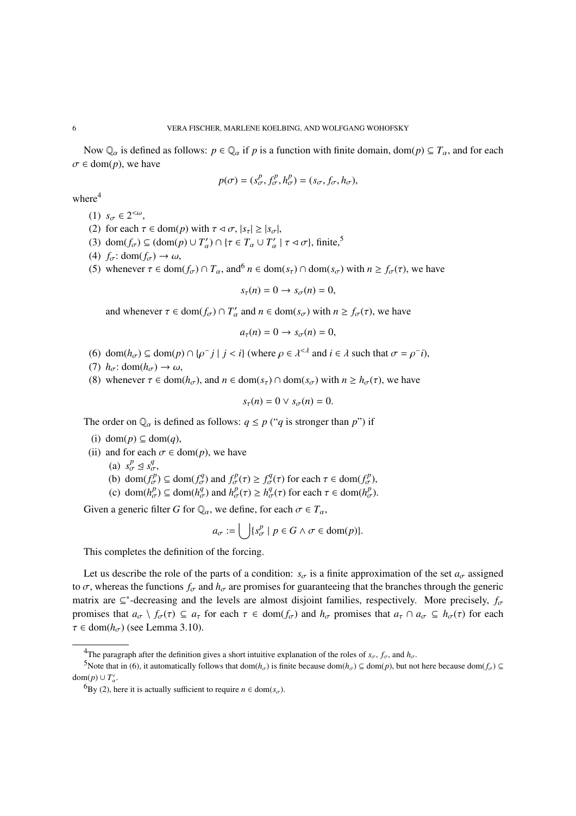Now  $\mathbb{Q}_\alpha$  is defined as follows:  $p \in \mathbb{Q}_\alpha$  if *p* is a function with finite domain, dom(*p*)  $\subseteq T_\alpha$ , and for each  $\sigma \in \text{dom}(p)$ , we have

$$
p(\sigma)=(s^p_\sigma,f^p_\sigma,h^p_\sigma)=(s_\sigma,f_\sigma,h_\sigma),
$$

where $4$ 

- (1)  $s_{\sigma} \in 2^{<\omega}$ ,
- (2) for each  $\tau \in \text{dom}(p)$  with  $\tau \lhd \sigma$ ,  $|s_\tau| \geq |s_\sigma|$ ,
- (3) dom $(f_{\sigma}) \subseteq (\text{dom}(p) \cup T'_{\alpha}) \cap {\tau \in T_{\alpha} \cup T'_{\alpha} \mid \tau \triangleleft \sigma}$ , finite,<sup>5</sup>
- (4)  $f_{\sigma}$ : dom( $f_{\sigma}$ )  $\rightarrow \omega$ ,
- (5) whenever  $\tau \in \text{dom}(f_{\sigma}) \cap T_{\alpha}$ , and  $^6 n \in \text{dom}(s_{\tau}) \cap \text{dom}(s_{\sigma})$  with  $n \geq f_{\sigma}(\tau)$ , we have

$$
s_{\tau}(n)=0\rightarrow s_{\sigma}(n)=0,
$$

and whenever  $\tau \in \text{dom}(f_{\sigma}) \cap T'_{\alpha}$  and  $n \in \text{dom}(s_{\sigma})$  with  $n \ge f_{\sigma}(\tau)$ , we have

$$
a_{\tau}(n)=0\rightarrow s_{\sigma}(n)=0,
$$

- (6) dom( $h_{\sigma}$ )  $\subseteq$  dom( $p$ )  $\cap$  { $\rho^{\frown} j$  |  $j < i$ } (where  $\rho \in \lambda^{<\lambda}$  and  $i \in \lambda$  such that  $\sigma = \rho^{\frown} i$ ),
- (7)  $h_{\sigma}$ : dom( $h_{\sigma}$ )  $\rightarrow \omega$ ,
- (8) whenever  $\tau \in \text{dom}(h_{\sigma})$ , and  $n \in \text{dom}(s_{\tau}) \cap \text{dom}(s_{\sigma})$  with  $n \geq h_{\sigma}(\tau)$ , we have

$$
s_{\tau}(n)=0 \vee s_{\sigma}(n)=0.
$$

The order on  $\mathbb{Q}_\alpha$  is defined as follows:  $q \leq p$  ("*q* is stronger than *p*") if

- (i) dom( $p$ )  $\subseteq$  dom( $q$ ),
- (ii) and for each  $\sigma \in \text{dom}(p)$ , we have
	- (a)  $s^p_{\sigma} \leq s^q_{\sigma}$ ,
	- (b) dom $(f_{\sigma}^p) \subseteq \text{dom}(f_{\sigma}^q)$  and  $f_{\sigma}^p(\tau) \ge f_{\sigma}^q(\tau)$  for each  $\tau \in \text{dom}(f_{\sigma}^p)$ ,
	- (c) dom $(h_{\sigma}^p) \subseteq \text{dom}(h_{\sigma}^q)$  and  $h_{\sigma}^p(\tau) \ge h_{\sigma}^q(\tau)$  for each  $\tau \in \text{dom}(h_{\sigma}^p)$ .

Given a generic filter *G* for  $\mathbb{Q}_\alpha$ , we define, for each  $\sigma \in T_\alpha$ ,

$$
a_{\sigma} := \bigcup \{ s_{\sigma}^p \mid p \in G \land \sigma \in \text{dom}(p) \}.
$$

This completes the definition of the forcing.

Let us describe the role of the parts of a condition:  $s_{\sigma}$  is a finite approximation of the set  $a_{\sigma}$  assigned to  $\sigma$ , whereas the functions  $f_{\sigma}$  and  $h_{\sigma}$  are promises for guaranteeing that the branches through the generic matrix are  $\subseteq^*$ -decreasing and the levels are almost disjoint families, respectively. More precisely,  $f_{\sigma}$ promises that  $a_{\sigma} \setminus f_{\sigma}(\tau) \subseteq a_{\tau}$  for each  $\tau \in \text{dom}(f_{\sigma})$  and  $h_{\sigma}$  promises that  $a_{\tau} \cap a_{\sigma} \subseteq h_{\sigma}(\tau)$  for each  $\tau \in \text{dom}(h_{\sigma})$  (see Lemma 3.10).

<sup>&</sup>lt;sup>4</sup>The paragraph after the definition gives a short intuitive explanation of the roles of  $s_{\sigma}$ ,  $f_{\sigma}$ , and  $h_{\sigma}$ .

<sup>5</sup> Note that in (6), it automatically follows that dom( $h_{\sigma}$ ) is finite because dom( $h_{\sigma}$ )  $\subseteq$  dom(*p*), but not here because dom( $f_{\sigma}$ )  $\subseteq$ dom $(p) \cup T'_\alpha$ .

<sup>&</sup>lt;sup>6</sup>By (2), here it is actually sufficient to require  $n \in \text{dom}(s_{\sigma})$ .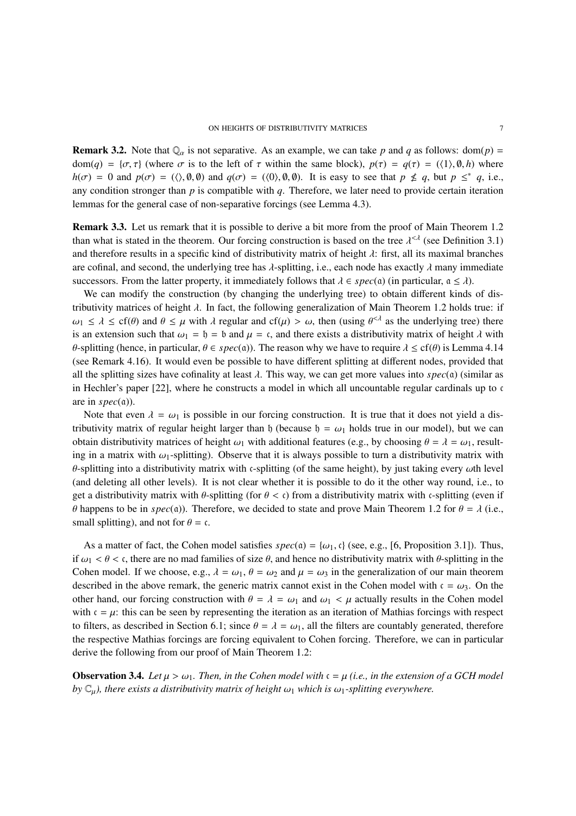**Remark 3.2.** Note that  $\mathbb{Q}_\alpha$  is not separative. As an example, we can take p and q as follows: dom(p) =  $dom(q) = {\sigma, \tau}$  (where  $\sigma$  is to the left of  $\tau$  within the same block),  $p(\tau) = q(\tau) = (\langle 1 \rangle, \emptyset, h)$  where  $h(\sigma) = 0$  and  $p(\sigma) = (\langle \rangle, \emptyset, \emptyset)$  and  $q(\sigma) = (\langle 0 \rangle, \emptyset, \emptyset)$ . It is easy to see that  $p \nleq q$ , but  $p \leq q$ , i.e., any condition stronger than *p* is compatible with *q*. Therefore, we later need to provide certain iteration lemmas for the general case of non-separative forcings (see Lemma 4.3).

Remark 3.3. Let us remark that it is possible to derive a bit more from the proof of Main Theorem 1.2 than what is stated in the theorem. Our forcing construction is based on the tree  $\lambda^{\leq \lambda}$  (see Definition 3.1) and therefore results in a specific kind of distributivity matrix of height  $\lambda$ : first, all its maximal branches are cofinal, and second, the underlying tree has  $\lambda$ -splitting, i.e., each node has exactly  $\lambda$  many immediate successors. From the latter property, it immediately follows that  $\lambda \in spec(a)$  (in particular,  $a \leq \lambda$ ).

We can modify the construction (by changing the underlying tree) to obtain different kinds of distributivity matrices of height  $\lambda$ . In fact, the following generalization of Main Theorem 1.2 holds true: if  $\omega_1 \leq \lambda \leq cf(\theta)$  and  $\theta \leq \mu$  with  $\lambda$  regular and  $cf(\mu) > \omega$ , then (using  $\theta^{<\lambda}$  as the underlying tree) there is an extension such that  $\omega_1 = \mathfrak{h} = \mathfrak{b}$  and  $\mu = \mathfrak{c}$ , and there exists a distributivity matrix of height  $\lambda$  with  $\theta$ -splitting (hence, in particular,  $\theta \in spec(a)$ ). The reason why we have to require  $\lambda \leq cf(\theta)$  is Lemma 4.14 (see Remark 4.16). It would even be possible to have different splitting at different nodes, provided that all the splitting sizes have cofinality at least  $\lambda$ . This way, we can get more values into *spec*(a) (similar as in Hechler's paper [22], where he constructs a model in which all uncountable regular cardinals up to c are in *spec*(a)).

Note that even  $\lambda = \omega_1$  is possible in our forcing construction. It is true that it does not yield a distributivity matrix of regular height larger than h (because  $h = \omega_1$  holds true in our model), but we can obtain distributivity matrices of height  $\omega_1$  with additional features (e.g., by choosing  $\theta = \lambda = \omega_1$ , resulting in a matrix with  $\omega_1$ -splitting). Observe that it is always possible to turn a distributivity matrix with  $\theta$ -splitting into a distributivity matrix with c-splitting (of the same height), by just taking every  $\omega$ th level (and deleting all other levels). It is not clear whether it is possible to do it the other way round, i.e., to get a distributivity matrix with  $\theta$ -splitting (for  $\theta < \epsilon$ ) from a distributivity matrix with c-splitting (even if  $\theta$  happens to be in *spec*(a)). Therefore, we decided to state and prove Main Theorem 1.2 for  $\theta = \lambda$  (i.e., small splitting), and not for  $\theta = \mathfrak{c}$ .

As a matter of fact, the Cohen model satisfies  $spec(a) = \{\omega_1, c\}$  (see, e.g., [6, Proposition 3.1]). Thus, if  $\omega_1 < \theta < \zeta$ , there are no mad families of size  $\theta$ , and hence no distributivity matrix with  $\theta$ -splitting in the Cohen model. If we choose, e.g.,  $\lambda = \omega_1$ ,  $\theta = \omega_2$  and  $\mu = \omega_3$  in the generalization of our main theorem described in the above remark, the generic matrix cannot exist in the Cohen model with  $c = \omega_3$ . On the other hand, our forcing construction with  $\theta = \lambda = \omega_1$  and  $\omega_1 < \mu$  actually results in the Cohen model with  $c = \mu$ : this can be seen by representing the iteration as an iteration of Mathias forcings with respect to filters, as described in Section 6.1; since  $\theta = \lambda = \omega_1$ , all the filters are countably generated, therefore the respective Mathias forcings are forcing equivalent to Cohen forcing. Therefore, we can in particular derive the following from our proof of Main Theorem 1.2:

**Observation 3.4.** *Let*  $\mu > \omega_1$ *. Then, in the Cohen model with*  $\zeta = \mu$  *(i.e., in the extension of a GCH model by*  $\mathbb{C}_{\mu}$ *), there exists a distributivity matrix of height*  $\omega_1$  *which is*  $\omega_1$ *-splitting everywhere.*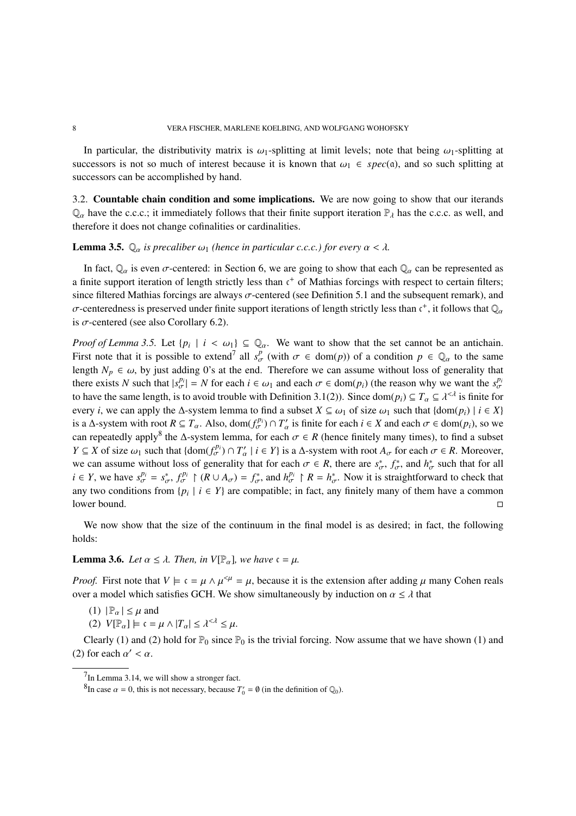In particular, the distributivity matrix is  $\omega_1$ -splitting at limit levels; note that being  $\omega_1$ -splitting at successors is not so much of interest because it is known that  $\omega_1 \in spec(a)$ , and so such splitting at successors can be accomplished by hand.

3.2. Countable chain condition and some implications. We are now going to show that our iterands  $\mathbb{Q}_\alpha$  have the c.c.c.; it immediately follows that their finite support iteration  $\mathbb{P}_\lambda$  has the c.c.c. as well, and therefore it does not change cofinalities or cardinalities.

### **Lemma 3.5.**  $\mathbb{Q}_\alpha$  *is precaliber*  $\omega_1$  *(hence in particular c.c.c.) for every*  $\alpha < \lambda$ *.*

In fact,  $\mathbb{Q}_\alpha$  is even  $\sigma$ -centered: in Section 6, we are going to show that each  $\mathbb{Q}_\alpha$  can be represented as a finite support iteration of length strictly less than  $c^{+}$  of Mathias forcings with respect to certain filters; since filtered Mathias forcings are always  $\sigma$ -centered (see Definition 5.1 and the subsequent remark), and  $\sigma$ -centeredness is preserved under finite support iterations of length strictly less than  $\mathfrak{c}^+$ , it follows that  $\mathbb{Q}_\alpha$ is  $\sigma$ -centered (see also Corollary 6.2).

*Proof of Lemma 3.5.* Let  $\{p_i \mid i \leq \omega_1\} \subseteq \mathbb{Q}_\alpha$ . We want to show that the set cannot be an antichain. First note that it is possible to extend<sup>7</sup> all  $s^p_\sigma$  (with  $\sigma \in \text{dom}(p)$ ) of a condition  $p \in \mathbb{Q}_\alpha$  to the same length  $N_p \in \omega$ , by just adding 0's at the end. Therefore we can assume without loss of generality that there exists *N* such that  $|s_{\sigma}^{p_i}| = N$  for each  $i \in \omega_1$  and each  $\sigma \in \text{dom}(p_i)$  (the reason why we want the  $s_{\sigma}^{p_i}$ to have the same length, is to avoid trouble with Definition 3.1(2)). Since dom( $p_i$ )  $\subseteq T_\alpha \subseteq \lambda^{\leq \lambda}$  is finite for every *i*, we can apply the  $\Delta$ -system lemma to find a subset  $X \subseteq \omega_1$  of size  $\omega_1$  such that {dom( $p_i$ ) |  $i \in X$ } is a  $\Delta$ -system with root  $R \subseteq T_\alpha$ . Also, dom $(f_\sigma^{p_i}) \cap T_\alpha'$  is finite for each  $i \in X$  and each  $\sigma \in \text{dom}(p_i)$ , so we can repeatedly apply<sup>8</sup> the  $\Delta$ -system lemma, for each  $\sigma \in R$  (hence finitely many times), to find a subset  $Y \subseteq X$  of size  $\omega_1$  such that  $\{\text{dom}(f_{\sigma}^{p_i}) \cap T'_{\alpha} \mid i \in Y\}$  is a  $\Delta$ -system with root  $A_{\sigma}$  for each  $\sigma \in R$ . Moreover, we can assume without loss of generality that for each  $\sigma \in R$ , there are  $s^*_{\sigma}$ ,  $f^*_{\sigma}$ , and  $h^*_{\sigma}$  such that for all  $i \in Y$ , we have  $s_{\sigma}^{p_i} = s_{\sigma}^*$ ,  $f_{\sigma}^{p_i} \upharpoonright (R \cup A_{\sigma}) = f_{\sigma}^*$ , and  $h_{\sigma}^{p_i} \upharpoonright R = h_{\sigma}^*$ . Now it is straightforward to check that any two conditions from  $\{p_i \mid i \in Y\}$  are compatible; in fact, any finitely many of them have a common  $l$  lower bound.  $\Box$ 

We now show that the size of the continuum in the final model is as desired; in fact, the following holds:

# **Lemma 3.6.** *Let*  $\alpha \leq \lambda$ *. Then, in*  $V[\mathbb{P}_{\alpha}]$ *, we have*  $\alpha = \mu$ *.*

*Proof.* First note that  $V \models c = \mu \land \mu^{< \mu} = \mu$ , because it is the extension after adding  $\mu$  many Cohen reals over a model which satisfies GCH. We show simultaneously by induction on  $\alpha \leq \lambda$  that

(1)  $|\mathbb{P}_{\alpha}| \leq \mu$  and

(2)  $V[\mathbb{P}_{\alpha}] \models \mathfrak{c} = \mu \wedge |T_{\alpha}| \leq \lambda^{<\lambda} \leq \mu$ .

Clearly (1) and (2) hold for  $\mathbb{P}_0$  since  $\mathbb{P}_0$  is the trivial forcing. Now assume that we have shown (1) and (2) for each  $\alpha' < \alpha$ .

<sup>7</sup>In Lemma 3.14, we will show a stronger fact.

<sup>&</sup>lt;sup>8</sup>In case  $\alpha = 0$ , this is not necessary, because  $T'_0 = \emptyset$  (in the definition of  $\mathbb{Q}_0$ ).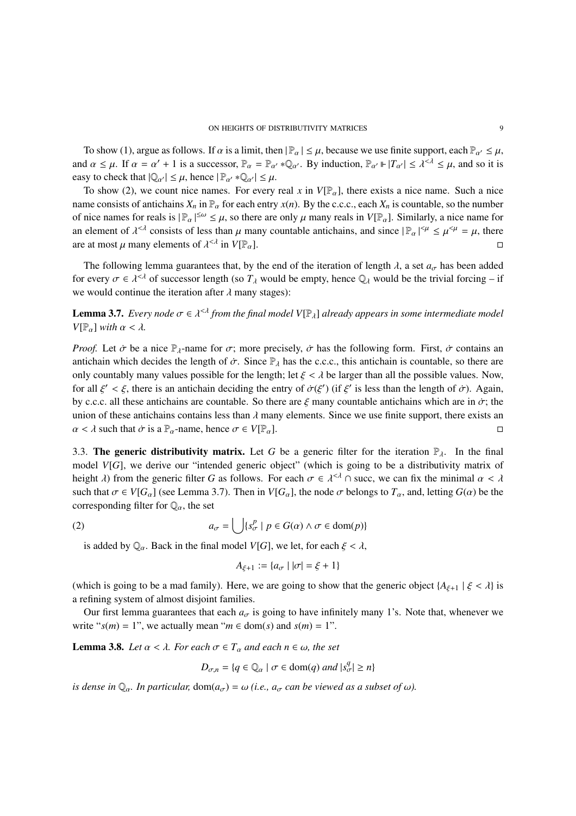To show (1), argue as follows. If  $\alpha$  is a limit, then  $|\mathbb{P}_{\alpha}| \leq \mu$ , because we use finite support, each  $\mathbb{P}_{\alpha'} \leq \mu$ , and  $\alpha \leq \mu$ . If  $\alpha = \alpha' + 1$  is a successor,  $\mathbb{P}_{\alpha} = \mathbb{P}_{\alpha'} * \mathbb{Q}_{\alpha'}$ . By induction,  $\mathbb{P}_{\alpha'} \models |T_{\alpha'}| \leq \lambda^{< \lambda} \leq \mu$ , and so it is easy to check that  $|\mathbb{Q}_{\alpha'}| \leq \mu$ , hence  $|\mathbb{P}_{\alpha'} * \mathbb{Q}_{\alpha'}| \leq \mu$ .

To show (2), we count nice names. For every real *x* in  $V[\mathbb{P}_{\alpha}]$ , there exists a nice name. Such a nice name consists of antichains  $X_n$  in  $\mathbb{P}_{\alpha}$  for each entry  $x(n)$ . By the c.c.c., each  $X_n$  is countable, so the number of nice names for reals is  $|\mathbb{P}_{\alpha}|^{\leq \omega} \leq \mu$ , so there are only  $\mu$  many reals in  $V[\mathbb{P}_{\alpha}]$ . Similarly, a nice name for an element of  $\lambda^{<\lambda}$  consists of less than  $\mu$  many countable antichains, and since  $|\mathbb{P}_{\alpha}|^{<\mu} \leq \mu^{<\mu} = \mu$ , there are at most  $\mu$  many elements of  $\lambda^{< \lambda}$  in  $V[\mathbb{P}_{\alpha}].$ 

The following lemma guarantees that, by the end of the iteration of length  $\lambda$ , a set  $a_{\sigma}$  has been added for every  $\sigma \in \lambda^{< \lambda}$  of successor length (so  $T_\lambda$  would be empty, hence  $\mathbb{Q}_\lambda$  would be the trivial forcing – if we would continue the iteration after  $\lambda$  many stages):

**Lemma 3.7.** *Every node*  $\sigma \in \lambda^{\leq \lambda}$  *from the final model V*[P<sub>i</sub>] *already appears in some intermediate model*  $V[\mathbb{P}_{\alpha}]$  *with*  $\alpha < \lambda$ .

*Proof.* Let  $\dot{\sigma}$  be a nice  $\mathbb{P}_{\lambda}$ -name for  $\sigma$ ; more precisely,  $\dot{\sigma}$  has the following form. First,  $\dot{\sigma}$  contains an antichain which decides the length of  $\dot{\sigma}$ . Since  $\mathbb{P}_{\lambda}$  has the c.c.c., this antichain is countable, so there are only countably many values possible for the length; let  $\xi < \lambda$  be larger than all the possible values. Now, for all  $\xi' < \xi$ , there is an antichain deciding the entry of  $\dot{\sigma}(\xi')$  (if  $\xi'$  is less than the length of  $\dot{\sigma}$ ). Again, by c.c.c. all these antichains are countable. So there are  $\xi$  many countable antichains which are in  $\dot{\sigma}$ ; the union of these antichains contains less than  $\lambda$  many elements. Since we use finite support, there exists an  $\alpha < \lambda$  such that  $\dot{\sigma}$  is a  $\mathbb{P}_{\alpha}$ -name, hence  $\sigma \in V[\mathbb{P}_{\alpha}]$ .

3.3. The generic distributivity matrix. Let *G* be a generic filter for the iteration  $\mathbb{P}_{\lambda}$ . In the final model *V*[*G*], we derive our "intended generic object" (which is going to be a distributivity matrix of height  $\lambda$ ) from the generic filter *G* as follows. For each  $\sigma \in \lambda^{<\lambda} \cap$  succ, we can fix the minimal  $\alpha < \lambda$ such that  $\sigma \in V[G_\alpha]$  (see Lemma 3.7). Then in  $V[G_\alpha]$ , the node  $\sigma$  belongs to  $T_\alpha$ , and, letting  $G(\alpha)$  be the corresponding filter for  $\mathbb{Q}_{\alpha}$ , the set

(2) 
$$
a_{\sigma} = \bigcup \{ s_{\sigma}^{p} \mid p \in G(\alpha) \land \sigma \in \text{dom}(p) \}
$$

is added by  $\mathbb{Q}_\alpha$ . Back in the final model  $V[G]$ , we let, for each  $\xi < \lambda$ ,

$$
A_{\xi+1}:=\{a_\sigma\mid |\sigma|=\xi+1\}
$$

(which is going to be a mad family). Here, we are going to show that the generic object  ${A_{\xi+1} | \xi < \lambda}$  is a refining system of almost disjoint families.

Our first lemma guarantees that each  $a_{\sigma}$  is going to have infinitely many 1's. Note that, whenever we write " $s(m) = 1$ ", we actually mean " $m \in \text{dom}(s)$  and  $s(m) = 1$ ".

**Lemma 3.8.** *Let*  $\alpha < \lambda$ *. For each*  $\sigma \in T_\alpha$  *and each*  $n \in \omega$ *, the set* 

$$
D_{\sigma,n}=\{q\in\mathbb{Q}_\alpha\mid \sigma\in\mathrm{dom}(q)\ and\ |s^q_\sigma|\geq n\}
$$

*is dense in*  $\mathbb{Q}_\alpha$ *. In particular,*  $\text{dom}(a_\sigma) = \omega$  *(i.e.,*  $a_\sigma$  *can be viewed as a subset of*  $\omega$ *).*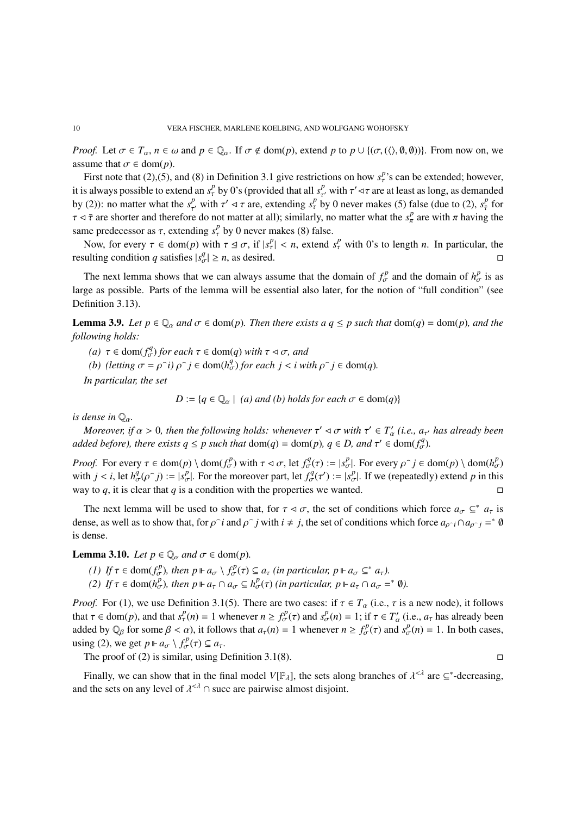*Proof.* Let  $\sigma \in T_\alpha$ ,  $n \in \omega$  and  $p \in \mathbb{Q}_\alpha$ . If  $\sigma \notin \text{dom}(p)$ , extend p to  $p \cup \{(\sigma, (\langle \rangle, \emptyset, \emptyset))\}$ . From now on, we assume that  $\sigma \in \text{dom}(p)$ .

First note that (2),(5), and (8) in Definition 3.1 give restrictions on how  $s^p_\tau$ 's can be extended; however, it is always possible to extend an  $s^p_\tau$  by 0's (provided that all  $s^p_{\tau'}$  with  $\tau' \lhd \tau$  are at least as long, as demanded by (2)): no matter what the  $s_r^p$  with  $\tau' \leq \tau$  are, extending  $s_\tau^p$  by 0 never makes (5) false (due to (2),  $s_\tau^p$  for  $\tau \leq \bar{\tau}$  are shorter and therefore do not matter at all); similarly, no matter what the  $s_\pi^p$  are with  $\pi$  having the same predecessor as  $\tau$ , extending  $s^p_\tau$  by 0 never makes (8) false.

Now, for every  $\tau \in \text{dom}(p)$  with  $\tau \leq \sigma$ , if  $|s_\tau^p| < n$ , extend  $s_\tau^p$  with 0's to length *n*. In particular, the resulting condition *q* satisfies  $|s^q_{\sigma}| \ge n$ , as desired.

The next lemma shows that we can always assume that the domain of  $f_{\sigma}^p$  and the domain of  $h_{\sigma}^p$  is as large as possible. Parts of the lemma will be essential also later, for the notion of "full condition" (see Definition 3.13).

**Lemma 3.9.** Let  $p \in \mathbb{Q}_\alpha$  and  $\sigma \in \text{dom}(p)$ . Then there exists a  $q \leq p$  such that  $\text{dom}(q) = \text{dom}(p)$ , and the *following holds:*

 $(a)$   $\tau \in \text{dom}(f_{\sigma}^q)$  *for each*  $\tau \in \text{dom}(q)$  *with*  $\tau \lhd \sigma$ *, and* 

*(b)*  $(\text{letting } \sigma = \rho \cap i) \rho \cap j \in \text{dom}(h_{\sigma}^q) \text{ for each } j < i \text{ with } \rho \cap j \in \text{dom}(q).$ 

*In particular, the set*

 $D := \{q \in \mathbb{Q}_\alpha \mid (a) \text{ and } (b) \text{ holds for each } \sigma \in \text{dom}(q)\}\$ 

*is dense in*  $\mathbb{Q}_\alpha$ *.* 

*Moreover, if*  $\alpha > 0$ , then the following holds: whenever  $\tau' \lhd \sigma$  with  $\tau' \in T'_\alpha$  (i.e.,  $a_{\tau'}$  has already been *added before), there exists*  $q \leq p$  *such that*  $dom(q) = dom(p)$ ,  $q \in D$ , and  $\tau' \in dom(f_{\sigma}^q)$ .

*Proof.* For every  $\tau \in \text{dom}(p) \setminus \text{dom}(f_{\sigma}^p)$  with  $\tau \lhd \sigma$ , let  $f_{\sigma}^q(\tau) := |s_{\sigma}^p|$ . For every  $\rho \lceil j \in \text{dom}(p) \setminus \text{dom}(h_{\sigma}^p)$ with  $j < i$ , let  $h^q_\sigma(\rho \circ j) := |s^p_\sigma|$ . For the moreover part, let  $f^q_\sigma(\tau') := |s^p_\sigma|$ . If we (repeatedly) extend *p* in this way to  $q$ , it is clear that  $q$  is a condition with the properties we wanted.

The next lemma will be used to show that, for  $\tau \triangleleft \sigma$ , the set of conditions which force  $a_{\sigma} \subseteq^* a_{\tau}$  is dense, as well as to show that, for  $\rho \hat{i}$  and  $\rho \hat{j}$  with  $i \neq j$ , the set of conditions which force  $a_{\rho \hat{i}} \cap a_{\rho \hat{j}} = \hat{i} \emptyset$ is dense.

**Lemma 3.10.** *Let*  $p \in \mathbb{Q}_\alpha$  *and*  $\sigma \in \text{dom}(p)$ *.* 

- *(1) If*  $\tau \in \text{dom}(f_{\sigma}^p)$ , then  $p \Vdash a_{\sigma} \setminus f_{\sigma}^p(\tau) \subseteq a_{\tau}$  *(in particular,*  $p \Vdash a_{\sigma} \subseteq^* a_{\tau}$ *).*
- *(2) If*  $\tau \in \text{dom}(h_{\sigma}^p)$ , then  $p \Vdash a_{\tau} \cap a_{\sigma} \subseteq h_{\sigma}^p(\tau)$  *(in particular,*  $p \Vdash a_{\tau} \cap a_{\sigma} = \emptyset$ *).*

*Proof.* For (1), we use Definition 3.1(5). There are two cases: if  $\tau \in T_\alpha$  (i.e.,  $\tau$  is a new node), it follows that  $\tau \in \text{dom}(p)$ , and that  $s^p_\tau(n) = 1$  whenever  $n \ge f^p_\sigma(\tau)$  and  $s^p_\sigma(n) = 1$ ; if  $\tau \in T'_\alpha$  (i.e.,  $a_\tau$  has already been added by  $\mathbb{Q}_\beta$  for some  $\beta < \alpha$ ), it follows that  $a_\tau(n) = 1$  whenever  $n \ge f_\sigma^p(\tau)$  and  $s_\sigma^p(n) = 1$ . In both cases, using (2), we get  $p \Vdash a_{\sigma} \setminus f_{\sigma}^{p}(\tau) \subseteq a_{\tau}$ .

The proof of (2) is similar, using Definition 3.1(8).  $\Box$ 

Finally, we can show that in the final model  $V[\mathbb{P}_{\lambda}]$ , the sets along branches of  $\lambda^{<\lambda}$  are  $\subseteq^*$ -decreasing, and the sets on any level of  $\lambda^{\leq \lambda} \cap$  succ are pairwise almost disjoint.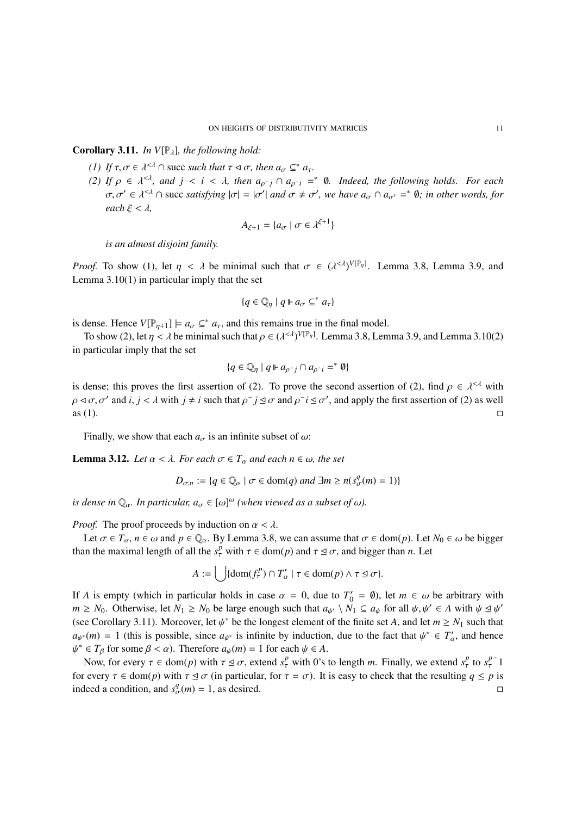### **Corollary 3.11.** *In V*[ $\mathbb{P}_{\lambda}$ ]*, the following hold:*

- *(1) If*  $\tau, \sigma \in \lambda^{\leq \lambda} \cap$  *succ such that*  $\tau \leq \sigma$ *, then*  $a_{\sigma} \subseteq^* a_{\tau}$ *.*
- *(2) If*  $\rho \in \lambda^{< \lambda}$ , and  $j < i < \lambda$ , then  $a_{\rho \cap i} \cap a_{\rho \cap i} = \emptyset$ . Indeed, the following holds. For each  $\sigma, \sigma' \in \lambda^{< \lambda} \cap \text{succ satisfying } |\sigma| = |\sigma'| \text{ and } \sigma \neq \sigma', \text{ we have } a_{\sigma} \cap a_{\sigma'} = \text{`` } \emptyset; \text{ in other words, for }$ *each*  $\xi < \lambda$ ,

$$
A_{\xi+1} = \{a_{\sigma} \mid \sigma \in \lambda^{\xi+1}\}
$$

*is an almost disjoint family.*

*Proof.* To show (1), let  $\eta < \lambda$  be minimal such that  $\sigma \in (\lambda^{<\lambda})^{V[\mathbb{P}_{\eta}]}$ . Lemma 3.8, Lemma 3.9, and Lemma 3.10(1) in particular imply that the set

$$
\{q \in \mathbb{Q}_\eta \mid q \Vdash a_\sigma \subseteq^* a_\tau\}
$$

is dense. Hence  $V[\mathbb{P}_{n+1}] \models a_{\sigma} \subseteq^* a_{\tau}$ , and this remains true in the final model.

To show (2), let  $\eta < \lambda$  be minimal such that  $\rho \in (\lambda^{<\lambda})^{V[\mathbb{P}_\eta]}$ . Lemma 3.8, Lemma 3.9, and Lemma 3.10(2) in particular imply that the set

$$
\{q \in \mathbb{Q}_\eta \mid q \Vdash a_{\rho^\frown j} \cap a_{\rho^\frown i} =^* \emptyset\}
$$

is dense; this proves the first assertion of (2). To prove the second assertion of (2), find  $\rho \in \lambda^{<\lambda}$  with  $\rho \triangleleft \sigma$ ,  $\sigma'$  and *i*,  $j < \lambda$  with  $j \neq i$  such that  $\rho \hat{i} \leq \sigma$  and  $\rho \hat{i} \leq \sigma'$ , and apply the first assertion of (2) as well as (1).  $\Box$ 

Finally, we show that each  $a_{\sigma}$  is an infinite subset of  $\omega$ :

**Lemma 3.12.** Let  $\alpha < \lambda$ . For each  $\sigma \in T_\alpha$  and each  $n \in \omega$ , the set

$$
D_{\sigma,n} := \{ q \in \mathbb{Q}_\alpha \mid \sigma \in \text{dom}(q) \text{ and } \exists m \ge n (s^q_\sigma(m) = 1) \}
$$

*is dense in*  $\mathbb{Q}_\alpha$ *. In particular,*  $a_\sigma \in [\omega]^\omega$  *(when viewed as a subset of*  $\omega$ *).* 

*Proof.* The proof proceeds by induction on  $\alpha < \lambda$ .

Let  $\sigma \in T_\alpha$ ,  $n \in \omega$  and  $p \in \mathbb{Q}_\alpha$ . By Lemma 3.8, we can assume that  $\sigma \in \text{dom}(p)$ . Let  $N_0 \in \omega$  be bigger than the maximal length of all the  $s^p_\tau$  with  $\tau \in \text{dom}(p)$  and  $\tau \leq \sigma$ , and bigger than *n*. Let

$$
A := \bigcup \{ \text{dom}(f_{\tau}^p) \cap T'_{\alpha} \mid \tau \in \text{dom}(p) \land \tau \leq \sigma \}.
$$

If *A* is empty (which in particular holds in case  $\alpha = 0$ , due to  $T'_0 = \emptyset$ ), let  $m \in \omega$  be arbitrary with *m* ≥ *N*<sub>0</sub>. Otherwise, let *N*<sub>1</sub> ≥ *N*<sub>0</sub> be large enough such that  $a_{\psi} \setminus N_1 \subseteq a_{\psi}$  for all  $\psi, \psi' \in A$  with  $\psi \leq \psi'$ (see Corollary 3.11). Moreover, let  $\psi^*$  be the longest element of the finite set *A*, and let  $m \ge N_1$  such that  $a_{\psi^*}(m) = 1$  (this is possible, since  $a_{\psi^*}$  is infinite by induction, due to the fact that  $\psi^* \in T'_\alpha$ , and hence  $\psi^* \in T_\beta$  for some  $\beta < \alpha$ ). Therefore  $a_\psi(m) = 1$  for each  $\psi \in A$ .

Now, for every  $\tau \in \text{dom}(p)$  with  $\tau \leq \sigma$ , extend  $s^p_\tau$  with 0's to length *m*. Finally, we extend  $s^p_\tau$  to  $s^{p}_{\tau}$  1 for every  $\tau \in \text{dom}(p)$  with  $\tau \leq \sigma$  (in particular, for  $\tau = \sigma$ ). It is easy to check that the resulting  $q \leq p$  is indeed a condition, and  $s^q_{\sigma}(m) = 1$ , as desired.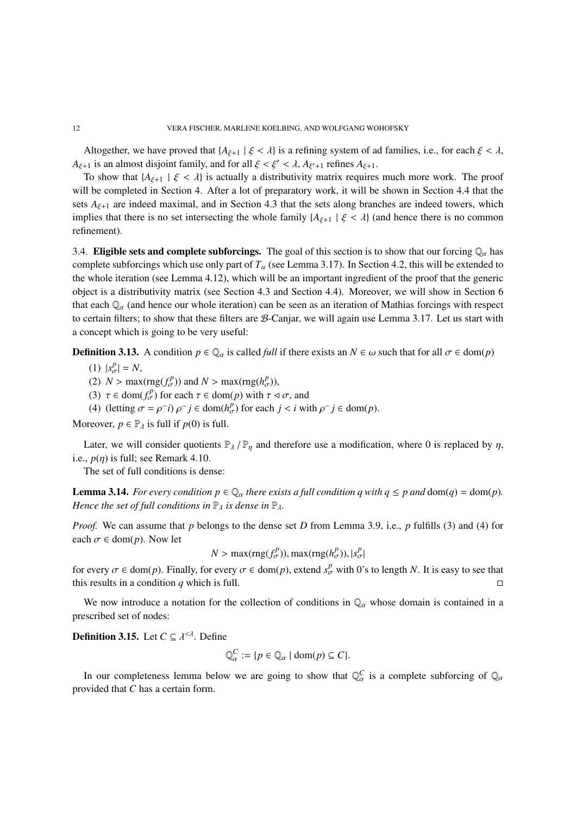Altogether, we have proved that  $\{A_{\xi+1} \mid \xi < \lambda\}$  is a refining system of ad families, i.e., for each  $\xi < \lambda$ ,  $A_{\xi+1}$  is an almost disjoint family, and for all  $\xi < \xi' < \lambda$ ,  $A_{\xi'+1}$  refines  $A_{\xi+1}$ .

To show that  ${A_{\xi+1} | \xi < \lambda}$  is actually a distributivity matrix requires much more work. The proof will be completed in Section 4. After a lot of preparatory work, it will be shown in Section 4.4 that the sets  $A_{\xi+1}$  are indeed maximal, and in Section 4.3 that the sets along branches are indeed towers, which implies that there is no set intersecting the whole family  ${A_{\xi+1} | \xi < \lambda}$  (and hence there is no common refinement).

3.4. Eligible sets and complete subforcings. The goal of this section is to show that our forcing  $\mathbb{Q}_\alpha$  has complete subforcings which use only part of  $T_\alpha$  (see Lemma 3.17). In Section 4.2, this will be extended to the whole iteration (see Lemma 4.12), which will be an important ingredient of the proof that the generic object is a distributivity matrix (see Section 4.3 and Section 4.4). Moreover, we will show in Section 6 that each  $\mathbb{Q}_\alpha$  (and hence our whole iteration) can be seen as an iteration of Mathias forcings with respect to certain filters; to show that these filters are B-Canjar, we will again use Lemma 3.17. Let us start with a concept which is going to be very useful:

**Definition 3.13.** A condition  $p \in \mathbb{Q}_\alpha$  is called *full* if there exists an  $N \in \omega$  such that for all  $\sigma \in \text{dom}(p)$ 

(1)  $|s_{\sigma}^p| = N$ ,

(2)  $N > \max(\text{rng}(f_{\sigma}^p))$  and  $N > \max(\text{rng}(h_{\sigma}^p)),$ 

(3)  $\tau \in \text{dom}(f_{\sigma}^p)$  for each  $\tau \in \text{dom}(p)$  with  $\tau \lhd \sigma$ , and

(4) (letting  $\sigma = \rho \hat{i}$ )  $\rho \hat{j} \in \text{dom}(h_{\sigma}^p)$  for each  $j < i$  with  $\rho \hat{j} \in \text{dom}(p)$ .

Moreover,  $p \in \mathbb{P}_{\lambda}$  is full if  $p(0)$  is full.

Later, we will consider quotients  $\mathbb{P}_{\lambda}/\mathbb{P}_{\eta}$  and therefore use a modification, where 0 is replaced by  $\eta$ , i.e.,  $p(\eta)$  is full; see Remark 4.10.

The set of full conditions is dense:

**Lemma 3.14.** *For every condition*  $p \in \mathbb{Q}_a$  *there exists a full condition q with*  $q \leq p$  *and*  $dom(q) = dom(p)$ *. Hence the set of full conditions in*  $\mathbb{P}_{\lambda}$  *is dense in*  $\mathbb{P}_{\lambda}$ *.* 

*Proof.* We can assume that *p* belongs to the dense set *D* from Lemma 3.9, i.e., *p* fulfills (3) and (4) for each  $\sigma \in \text{dom}(p)$ . Now let

$$
N > \max(\text{rng}(f^p_{\sigma})), \max(\text{rng}(h^p_{\sigma})), |s^p_{\sigma}|
$$

for every  $\sigma \in \text{dom}(p)$ . Finally, for every  $\sigma \in \text{dom}(p)$ , extend  $s^p_{\sigma}$  with 0's to length *N*. It is easy to see that this results in a condition *q* which is full.  $\Box$ 

We now introduce a notation for the collection of conditions in  $\mathbb{Q}_\alpha$  whose domain is contained in a prescribed set of nodes:

**Definition 3.15.** Let  $C \subseteq \lambda^{\leq \lambda}$ . Define

$$
\mathbb{Q}_{\alpha}^C := \{ p \in \mathbb{Q}_{\alpha} \mid \text{dom}(p) \subseteq C \}.
$$

In our completeness lemma below we are going to show that  $\mathbb{Q}_{\alpha}^C$  is a complete subforcing of  $\mathbb{Q}_{\alpha}$ provided that *C* has a certain form.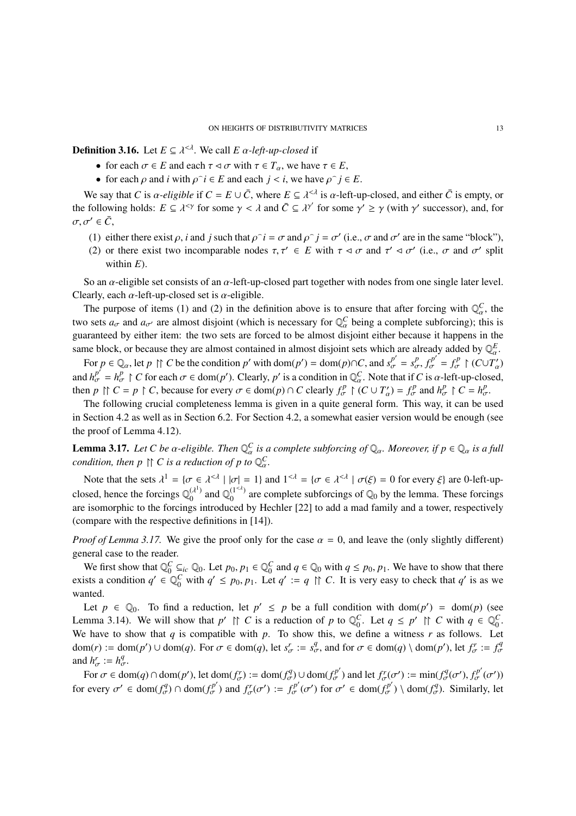**Definition 3.16.** Let  $E \subseteq \lambda^{\leq \lambda}$ . We call  $E \alpha$ -left-up-closed if

- for each  $\sigma \in E$  and each  $\tau \lhd \sigma$  with  $\tau \in T_\alpha$ , we have  $\tau \in E$ ,
- for each  $\rho$  and *i* with  $\rho \hat{i} \in E$  and each  $j \leq i$ , we have  $\rho \hat{j} \in E$ .

We say that *C* is  $\alpha$ -eligible if  $C = E \cup \overline{C}$ , where  $E \subseteq \lambda^{\leq \lambda}$  is  $\alpha$ -left-up-closed, and either  $\overline{C}$  is empty, or the following holds:  $E \subseteq \lambda^{\leq \gamma}$  for some  $\gamma < \lambda$  and  $\overline{C} \subseteq \lambda^{\gamma'}$  for some  $\gamma' \geq \gamma$  (with  $\gamma'$  successor), and, for  $\sigma,\sigma'\in\bar{C}$ ,

- (1) either there exist  $\rho$ , *i* and *j* such that  $\rho \hat{i} = \sigma$  and  $\rho \hat{j} = \sigma'$  (i.e.,  $\sigma$  and  $\sigma'$  are in the same "block"),
- (2) or there exist two incomparable nodes  $\tau, \tau' \in E$  with  $\tau \leq \sigma$  and  $\tau' \leq \sigma'$  (i.e.,  $\sigma$  and  $\sigma'$  split within *E*).

So an  $\alpha$ -eligible set consists of an  $\alpha$ -left-up-closed part together with nodes from one single later level. Clearly, each  $\alpha$ -left-up-closed set is  $\alpha$ -eligible.

The purpose of items (1) and (2) in the definition above is to ensure that after forcing with  $\mathbb{Q}_{\alpha}^C$ , the two sets  $a_{\sigma}$  and  $a_{\sigma'}$  are almost disjoint (which is necessary for  $\mathbb{Q}^C_\alpha$  being a complete subforcing); this is guaranteed by either item: the two sets are forced to be almost disjoint either because it happens in the same block, or because they are almost contained in almost disjoint sets which are already added by  $\mathbb{Q}_a^E$ .

For  $p \in \mathbb{Q}_\alpha$ , let  $p \upharpoonright C$  be the condition  $p'$  with  $\text{dom}(p') = \text{dom}(p) \cap C$ , and  $s_\sigma^{p'} = s_\sigma^p, f_\sigma^{p'} = f_\sigma^p \upharpoonright (C \cup T_\alpha')$ and  $h_{\sigma}^{p'} = h_{\sigma}^{p} \upharpoonright C$  for each  $\sigma \in \text{dom}(p')$ . Clearly,  $p'$  is a condition in  $\mathbb{Q}_{\alpha}^C$ . Note that if *C* is  $\alpha$ -left-up-closed, then  $p \upharpoonright C = p \upharpoonright C$ , because for every  $\sigma \in \text{dom}(p) \cap C$  clearly  $f_{\sigma}^p \upharpoonright (C \cup T_{\alpha}') = f_{\sigma}^p$  and  $h_{\sigma}^p \upharpoonright C = h_{\sigma}^p$ .

The following crucial completeness lemma is given in a quite general form. This way, it can be used in Section 4.2 as well as in Section 6.2. For Section 4.2, a somewhat easier version would be enough (see the proof of Lemma 4.12).

**Lemma 3.17.** Let C be  $\alpha$ -eligible. Then  $\mathbb{Q}^C_\alpha$  is a complete subforcing of  $\mathbb{Q}_\alpha$ . Moreover, if  $p \in \mathbb{Q}_\alpha$  is a full *condition, then p*  $\uparrow$  *C is a reduction of p to*  $\mathbb{Q}_a^C$ *.* 

Note that the sets  $\lambda^1 = {\sigma \in \lambda^{\leq \lambda} \mid |\sigma| = 1}$  and  $1^{\leq \lambda} = {\sigma \in \lambda^{\leq \lambda} \mid \sigma(\xi) = 0}$  for every  $\xi$  are 0-left-upclosed, hence the forcings  $\mathbb{Q}_0^{(\lambda^1)}$  and  $\mathbb{Q}_0^{(1<\lambda)}$  are complete subforcings of  $\mathbb{Q}_0$  by the lemma. These forcings are isomorphic to the forcings introduced by Hechler [22] to add a mad family and a tower, respectively (compare with the respective definitions in [14]).

*Proof of Lemma 3.17.* We give the proof only for the case  $\alpha = 0$ , and leave the (only slightly different) general case to the reader.

We first show that  $\mathbb{Q}_0^C \subseteq_{ic} \mathbb{Q}_0$ . Let  $p_0, p_1 \in \mathbb{Q}_0^C$  and  $q \in \mathbb{Q}_0$  with  $q \leq p_0, p_1$ . We have to show that there exists a condition  $q' \in \mathbb{Q}_0^C$  with  $q' \leq p_0, p_1$ . Let  $q' := q \upharpoonright C$ . It is very easy to check that  $q'$  is as we wanted.

Let  $p \in \mathbb{Q}_0$ . To find a reduction, let  $p' \leq p$  be a full condition with dom( $p'$ ) = dom( $p$ ) (see Lemma 3.14). We will show that  $p' \in C$  is a reduction of  $p$  to  $\mathbb{Q}_0^C$ . Let  $q \leq p' \in C$  with  $q \in \mathbb{Q}_0^C$ . We have to show that  $q$  is compatible with  $p$ . To show this, we define a witness  $r$  as follows. Let  $dom(r) := dom(p') \cup dom(q)$ . For  $\sigma \in dom(q)$ , let  $s^r_{\sigma} := s^q_{\sigma}$ , and for  $\sigma \in dom(q) \setminus dom(p')$ , let  $f^r_{\sigma} := f^q_{\sigma}$ and  $h^r_{\sigma} := h^q_{\sigma}$ .

For  $\sigma \in \text{dom}(q) \cap \text{dom}(p')$ , let  $\text{dom}(f_{\sigma}^p) := \text{dom}(f_{\sigma}^q) \cup \text{dom}(f_{\sigma}^{p'})$  and let  $f_{\sigma}^r(\sigma') := \min(f_{\sigma}^q(\sigma'), f_{\sigma}^{p'}(\sigma'))$ for every  $\sigma' \in \text{dom}(f_{\sigma}^q) \cap \text{dom}(f_{\sigma}^{p'})$  and  $f_{\sigma}^r(\sigma') := f_{\sigma}^{p'}(\sigma')$  for  $\sigma' \in \text{dom}(f_{\sigma}^{p'}) \setminus \text{dom}(f_{\sigma}^q)$ . Similarly, let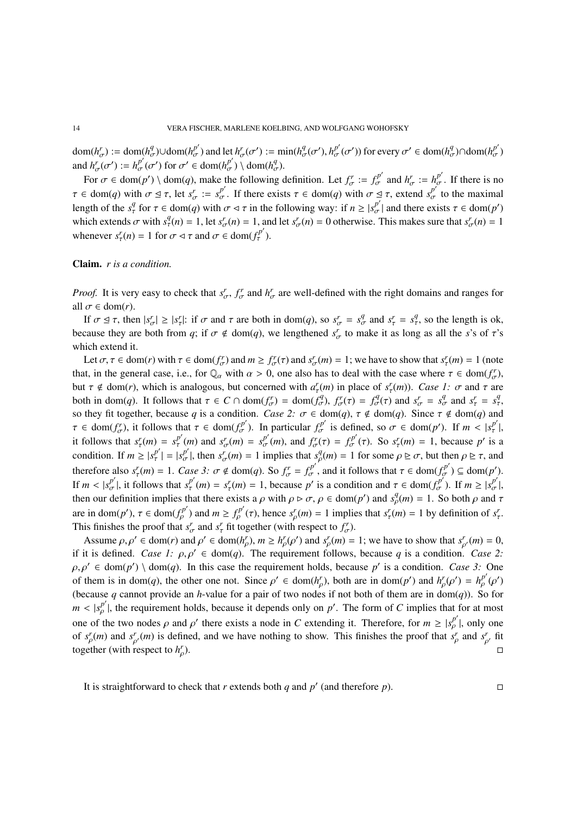$dom(h^P_{\sigma}) := dom(h^q_{\sigma}) \cup dom(h^{p'}_{\sigma})$  and let  $h^P_{\sigma}(\sigma') := min(h^q_{\sigma}(\sigma'), h^{p'}_{\sigma}(\sigma'))$  for every  $\sigma' \in dom(h^q_{\sigma}) \cap dom(h^{p'}_{\sigma})$ and  $h''_{\sigma}(\sigma') := h''_{\sigma}(\sigma')$  for  $\sigma' \in \text{dom}(h^{p'}_{\sigma}) \setminus \text{dom}(h^{q}_{\sigma}).$ 

For  $\sigma \in \text{dom}(p') \setminus \text{dom}(q)$ , make the following definition. Let  $f_{\sigma}^r := f_{\sigma}^{p'}$  and  $h_{\sigma}^r := h_{\sigma}^{p'}$ . If there is no  $\tau \in \text{dom}(q)$  with  $\sigma \leq \tau$ , let  $s^P_{\sigma} := s^{P'}_{\sigma}$ . If there exists  $\tau \in \text{dom}(q)$  with  $\sigma \leq \tau$ , extend  $s^{P'}_{\sigma}$  to the maximal length of the  $s_\tau^q$  for  $\tau \in \text{dom}(q)$  with  $\sigma \leq \tau$  in the following way: if  $n \geq |s_\sigma^{p'}|$  and there exists  $\tau \in \text{dom}(p')$ which extends  $\sigma$  with  $s^q_\tau(n) = 1$ , let  $s^r_\sigma(n) = 1$ , and let  $s^r_\sigma(n) = 0$  otherwise. This makes sure that  $s^r_\sigma(n) = 1$ whenever  $s^r_\tau(n) = 1$  for  $\sigma \le \tau$  and  $\sigma \in \text{dom}(f^{p'}_\tau)$ .

### Claim. *r is a condition.*

*Proof.* It is very easy to check that  $s^r_\sigma$ ,  $f^r_\sigma$  and  $h^r_\sigma$  are well-defined with the right domains and ranges for all  $\sigma \in \text{dom}(r)$ .

If  $\sigma \leq \tau$ , then  $|s^r_{\sigma}| \geq |s^r_{\tau}|$ : if  $\sigma$  and  $\tau$  are both in dom(*q*), so  $s^r_{\sigma} = s^q_{\sigma}$  and  $s^r_{\tau} = s^q_{\tau}$ , so the length is ok, because they are both from *q*; if  $\sigma \notin \text{dom}(q)$ , we lengthened  $s^r_{\sigma}$  to make it as long as all the *s*'s of  $\tau$ 's which extend it.

Let  $\sigma, \tau \in \text{dom}(r)$  with  $\tau \in \text{dom}(f_{\sigma}^r)$  and  $m \ge f_{\sigma}^r(\tau)$  and  $s_{\sigma}^r(m) = 1$ ; we have to show that  $s_{\tau}^r(m) = 1$  (note that, in the general case, i.e., for  $\mathbb{Q}_\alpha$  with  $\alpha > 0$ , one also has to deal with the case where  $\tau \in \text{dom}(f_{\sigma}^r)$ , but  $\tau \notin \text{dom}(r)$ , which is analogous, but concerned with  $a_r^r(m)$  in place of  $s_r^r(m)$ ). *Case 1:*  $\sigma$  and  $\tau$  are both in dom(q). It follows that  $\tau \in C \cap \text{dom}(f_{\sigma}^r) = \text{dom}(f_{\sigma}^q)$ ,  $f_{\sigma}^r(\tau) = f_{\sigma}^q(\tau)$  and  $s_{\sigma}^r = s_{\sigma}^q$  and  $s_{\tau}^r = s_{\tau}^q$ , so they fit together, because *q* is a condition. *Case 2:*  $\sigma \in \text{dom}(q)$ ,  $\tau \notin \text{dom}(q)$ . Since  $\tau \notin \text{dom}(q)$  and  $\tau \in \text{dom}(f_{\sigma}^r)$ , it follows that  $\tau \in \text{dom}(f_{\sigma}^{p'})$ . In particular  $f_{\sigma}^{p'}$  is defined, so  $\sigma \in \text{dom}(p')$ . If  $m < |s_{\tau}^{p'}|$ , it follows that  $s^r_\tau(m) = s^{p'}_\tau(m)$  and  $s^r_\sigma(m) = s^{p'}_\sigma(m)$ , and  $f^r_\sigma(\tau) = f^{p'}_\sigma(\tau)$ . So  $s^r_\tau(m) = 1$ , because p' is a condition. If  $m \ge |s_\tau^{p'}| = |s_\sigma^{p'}|$ , then  $s_\sigma^r(m) = 1$  implies that  $s_\rho^q(m) = 1$  for some  $\rho \ge \sigma$ , but then  $\rho \ge \tau$ , and therefore also  $s^r_\tau(m) = 1$ . *Case 3:*  $\sigma \notin \text{dom}(q)$ . So  $f^r_\sigma = f^{p'}_\sigma$ , and it follows that  $\tau \in \text{dom}(f^{p'}_{\sigma}) \subseteq \text{dom}(p')$ . If  $m < |s_{\sigma}^{p'}|$ , it follows that  $s_{\tau}^{p'}(m) = s_{\tau}^{r}(m) = 1$ , because p' is a condition and  $\tau \in \text{dom}(f_{\sigma}^{p'})$ . If  $m \geq |s_{\sigma}^{p'}|$ , then our definition implies that there exists a  $\rho$  with  $\rho \triangleright \sigma$ ,  $\rho \in \text{dom}(p')$  and  $s_\rho^q(m) = 1$ . So both  $\rho$  and  $\tau$ are in dom(*p'*),  $\tau \in \text{dom}(f_p^{p'})$  and  $m \ge f_p^{p'}(\tau)$ , hence  $s_p^r(m) = 1$  implies that  $s_\tau^r(m) = 1$  by definition of  $s_\tau^r$ . This finishes the proof that  $s^r_\sigma$  and  $s^r_\tau$  fit together (with respect to  $f^r_\sigma$ ).

Assume  $\rho, \rho' \in \text{dom}(r)$  and  $\rho' \in \text{dom}(h_{\rho}^r), m \ge h_{\rho}^r(\rho')$  and  $s_{\rho}^r(m) = 1$ ; we have to show that  $s_{\rho'}^r(m) = 0$ , if it is defined. *Case 1:*  $\rho, \rho' \in \text{dom}(q)$ . The requirement follows, because q is a condition. *Case 2:*  $\rho, \rho' \in \text{dom}(p') \setminus \text{dom}(q)$ . In this case the requirement holds, because p' is a condition. *Case 3:* One of them is in dom(*q*), the other one not. Since  $\rho' \in \text{dom}(h_{\rho}^r)$ , both are in dom(*p'*) and  $h_{\rho}^r(\rho') = h_{\rho}^{p'}(\rho')$ (because *q* cannot provide an *h*-value for a pair of two nodes if not both of them are in dom(*q*)). So for  $m < |s_p^{p'}|$ , the requirement holds, because it depends only on *p'*. The form of *C* implies that for at most one of the two nodes  $\rho$  and  $\rho'$  there exists a node in *C* extending it. Therefore, for  $m \ge |s_{\rho}^{p'}|$ , only one of  $s_p^r(m)$  and  $s_{p'}^r(m)$  is defined, and we have nothing to show. This finishes the proof that  $s_p^r$  and  $s_{p'}^r$  fit together (with respect to  $h'_\rho$ ).  $\Box$ 

It is straightforward to check that *r* extends both *q* and  $p'$  (and therefore *p*).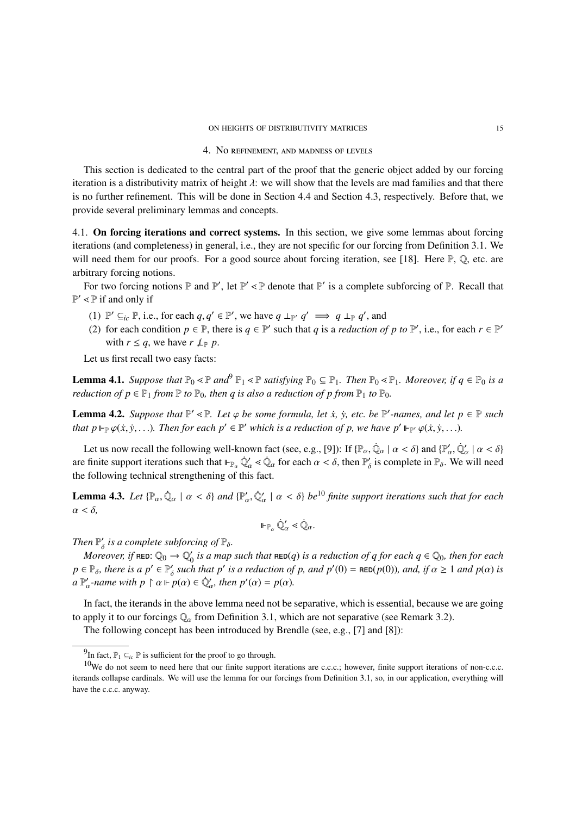#### 4. No refinement, and madness of levels

This section is dedicated to the central part of the proof that the generic object added by our forcing iteration is a distributivity matrix of height  $\lambda$ : we will show that the levels are mad families and that there is no further refinement. This will be done in Section 4.4 and Section 4.3, respectively. Before that, we provide several preliminary lemmas and concepts.

4.1. On forcing iterations and correct systems. In this section, we give some lemmas about forcing iterations (and completeness) in general, i.e., they are not specific for our forcing from Definition 3.1. We will need them for our proofs. For a good source about forcing iteration, see [18]. Here P, Q, etc. are arbitrary forcing notions.

For two forcing notions  $\mathbb P$  and  $\mathbb P'$ , let  $\mathbb P' \leq \mathbb P$  denote that  $\mathbb P'$  is a complete subforcing of  $\mathbb P$ . Recall that  $\mathbb{P}' \leq \mathbb{P}$  if and only if

- (1)  $\mathbb{P}' \subseteq_{ic} \mathbb{P}$ , i.e., for each  $q, q' \in \mathbb{P}'$ , we have  $q \perp_{\mathbb{P}'} q' \implies q \perp_{\mathbb{P}} q'$ , and
- (2) for each condition  $p \in \mathbb{P}$ , there is  $q \in \mathbb{P}'$  such that *q* is a *reduction of*  $p$  *to*  $\mathbb{P}'$ , i.e., for each  $r \in \mathbb{P}'$ with  $r \leq q$ , we have  $r \nperp_{\mathbb{P}} p$ .

Let us first recall two easy facts:

**Lemma 4.1.** *Suppose that*  $\mathbb{P}_0 \le \mathbb{P}$  *and*<sup>9</sup>  $\mathbb{P}_1 \le \mathbb{P}$  *satisfying*  $\mathbb{P}_0 \subseteq \mathbb{P}_1$ *. Then*  $\mathbb{P}_0 \le \mathbb{P}_1$ *. Moreover, if*  $q \in \mathbb{P}_0$  *is a reduction of*  $p \in \mathbb{P}_1$  *from*  $\mathbb{P}$  *to*  $\mathbb{P}_0$ *, then q is also a reduction of p from*  $\mathbb{P}_1$  *to*  $\mathbb{P}_0$ *.* 

**Lemma 4.2.** *Suppose that*  $\mathbb{P}' \le \mathbb{P}$ *. Let*  $\varphi$  *be some formula, let*  $\dot{x}$ *,*  $\dot{y}$ *, etc. be*  $\mathbb{P}'$ *-names, and let*  $p \in \mathbb{P}$  *such that*  $p \Vdash_{\mathbb{P}} \varphi(\dot{x}, \dot{y}, \ldots)$ *. Then for each*  $p' \in \mathbb{P}'$  *which is a reduction of p, we have*  $p' \Vdash_{\mathbb{P}} \varphi(\dot{x}, \dot{y}, \ldots)$ *.* 

Let us now recall the following well-known fact (see, e.g., [9]): If  $\{\mathbb{P}_{\alpha}, \dot{\mathbb{Q}}_{\alpha} \mid \alpha < \delta\}$  and  $\{\mathbb{P}'_{\alpha}, \dot{\mathbb{Q}}'_{\alpha} \mid \alpha < \delta\}$ are finite support iterations such that  $\mathbb{P}_{\alpha} \dot{\mathbb{Q}}'_{\alpha} \leq \dot{\mathbb{Q}}_{\alpha}$  for each  $\alpha < \delta$ , then  $\mathbb{P}'_{\delta}$  is complete in  $\mathbb{P}_{\delta}$ . We will need the following technical strengthening of this fact.

**Lemma 4.3.** Let  $\{\mathbb{P}_{\alpha}, \dot{\mathbb{Q}}_{\alpha} \mid \alpha < \delta\}$  and  $\{\mathbb{P}'_{\alpha}, \dot{\mathbb{Q}}'_{\alpha} \mid \alpha < \delta\}$  be<sup>10</sup> finite support iterations such that for each  $\alpha < \delta$ .

$$
\Vdash_{\mathbb{P}_\alpha} \dot{\mathbb{Q}}'_\alpha \lessdot \dot{\mathbb{Q}}_\alpha.
$$

*Then*  $\mathbb{P}'_{\delta}$  *is a complete subforcing of*  $\mathbb{P}_{\delta}$ *.* 

*Moreover, if*  $\mathsf{RED}$ :  $\mathbb{Q}_0 \to \mathbb{Q}'_0$  *is a map such that*  $\mathsf{RED}(q)$  *is a reduction of q for each*  $q \in \mathbb{Q}_0$ *, then for each*  $p \in \mathbb{P}_{\delta}$ , there is a  $p' \in \mathbb{P}'_{\delta}$  such that  $p'$  is a reduction of p, and  $p'(0) = \text{RED}(p(0))$ , and, if  $\alpha \ge 1$  and  $p(\alpha)$  is  $a \mathbb{P}'_{\alpha}$ -name with  $p \restriction \alpha \Vdash p(\alpha) \in \dot{\mathbb{Q}}'_{\alpha}$ , then  $p'(\alpha) = p(\alpha)$ *.* 

In fact, the iterands in the above lemma need not be separative, which is essential, because we are going to apply it to our forcings  $\mathbb{Q}_\alpha$  from Definition 3.1, which are not separative (see Remark 3.2).

The following concept has been introduced by Brendle (see, e.g., [7] and [8]):

<sup>&</sup>lt;sup>9</sup>In fact,  $\mathbb{P}_1 \subseteq_{ic} \mathbb{P}$  is sufficient for the proof to go through.

 $10$ We do not seem to need here that our finite support iterations are c.c.c.; however, finite support iterations of non-c.c.c. iterands collapse cardinals. We will use the lemma for our forcings from Definition 3.1, so, in our application, everything will have the c.c.c. anyway.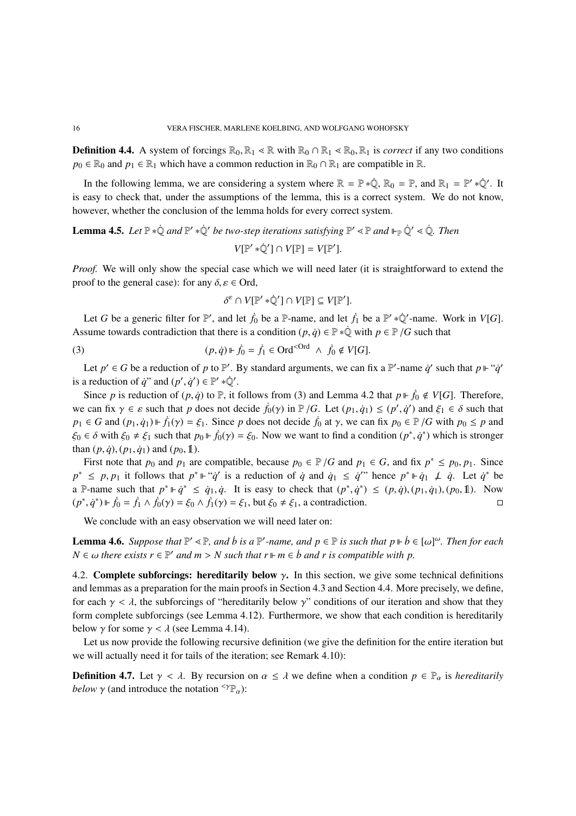**Definition 4.4.** A system of forcings  $\mathbb{R}_0$ ,  $\mathbb{R}_1 \ll \mathbb{R}$  with  $\mathbb{R}_0 \cap \mathbb{R}_1 \ll \mathbb{R}_0$ ,  $\mathbb{R}_1$  is *correct* if any two conditions  $p_0 \in \mathbb{R}_0$  and  $p_1 \in \mathbb{R}_1$  which have a common reduction in  $\mathbb{R}_0 \cap \mathbb{R}_1$  are compatible in  $\mathbb{R}$ .

In the following lemma, we are considering a system where  $\mathbb{R} = \mathbb{P} * \dot{\mathbb{Q}}$ ,  $\mathbb{R}_0 = \mathbb{P}$ , and  $\mathbb{R}_1 = \mathbb{P}' * \dot{\mathbb{Q}}'$ . It is easy to check that, under the assumptions of the lemma, this is a correct system. We do not know, however, whether the conclusion of the lemma holds for every correct system.

**Lemma 4.5.** *Let*  $\mathbb{P} * \dot{\mathbb{Q}}$  *and*  $\mathbb{P}' * \dot{\mathbb{Q}}'$  *be two-step iterations satisfying*  $\mathbb{P}' \le \mathbb{P}$  *and*  $\mathbb{F}_{\mathbb{P}} \dot{\mathbb{Q}}' \le \dot{\mathbb{Q}}$ *. Then* 

$$
V[\mathbb{P}' * \dot{\mathbb{Q}}'] \cap V[\mathbb{P}] = V[\mathbb{P}'].
$$

*Proof.* We will only show the special case which we will need later (it is straightforward to extend the proof to the general case): for any  $\delta, \varepsilon \in \text{Ord}$ ,

$$
\delta^{\varepsilon} \cap V[\mathbb{P}' * \dot{\mathbb{Q}}'] \cap V[\mathbb{P}] \subseteq V[\mathbb{P}'].
$$

Let *G* be a generic filter for  $\mathbb{P}'$ , and let  $\dot{f}_0$  be a  $\mathbb{P}$ -name, and let  $\dot{f}_1$  be a  $\mathbb{P}' * \dot{\mathbb{Q}}'$ -name. Work in *V*[*G*]. Assume towards contradiction that there is a condition  $(p, \dot{q}) \in \mathbb{P} * \dot{\mathbb{Q}}$  with  $p \in \mathbb{P}/G$  such that

(3) 
$$
(p, \dot{q}) \Vdash \dot{f}_0 = \dot{f}_1 \in \text{Ord}^{<\text{Ord}} \land \dot{f}_0 \notin V[G].
$$

Let  $p' \in G$  be a reduction of  $p$  to  $\mathbb{P}'$ . By standard arguments, we can fix a  $\mathbb{P}'$ -name  $\dot{q}'$  such that  $p \Vdash ``\dot{q}'$ is a reduction of  $\dot{q}$ " and  $(p', \dot{q}') \in \mathbb{P}' * \dot{\mathbb{Q}}'.$ 

Since *p* is reduction of  $(p, \dot{q})$  to P, it follows from (3) and Lemma 4.2 that  $p \Vdash \dot{f}_0 \notin V[G]$ . Therefore, we can fix  $\gamma \in \varepsilon$  such that *p* does not decide  $\dot{f}_0(\gamma)$  in  $\mathbb{P}/G$ . Let  $(p_1, \dot{q}_1) \leq (p', \dot{q}')$  and  $\xi_1 \in \delta$  such that  $p_1 \in G$  and  $(p_1, \dot{q}_1) \Vdash \dot{f}_1(\gamma) = \xi_1$ . Since *p* does not decide  $\dot{f}_0$  at  $\gamma$ , we can fix  $p_0 \in \mathbb{P}/G$  with  $p_0 \leq p$  and  $\xi_0 \in \delta$  with  $\xi_0 \neq \xi_1$  such that  $p_0 \Vdash \dot{f}_0(\gamma) = \xi_0$ . Now we want to find a condition  $(p^*, \dot{q}^*)$  which is stronger than  $(p, \dot{q})$ ,  $(p_1, \dot{q}_1)$  and  $(p_0, 1)$ .

First note that  $p_0$  and  $p_1$  are compatible, because  $p_0 \in P/G$  and  $p_1 \in G$ , and fix  $p^* \leq p_0, p_1$ . Since  $p^* \leq p, p_1$  it follows that  $p^* \Vdash "q'$  is a reduction of  $\dot{q}$  and  $\dot{q}_1 \leq \dot{q}''$  hence  $p^* \Vdash \dot{q}_1 \not\perp \dot{q}$ . Let  $\dot{q}^*$  be a P-name such that *p*⇤ *q*˙⇤ *q*˙1, *q*˙. It is easy to check that (*p*⇤, *q*˙⇤) (*p*, *q*˙), (*p*1, *q*˙1), (*p*0, ). Now  $(p^*, \dot{q}^*)$   $\Vdash \dot{f}_0 = \dot{f}_1 \wedge \dot{f}_0(\gamma) = \xi_0 \wedge \dot{f}_1(\gamma) = \xi_1$ , but  $\xi_0 \neq \xi_1$ , a contradiction.

We conclude with an easy observation we will need later on:

**Lemma 4.6.** Suppose that  $\mathbb{P}' \leq \mathbb{P}$ , and  $\dot{b}$  is a  $\mathbb{P}'$ -name, and  $p \in \mathbb{P}$  is such that  $p \Vdash \dot{b} \in [\omega]^{\omega}$ . Then for each  $N \in \omega$  *there exists*  $r \in \mathbb{P}^{\prime}$  *and*  $m > N$  *such that*  $r \Vdash m \in \dot{b}$  *and*  $r$  *is compatible with*  $p$ .

4.2. Complete subforcings: hereditarily below  $\gamma$ . In this section, we give some technical definitions and lemmas as a preparation for the main proofs in Section 4.3 and Section 4.4. More precisely, we define, for each  $\gamma < \lambda$ , the subforcings of "hereditarily below  $\gamma$ " conditions of our iteration and show that they form complete subforcings (see Lemma 4.12). Furthermore, we show that each condition is hereditarily below  $\gamma$  for some  $\gamma < \lambda$  (see Lemma 4.14).

Let us now provide the following recursive definition (we give the definition for the entire iteration but we will actually need it for tails of the iteration; see Remark 4.10):

**Definition 4.7.** Let  $\gamma < \lambda$ . By recursion on  $\alpha \leq \lambda$  we define when a condition  $p \in \mathbb{P}_\alpha$  is *hereditarily below*  $\gamma$  (and introduce the notation  $\langle \Psi_{\alpha} \rangle$ ):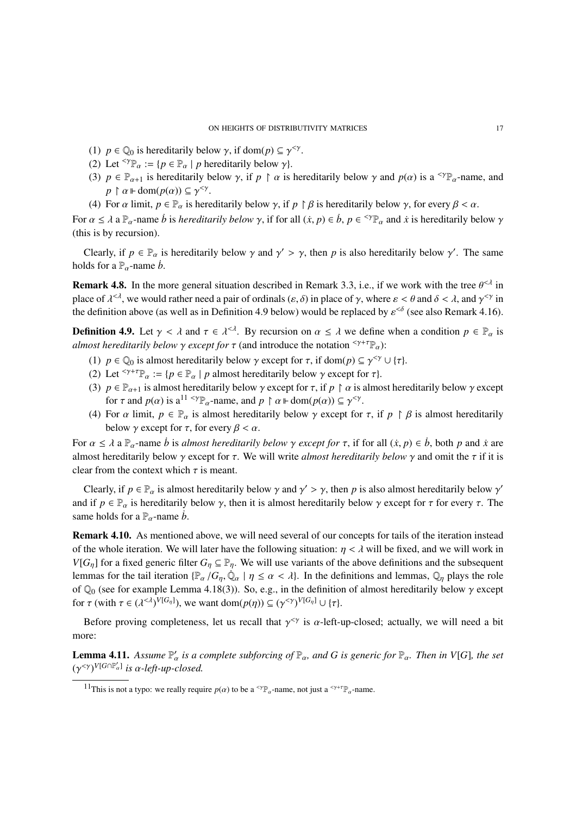- (1)  $p \in \mathbb{Q}_0$  is hereditarily below  $\gamma$ , if dom( $p$ )  $\subseteq \gamma^{\leq \gamma}$ .
- (2) Let <sup> $\langle \gamma} \mathbb{P}_{\alpha} := \{ p \in \mathbb{P}_{\alpha} \mid p \text{ hereditary below } \gamma \}.$ </sup>
- (3)  $p \in \mathbb{P}_{\alpha+1}$  is hereditarily below  $\gamma$ , if  $p \restriction \alpha$  is hereditarily below  $\gamma$  and  $p(\alpha)$  is a <sup>< $\gamma \mathbb{P}_{\alpha}$ -name, and</sup>  $p \restriction \alpha \Vdash \text{dom}(p(\alpha)) \subseteq \gamma^{\leq \gamma}.$
- (4) For  $\alpha$  limit,  $p \in \mathbb{P}_\alpha$  is hereditarily below  $\gamma$ , if  $p \upharpoonright \beta$  is hereditarily below  $\gamma$ , for every  $\beta < \alpha$ .

For  $\alpha \le \lambda$  a  $\mathbb{P}_{\alpha}$ -name *b* is *hereditarily below*  $\gamma$ , if for all  $(\dot{x}, p) \in \dot{b}$ ,  $p \in \text{supp}_{\alpha}$  and  $\dot{x}$  is hereditarily below  $\gamma$ (this is by recursion).

Clearly, if  $p \in \mathbb{P}_\alpha$  is hereditarily below  $\gamma$  and  $\gamma' > \gamma$ , then p is also hereditarily below  $\gamma'$ . The same holds for a  $\mathbb{P}_{\alpha}$ -name *b*.

**Remark 4.8.** In the more general situation described in Remark 3.3, i.e., if we work with the tree  $\theta^{\leq \lambda}$  in place of  $\lambda^{< \lambda}$ , we would rather need a pair of ordinals  $(\varepsilon, \delta)$  in place of  $\gamma$ , where  $\varepsilon < \theta$  and  $\delta < \lambda$ , and  $\gamma^{< \gamma}$  in the definition above (as well as in Definition 4.9 below) would be replaced by  $\varepsilon^{<\delta}$  (see also Remark 4.16).

**Definition 4.9.** Let  $\gamma < \lambda$  and  $\tau \in \lambda^{\leq \lambda}$ . By recursion on  $\alpha \leq \lambda$  we define when a condition  $p \in \mathbb{P}_{\alpha}$  is *almost hereditarily below*  $\gamma$  *except for*  $\tau$  (and introduce the notation  $\zeta^{\gamma+\tau} \mathbb{P}_{\alpha}$ ):

- (1)  $p \in \mathbb{Q}_0$  is almost hereditarily below  $\gamma$  except for  $\tau$ , if dom( $p$ )  $\subseteq \gamma^{\leq \gamma} \cup {\tau}$ .
- (2) Let  $\forall^{+} \mathbb{T}_{\alpha} := \{p \in \mathbb{P}_{\alpha} \mid p \text{ almost hereditary below } \gamma \text{ except for } \tau\}.$
- (3)  $p \in \mathbb{P}_{\alpha+1}$  is almost hereditarily below  $\gamma$  except for  $\tau$ , if  $p \restriction \alpha$  is almost hereditarily below  $\gamma$  except for  $\tau$  and  $p(\alpha)$  is a<sup>11 < $\gamma \mathbb{P}_{\alpha}$ -name, and  $p \restriction \alpha \models \text{dom}(p(\alpha)) \subseteq \gamma^{\leq \gamma}$ .</sup>
- (4) For  $\alpha$  limit,  $p \in \mathbb{P}_\alpha$  is almost hereditarily below  $\gamma$  except for  $\tau$ , if  $p \restriction \beta$  is almost hereditarily below  $\gamma$  except for  $\tau$ , for every  $\beta < \alpha$ .

For  $\alpha \le \lambda$  a  $\mathbb{P}_{\alpha}$ -name *b* is *almost hereditarily below*  $\gamma$  *except for*  $\tau$ , if for all  $(\dot{x}, p) \in \dot{b}$ , both *p* and  $\dot{x}$  are almost hereditarily below  $\gamma$  except for  $\tau$ . We will write *almost hereditarily below*  $\gamma$  and omit the  $\tau$  if it is clear from the context which  $\tau$  is meant.

Clearly, if  $p \in \mathbb{P}_\alpha$  is almost hereditarily below  $\gamma$  and  $\gamma' > \gamma$ , then p is also almost hereditarily below  $\gamma'$ and if  $p \in \mathbb{P}_\alpha$  is hereditarily below  $\gamma$ , then it is almost hereditarily below  $\gamma$  except for  $\tau$  for every  $\tau$ . The same holds for a  $\mathbb{P}_{\alpha}$ -name *b*.

Remark 4.10. As mentioned above, we will need several of our concepts for tails of the iteration instead of the whole iteration. We will later have the following situation:  $\eta < \lambda$  will be fixed, and we will work in *V*[ $G_n$ ] for a fixed generic filter  $G_n \subseteq \mathbb{P}_n$ . We will use variants of the above definitions and the subsequent lemmas for the tail iteration { $\mathbb{P}_{\alpha}/G_n$ ,  $\mathbb{Q}_{\alpha} \mid \eta \leq \alpha < \lambda$ }. In the definitions and lemmas,  $\mathbb{Q}_{\eta}$  plays the role of  $\mathbb{Q}_0$  (see for example Lemma 4.18(3)). So, e.g., in the definition of almost hereditarily below  $\gamma$  except for  $\tau$  (with  $\tau \in (\lambda^{<\lambda})^{V[G_\eta]}$ ), we want dom $(p(\eta)) \subseteq (\gamma^{<\gamma})^{V[G_\eta]} \cup {\tau}.$ 

Before proving completeness, let us recall that  $\gamma^{\leq \gamma}$  is  $\alpha$ -left-up-closed; actually, we will need a bit more:

**Lemma 4.11.** Assume  $\mathbb{P}'_\alpha$  is a complete subforcing of  $\mathbb{P}_\alpha$ , and G is generic for  $\mathbb{P}_\alpha$ . Then in V[G], the set  $(\gamma^{<\gamma})^{V[G\cap \mathbb{P}'_a]}$  *is*  $\alpha$ *-left-up-closed.* 

<sup>&</sup>lt;sup>11</sup>This is not a typo: we really require  $p(\alpha)$  to be a <sup>< $\gamma \mathbb{P}_{\alpha}$ -name, not just a <sup>< $\gamma+\tau \mathbb{P}_{\alpha}$ -name.</sup></sup>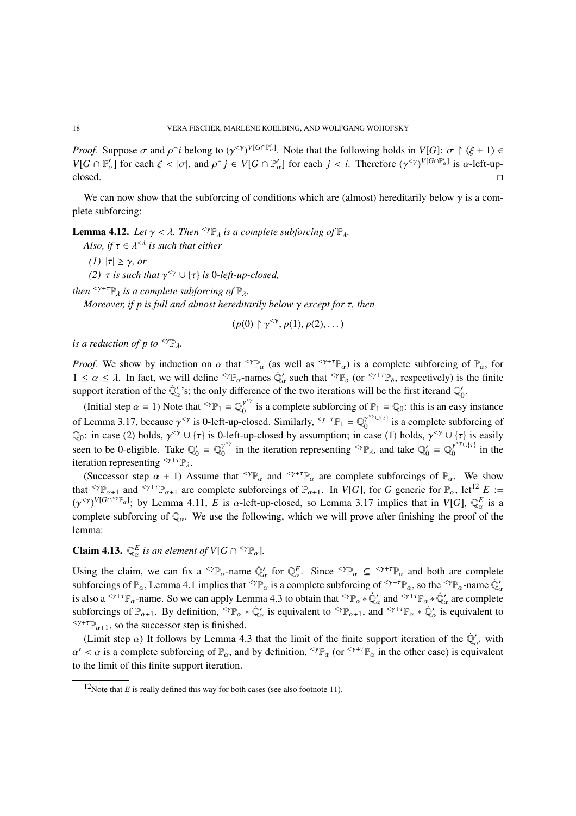*Proof.* Suppose  $\sigma$  and  $\rho^i$  belong to  $(\gamma^{\leq \gamma})^{V[G \cap \mathbb{P}'_a]}$ . Note that the following holds in  $V[G]$ :  $\sigma \upharpoonright (\xi + 1) \in$  $V[G \cap \mathbb{P}'_{\alpha}]$  for each  $\xi < |\sigma|$ , and  $\rho \hat{i} \in V[G \cap \mathbb{P}'_{\alpha}]$  for each  $j < i$ . Therefore  $(\gamma^{<\gamma})^{V[G \cap \mathbb{P}'_{\alpha}]}$  is  $\alpha$ -left-up- $\Box$ closed.  $\Box$ 

We can now show that the subforcing of conditions which are (almost) hereditarily below  $\gamma$  is a complete subforcing:

**Lemma 4.12.** Let  $\gamma < \lambda$ . Then <sup> $\gamma_{\mathbb{P}_{\lambda}}$  is a complete subforcing of  $\mathbb{P}_{\lambda}$ .</sup> *Also, if*  $\tau \in \lambda^{\leq \lambda}$  *is such that either* 

*(1)*  $|\tau| \geq \gamma$ *, or* 

*(2)*  $\tau$  *is such that*  $\gamma^{<\gamma} \cup {\tau}$  *is 0-left-up-closed.* 

*then*  $\langle \gamma + \tau \mathbb{P}_{\lambda} \rangle$  *is a complete subforcing of*  $\mathbb{P}_{\lambda}$ *.* 

*Moreover, if p is full and almost hereditarily below*  $\gamma$  *except for*  $\tau$ *, then* 

$$
(p(0) \upharpoonright \gamma^{\leq \gamma}, p(1), p(2), \dots)
$$

*is a reduction of p to*  $\langle \Psi \rangle$ .

*Proof.* We show by induction on  $\alpha$  that <sup>< $\gamma \mathbb{P}_{\alpha}$  (as well as <sup>< $\gamma+\tau \mathbb{P}_{\alpha}$ ) is a complete subforcing of  $\mathbb{P}_{\alpha}$ , for</sup></sup>  $1 \le \alpha \le \lambda$ . In fact, we will define  $\sup_{\alpha} \mathcal{Q}'_{\alpha}$  such that  $\sup_{\delta} (\text{or } \sup_{\delta} \text{, respectively})$  is the finite support iteration of the  $\dot{\mathbb{Q}}'_\alpha$ 's; the only difference of the two iterations will be the first iterand  $\mathbb{Q}'_0$ .

(Initial step  $\alpha = 1$ ) Note that <sup> $\langle \gamma \mathbb{P}_1 = \mathbb{Q}_0^{\gamma \langle \gamma \rangle}$  is a complete subforcing of  $\mathbb{P}_1 = \mathbb{Q}_0$ : this is an easy instance</sup> of Lemma 3.17, because  $\gamma^{<\gamma}$  is 0-left-up-closed. Similarly,  $\gamma^{+} \mathbb{P}_1 = \mathbb{Q}_0^{\gamma^{<\gamma} \cup \{\tau\}}$  is a complete subforcing of Q<sub>0</sub>: in case (2) holds,  $\gamma^{<\gamma} \cup {\tau}$  is 0-left-up-closed by assumption; in case (1) holds,  $\gamma^{<\gamma} \cup {\tau}$  is easily seen to be 0-eligible. Take  $\mathbb{Q}'_0 = \mathbb{Q}_0^{\gamma^{<\gamma}}$  in the iteration representing  $\gamma_{\mathbb{P}_\lambda}$ , and take  $\mathbb{Q}'_0 = \mathbb{Q}_0^{\gamma^{<\gamma} \cup \{\tau\}}$  in the iteration representing  $\zeta^{\gamma+\tau} \mathbb{P}_{\lambda}$ .

(Successor step  $\alpha + 1$ ) Assume that  $^{<\gamma} \mathbb{P}_{\alpha}$  and  $^{<\gamma + \tau} \mathbb{P}_{\alpha}$  are complete subforcings of  $\mathbb{P}_{\alpha}$ . We show that  $^{<\gamma} \mathbb{P}_{\alpha+1}$  and  $^{<\gamma+\tau} \mathbb{P}_{\alpha+1}$  are complete subforcings of  $\mathbb{P}_{\alpha+1}$ . In *V*[*G*], for *G* generic for  $\mathbb{P}_{\alpha}$ , let<sup>12</sup> *E* :=  $(\gamma^{<\gamma})^{V[G\cap^{<\gamma} \mathbb{P}_\alpha]}$ ; by Lemma 4.11, *E* is  $\alpha$ -left-up-closed, so Lemma 3.17 implies that in *V*[*G*],  $\mathbb{Q}_\alpha^E$  is a complete subforcing of  $\mathbb{Q}_\alpha$ . We use the following, which we will prove after finishing the proof of the lemma:

**Claim 4.13.**  $\mathbb{Q}_{\alpha}^{E}$  *is an element of V*[ $G \cap \sqrt{\alpha} \mathbb{P}_{\alpha}$ ].

Using the claim, we can fix a <sup>< $\gamma \mathbb{P}_{\alpha}$ -name  $\dot{\mathbb{Q}}'_{\alpha}$  for  $\mathbb{Q}^E_{\alpha}$ . Since  $\gamma \mathbb{P}_{\alpha} \subseteq \dot{\gamma} + \tau \mathbb{P}_{\alpha}$  and both are complete</sup> subforcings of  $\mathbb{P}_{\alpha}$ , Lemma 4.1 implies that  $\leq \mathbb{P}_{\alpha}$  is a complete subforcing of  $\leq \gamma + \tau \mathbb{P}_{\alpha}$ , so the  $\leq \gamma \mathbb{P}_{\alpha}$ -name  $\dot{\mathbb{Q}}'_{\alpha}$ is also a <sup> $\lt^{\gamma+\tau} \mathbb{P}_{\alpha}$ -name. So we can apply Lemma 4.3 to obtain that  $\lt^{\gamma} \mathbb{P}_{\alpha} * \mathbb{Q}'_{\alpha}$  and  $\lt^{\gamma+\tau} \mathbb{P}_{\alpha} * \mathbb{Q}'_{\alpha}$  are complete</sup> subforcings of  $\mathbb{P}_{\alpha+1}$ . By definition,  $^{<\gamma}\mathbb{P}_{\alpha} * \dot{\mathbb{Q}}'_{\alpha}$  is equivalent to  $^{<\gamma}\mathbb{P}_{\alpha+1}$ , and  $^{<\gamma+\tau}\mathbb{P}_{\alpha} * \dot{\mathbb{Q}}'_{\alpha}$  is equivalent to  $^{<\gamma+\tau}\mathbb{P}_{\alpha+1}$ , so the successor step is finished.

(Limit step  $\alpha$ ) It follows by Lemma 4.3 that the limit of the finite support iteration of the  $\dot{\mathbb{Q}}'_{\alpha'}$ , with  $\alpha' < \alpha$  is a complete subforcing of  $\mathbb{P}_{\alpha}$ , and by definition,  $\langle \gamma \mathbb{P}_{\alpha} \rangle$  (or  $\langle \gamma + \gamma \mathbb{P}_{\alpha} \rangle$  in the other case) is equivalent to the limit of this finite support iteration.

<sup>&</sup>lt;sup>12</sup>Note that *E* is really defined this way for both cases (see also footnote 11).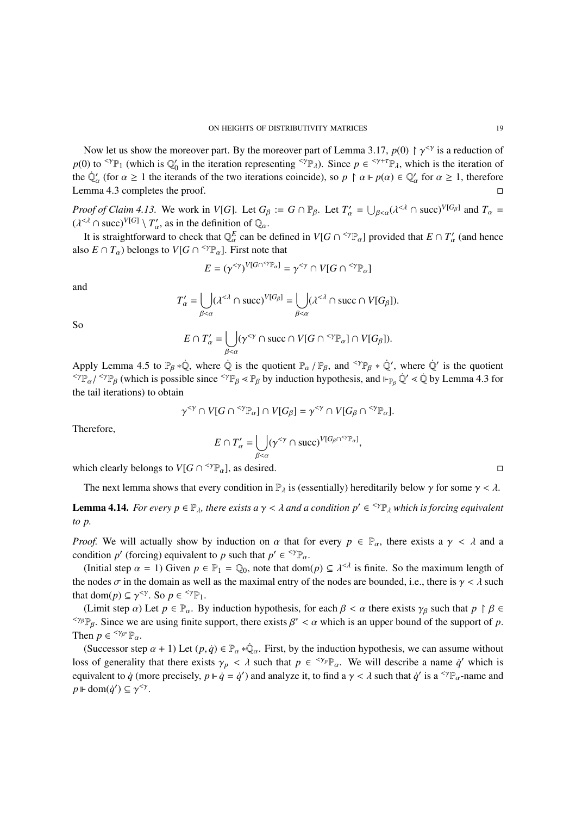Now let us show the moreover part. By the moreover part of Lemma 3.17,  $p(0) \upharpoonright \gamma^{<\gamma}$  is a reduction of  $p(0)$  to <sup> $ltp \gamma \mathbb{P}_1$  (which is  $\mathbb{Q}'_0$  in the iteration representing  $\langle \gamma \mathbb{P}_\lambda \rangle$ . Since  $p \in \langle \gamma + \tau \mathbb{P}_\lambda$ , which is the iteration of</sup> the  $\dot{\mathbb{Q}}'_\alpha$  (for  $\alpha \ge 1$  the iterands of the two iterations coincide), so  $p \restriction \alpha \Vdash p(\alpha) \in \mathbb{Q}'_\alpha$  for  $\alpha \ge 1$ , therefore Lemma 4.3 completes the proof.

*Proof of Claim 4.13.* We work in *V*[*G*]. Let  $G_\beta := G \cap \mathbb{P}_\beta$ . Let  $T'_\alpha = \bigcup_{\beta < \alpha} (\lambda^{<\lambda} \cap \text{succ})^{V[G_\beta]}$  and  $T_\alpha =$  $(\lambda^{<\lambda} \cap \text{succ})^{V[G]} \setminus T'_\alpha$ , as in the definition of  $\mathbb{Q}_\alpha$ .

It is straightforward to check that  $\mathbb{Q}_{\alpha}^E$  can be defined in  $V[G \cap \{^\forall \mathbb{P}_{\alpha}\}]$  provided that  $E \cap T'_\alpha$  (and hence also  $E \cap T_\alpha$ ) belongs to  $V[G \cap {}^{<\gamma} \mathbb{P}_\alpha]$ . First note that

$$
E=(\gamma^{<\gamma})^{V[G\cap^{<\gamma}\mathbb{P}_\alpha]}=\gamma^{<\gamma}\cap V[G\cap^{<\gamma}\mathbb{P}_\alpha]
$$

and

$$
T'_{\alpha} = \bigcup_{\beta < \alpha} (\lambda < \lambda \cap \text{succ})^{V[G_{\beta}]} = \bigcup_{\beta < \alpha} (\lambda < \lambda \cap \text{succ} \cap V[G_{\beta}]).
$$

So

$$
E \cap T'_{\alpha} = \bigcup_{\beta < \alpha} (\gamma^{<\gamma} \cap \text{succ} \cap V[G \cap {}^{<\gamma} \mathbb{P}_{\alpha}] \cap V[G_{\beta}]).
$$

Apply Lemma 4.5 to  $\mathbb{P}_{\beta} * \dot{\mathbb{Q}}$ , where  $\dot{\mathbb{Q}}$  is the quotient  $\mathbb{P}_{\alpha} / \mathbb{P}_{\beta}$ , and  $\langle \mathbb{P}_{\beta} * \dot{\mathbb{Q}}'$ , where  $\dot{\mathbb{Q}}'$  is the quotient  $\langle \Psi_{\mathbb{P}_{\alpha}} \rangle$   $\langle \Psi_{\beta} \rangle$  (which is possible since  $\langle \Psi_{\beta} \rangle \langle \Psi_{\beta} \rangle$  by induction hypothesis, and  $\mathbb{F}_{\mathbb{P}_{\beta}} \mathbb{Q}' \langle \Psi_{\beta} \rangle$  Lemma 4.3 for the tail iterations) to obtain

$$
\gamma^{\leq \gamma} \cap V[G \cap {}^{<\gamma} \mathbb{P}_{\alpha}] \cap V[G_{\beta}] = \gamma^{\leq \gamma} \cap V[G_{\beta} \cap {}^{<\gamma} \mathbb{P}_{\alpha}].
$$

Therefore,

$$
E \cap T'_{\alpha} = \bigcup_{\beta < \alpha} (\gamma^{<\gamma} \cap \text{succ})^{V[G_{\beta} \cap {}^{<\gamma} \mathbb{P}_{\alpha}]},
$$

which clearly belongs to  $V[G \cap {}^{<\gamma} \mathbb{P}_{\alpha}]$ , as desired.

The next lemma shows that every condition in  $\mathbb{P}_{\lambda}$  is (essentially) hereditarily below  $\gamma$  for some  $\gamma < \lambda$ .

**Lemma 4.14.** *For every*  $p \in \mathbb{P}_{\lambda}$ *, there exists a*  $\gamma < \lambda$  *and a condition*  $p' \in \{^{\text{op}}\}$  *which is forcing equivalent to p.*

*Proof.* We will actually show by induction on  $\alpha$  that for every  $p \in \mathbb{P}_{\alpha}$ , there exists a  $\gamma < \lambda$  and a condition *p'* (forcing) equivalent to *p* such that  $p' \in \mathcal{P}_{\mathbb{R}}$ .

(Initial step  $\alpha = 1$ ) Given  $p \in \mathbb{P}_1 = \mathbb{Q}_0$ , note that dom( $p \in \lambda^{\leq \lambda}$  is finite. So the maximum length of the nodes  $\sigma$  in the domain as well as the maximal entry of the nodes are bounded, i.e., there is  $\gamma < \lambda$  such that dom(*p*)  $\subseteq \gamma^{<\gamma}$ . So  $p \in {}^{\leq \gamma} \mathbb{P}_1$ .<br>(Limit step  $\alpha$ ) Let  $p \in \mathbb{P}_\alpha$ . By induction hypothesis, for each  $\beta < \alpha$  there exists  $\gamma_\beta$  such that  $p \upharpoonright \beta \in$ 

<sup> $lt;γβ$ </sup> $\mathbb{P}_β$ . Since we are using finite support, there exists  $β^* < α$  which is an upper bound of the support of *p*. Then  $p \in {}^{<\gamma_{\beta^*}}\mathbb{P}_{\alpha}$ .

(Successor step  $\alpha + 1$ ) Let  $(p, \dot{q}) \in \mathbb{P}_{\alpha} * \dot{\mathbb{Q}}_{\alpha}$ . First, by the induction hypothesis, we can assume without loss of generality that there exists  $\gamma_p < \lambda$  such that  $p \in {}^{<\gamma_p} \mathbb{P}_{\alpha}$ . We will describe a name  $\dot{q}$  which is equivalent to  $\dot{q}$  (more precisely,  $p \Vdash \dot{q} = \dot{q}'$ ) and analyze it, to find a  $\gamma < \lambda$  such that  $\dot{q}'$  is a <sup>< $\gamma \mathbb{P}_\alpha$ -name and</sup>  $p \Vdash \text{dom}(\dot{q}') \subseteq \gamma^{\leq \gamma}$ .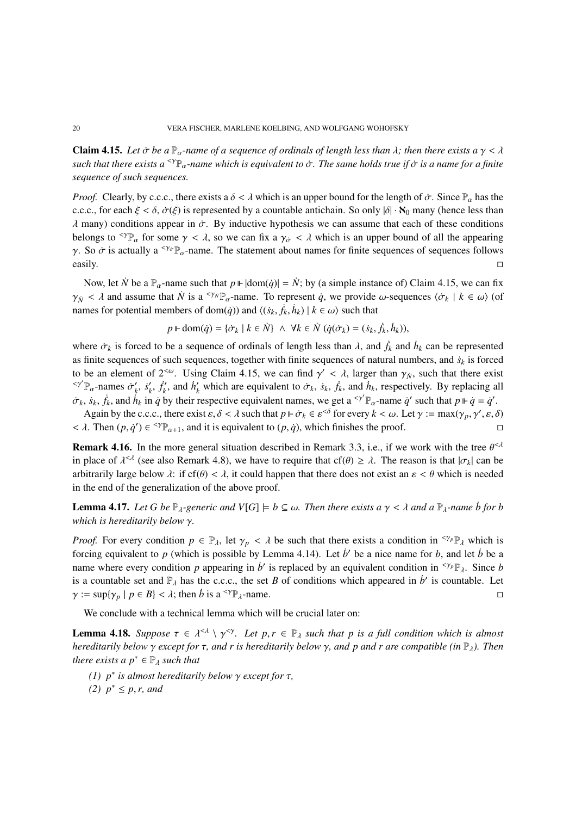**Claim 4.15.** Let  $\dot{\sigma}$  be a  $\mathbb{P}_{\alpha}$ -name of a sequence of ordinals of length less than  $\lambda$ ; then there exists a  $\gamma < \lambda$ *such that there exists a* <sup> $< \gamma$ </sup> $\mathbb{P}_\alpha$ -name which is equivalent to  $\dot{\sigma}$ . The same holds true if  $\dot{\sigma}$  is a name for a finite *sequence of such sequences.*

*Proof.* Clearly, by c.c.c., there exists a  $\delta < \lambda$  which is an upper bound for the length of  $\dot{\sigma}$ . Since  $\mathbb{P}_{\alpha}$  has the c.c.c., for each  $\xi < \delta$ ,  $\dot{\sigma}(\xi)$  is represented by a countable antichain. So only  $|\delta| \cdot \aleph_0$  many (hence less than  $\lambda$  many) conditions appear in  $\dot{\sigma}$ . By inductive hypothesis we can assume that each of these conditions belongs to  $^{<\gamma} \mathbb{P}_{\alpha}$  for some  $\gamma < \lambda$ , so we can fix a  $\gamma_{\sigma} < \lambda$  which is an upper bound of all the appearing  $\gamma$ . So  $\dot{\sigma}$  is actually a  $\langle \nu_{\sigma} \rangle_{\alpha}$ -name. The statement about names for finite sequences of sequences follows easily.  $\Box$ 

Now, let  $\dot{N}$  be a  $\mathbb{P}_{\alpha}$ -name such that  $p \Vdash |\text{dom}(\dot{q})| = \dot{N}$ ; by (a simple instance of) Claim 4.15, we can fix  $\gamma_{N}$  < *λ* and assume that  $\dot{N}$  is a <sup>< $\gamma_{N}$ </sup>  $\mathbb{P}_{\alpha}$ -name. To represent  $\dot{q}$ , we provide  $\omega$ -sequences  $\langle \dot{\sigma}_k | k \in \omega \rangle$  (of names for potential members of dom(*q*)) and  $\langle (s_k, \dot{f}_k, \dot{h}_k) | k \in \omega \rangle$  such that

$$
p \Vdash \text{dom}(\dot{q}) = \{ \dot{\sigma}_k \mid k \in \dot{N} \} \ \land \ \forall k \in \dot{N} \ (\dot{q}(\dot{\sigma}_k) = (\dot{s}_k, \dot{f}_k, \dot{h}_k)),
$$

where  $\dot{\sigma}_k$  is forced to be a sequence of ordinals of length less than  $\lambda$ , and  $\dot{f}_k$  and  $\dot{h}_k$  can be represented as finite sequences of such sequences, together with finite sequences of natural numbers, and  $\dot{s}_k$  is forced to be an element of  $2<sup>{<\omega}</sup>$ . Using Claim 4.15, we can find  $\gamma' < \lambda$ , larger than  $\gamma_N$ , such that there exist  $\mathbb{P}_{\alpha}$ -names  $\dot{\sigma}'_k$ ,  $\dot{s}'_k$ ,  $\dot{f}'_k$ , and  $\dot{h}'_k$  which are equivalent to  $\dot{\sigma}_k$ ,  $\dot{s}_k$ ,  $\dot{f}_k$ , and  $\dot{h}_k$ , respectively. By replacing all  $\dot{\sigma}_k$ ,  $\dot{s}_k$ ,  $\dot{f}_k$ , and  $\dot{h}_k$  in  $\dot{q}$  by their respective equivalent names, we get a <sup>< $\gamma' \mathbb{P}_{\alpha}$ -name  $\dot{q}'$  such that  $p \Vdash \dot{q} = \dot{q}'$ .</sup>

Again by the c.c.c., there exist  $\varepsilon, \delta < \lambda$  such that  $p \Vdash \dot{\sigma}_k \in \varepsilon^{<\delta}$  for every  $k < \omega$ . Let  $\gamma := \max(\gamma_p, \gamma', \varepsilon, \delta)$  $< \lambda$ . Then  $(p, \dot{q}') \in {}^{<\gamma} \mathbb{P}_{\alpha+1}$ , and it is equivalent to  $(p, \dot{q})$ , which finishes the proof.

**Remark 4.16.** In the more general situation described in Remark 3.3, i.e., if we work with the tree  $\theta^{\lt \lambda}$ in place of  $\lambda^{< \lambda}$  (see also Remark 4.8), we have to require that cf( $\theta$ )  $\geq \lambda$ . The reason is that  $|\sigma_k|$  can be arbitrarily large below  $\lambda$ : if cf( $\theta$ ) <  $\lambda$ , it could happen that there does not exist an  $\varepsilon < \theta$  which is needed in the end of the generalization of the above proof.

**Lemma 4.17.** Let G be  $\mathbb{P}_{\lambda}$ -generic and  $V[G] \models b \subseteq \omega$ . Then there exists a  $\gamma < \lambda$  and a  $\mathbb{P}_{\lambda}$ -name b for b *which is hereditarily below γ.* 

*Proof.* For every condition  $p \in \mathbb{P}_{\lambda}$ , let  $\gamma_p < \lambda$  be such that there exists a condition in  $\langle \gamma_p \mathbb{P}_{\lambda} \rangle$  which is forcing equivalent to  $p$  (which is possible by Lemma 4.14). Let  $\dot{b}$ <sup>'</sup> be a nice name for  $b$ , and let  $\dot{b}$  be a name where every condition *p* appearing in *b*<sup> $\prime$ </sup> is replaced by an equivalent condition in  $\langle \gamma_p \rangle$ . Since *b* is a countable set and  $\mathbb{P}_{\lambda}$  has the c.c.c., the set *B* of conditions which appeared in *b*<sup> $\prime$ </sup> is countable. Let  $\gamma := \sup\{\gamma_p \mid p \in B\} < \lambda$ ; then *b* is a <sup>< $\gamma p$ </sup><sub> $\lambda$ </sub>-name.

We conclude with a technical lemma which will be crucial later on:

**Lemma 4.18.** Suppose  $\tau \in \lambda^{\leq \lambda} \setminus \gamma^{\leq \gamma}$ . Let  $p, r \in \mathbb{P}_{\lambda}$  such that p is a full condition which is almost *hereditarily below*  $\gamma$  *except for*  $\tau$ *, and r is hereditarily below*  $\gamma$ *, and p and r are compatible (in*  $\mathbb{P}_{\lambda}$ )*. Then there exists a*  $p^* \in \mathbb{P}_\lambda$  *such that* 

- *(1)*  $p^*$  *is almost hereditarily below*  $\gamma$  *except for*  $\tau$ *,*
- *(2)*  $p^* \leq p, r, and$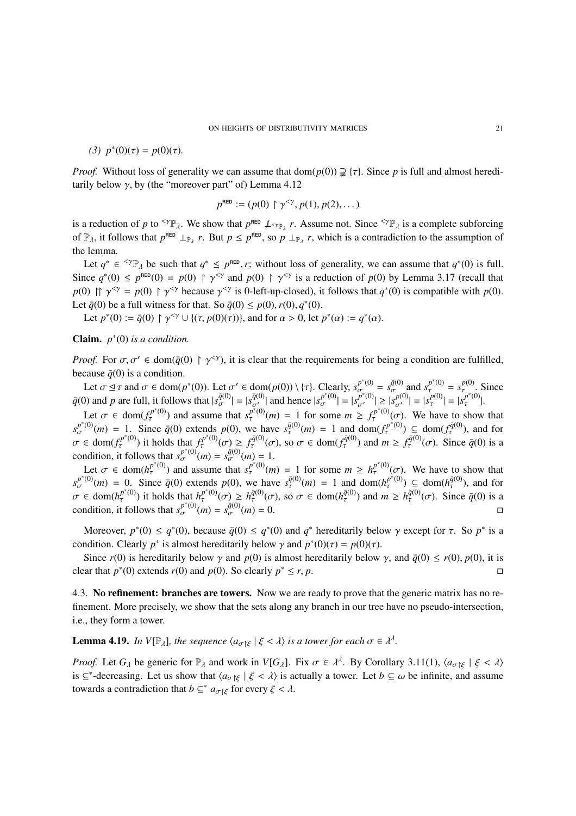(3) 
$$
p^*(0)(\tau) = p(0)(\tau)
$$
.

*Proof.* Without loss of generality we can assume that dom( $p(0)$ )  $\geq \{\tau\}$ . Since *p* is full and almost hereditarily below  $\gamma$ , by (the "moreover part" of) Lemma 4.12

$$
p^{\text{RED}} := (p(0) \upharpoonright \gamma^{<\gamma}, p(1), p(2), \dots)
$$

is a reduction of p to  $\langle P \rangle$ . We show that  $p^{\text{RED}} \not\perp_{\langle P \rangle} r$ . Assume not. Since  $\langle P \rangle$  is a complete subforcing of  $\mathbb{P}_{\lambda}$ , it follows that  $p^{\text{RED}} \perp_{\mathbb{P}_{\lambda}} r$ . But  $p \leq p^{\text{RED}}$ , so  $p \perp_{\mathbb{P}_{\lambda}} r$ , which is a contradiction to the assumption of the lemma.

Let  $q^* \in {}^{<\gamma} \mathbb{P}_{\lambda}$  be such that  $q^* \leq p^{\text{RED}}$ , *r*; without loss of generality, we can assume that  $q^*(0)$  is full. Since  $q^*(0) \le p^{\text{RED}}(0) = p(0) \upharpoonright \gamma^{<\gamma}$  and  $p(0) \upharpoonright \gamma^{<\gamma}$  is a reduction of  $p(0)$  by Lemma 3.17 (recall that *p*(0)  $\uparrow \uparrow \uparrow^{\leq \gamma} = p(0) \uparrow \uparrow^{\leq \gamma}$  because  $\uparrow^{\leq \gamma}$  is 0-left-up-closed), it follows that  $q^*(0)$  is compatible with *p*(0). Let  $\bar{q}(0)$  be a full witness for that. So  $\bar{q}(0) \leq p(0), r(0), q^*(0)$ .

Let  $p^*(0) := \bar{q}(0) \upharpoonright \gamma^{<\gamma} \cup \{(\tau, p(0)(\tau))\}$ , and for  $\alpha > 0$ , let  $p^*(\alpha) := q^*(\alpha)$ .

Claim.  $p^*(0)$  *is a condition.* 

*Proof.* For  $\sigma, \sigma' \in \text{dom}(\bar{q}(0) \upharpoonright \gamma^{<\gamma})$ , it is clear that the requirements for being a condition are fulfilled, because  $\bar{q}(0)$  is a condition.

Let  $\sigma \leq \tau$  and  $\sigma \in \text{dom}(p^*(0))$ . Let  $\sigma' \in \text{dom}(p(0)) \setminus {\tau}$ . Clearly,  $s_{\sigma}^{p^*(0)} = s_{\sigma}^{\bar{q}(0)}$  and  $s_{\tau}^{p^*(0)} = s_{\tau}^{p(0)}$ . Since  $\bar{q}(0)$  and p are full, it follows that  $|s_{\sigma}^{\bar{q}(0)}| = |s_{\sigma'}^{\bar{q}(0)}|$  and hence  $|s_{\sigma}^{p^*(0)}| = |s_{\sigma'}^{p^*(0)}| \ge |s_{\sigma'}^{p(0)}| = |s_{\tau}^{p(0)}| = |s_{\tau}^{p^*(0)}|$ .

Let  $\sigma \in \text{dom}(f^{p^*(0)}_\tau)$  and assume that  $s^{p^*(0)}_\tau(m) = 1$  for some  $m \geq f^{p^*(0)}_\tau(\sigma)$ . We have to show that  $s_{\sigma}^{p^*(0)}(m) = 1$ . Since  $\bar{q}(0)$  extends  $p(0)$ , we have  $s_{\tau}^{\bar{q}(0)}(m) = 1$  and  $\text{dom}(f_{\tau}^{p^*(0)}) \subseteq \text{dom}(f_{\tau}^{\bar{q}(0)})$ , and for  $\sigma \in \text{dom}(f^{p^*(0)}_{\tau})$  it holds that  $f^{p^*(0)}_{\tau}(\sigma) \geq f^{q(0)}_{\tau}(\sigma)$ , so  $\sigma \in \text{dom}(f^{q(0)}_{\tau})$  and  $m \geq f^{q(0)}_{\tau}(\sigma)$ . Since  $\bar{q}(0)$  is a condition, it follows that  $s_{\sigma}^{p^*(0)}(m) = s_{\sigma}^{\bar{q}(0)}(m) = 1$ .

Let  $\sigma \in \text{dom}(h_\tau^{p^*(0)})$  and assume that  $s_\tau^{p^*(0)}(m) = 1$  for some  $m \geq h_\tau^{p^*(0)}(\sigma)$ . We have to show that  $s_{\sigma}^{p^*(0)}(m) = 0$ . Since  $\bar{q}(0)$  extends  $p(0)$ , we have  $s_{\tau}^{q(0)}(m) = 1$  and  $\text{dom}(h_{\tau}^{p^*(0)}) \subseteq \text{dom}(h_{\tau}^{q(0)})$ , and for  $\sigma \in \text{dom}(h_{\tau}^{p^*(0)})$  it holds that  $h_{\tau}^{p^*(0)}(\sigma) \geq h_{\tau}^{\bar{q}(0)}(\sigma)$ , so  $\sigma \in \text{dom}(h_{\tau}^{\bar{q}(0)})$  and  $m \geq h_{\tau}^{\bar{q}(0)}(\sigma)$ . Since  $\bar{q}(0)$  is a condition, it follows that  $s_{\sigma}^{p^*(0)}(m) = s_{\sigma}^{\bar{q}(0)}(m) = 0$ .

Moreover,  $p^*(0) \le q^*(0)$ , because  $\bar{q}(0) \le q^*(0)$  and  $q^*$  hereditarily below  $\gamma$  except for  $\tau$ . So  $p^*$  is a condition. Clearly *p*<sup> $*$ </sup> is almost hereditarily below  $\gamma$  and  $p^*(0)(\tau) = p(0)(\tau)$ .

Since  $r(0)$  is hereditarily below  $\gamma$  and  $p(0)$  is almost hereditarily below  $\gamma$ , and  $\bar{q}(0) \leq r(0)$ ,  $p(0)$ , it is clear that  $p^*(0)$  extends  $r(0)$  and  $p(0)$ . So clearly  $p^* \le r$ , *p*.

4.3. No refinement: branches are towers. Now we are ready to prove that the generic matrix has no refinement. More precisely, we show that the sets along any branch in our tree have no pseudo-intersection, i.e., they form a tower.

**Lemma 4.19.** *In V*[ $\mathbb{P}_{\lambda}$ ]*, the sequence*  $\langle a_{\sigma} \rangle \xi \rangle \xi \langle \lambda \rangle$  *is a tower for each*  $\sigma \in \lambda^{\lambda}$ *.* 

*Proof.* Let  $G_{\lambda}$  be generic for  $\mathbb{P}_{\lambda}$  and work in  $V[G_{\lambda}]$ . Fix  $\sigma \in \lambda^{\lambda}$ . By Corollary 3.11(1),  $\langle a_{\sigma} \rangle \in \langle \xi \times \lambda \rangle$ is  $\subseteq^*$ -decreasing. Let us show that  $\langle a_{\sigma \upharpoonright \xi} | \xi < \lambda \rangle$  is actually a tower. Let  $b \subseteq \omega$  be infinite, and assume towards a contradiction that  $b \subseteq^* a_{\sigma \upharpoonright \xi}$  for every  $\xi < \lambda$ .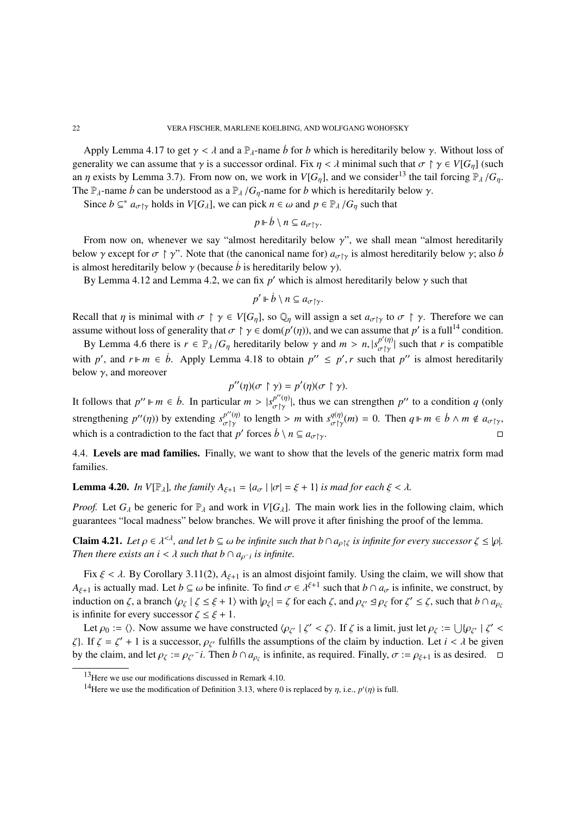Apply Lemma 4.17 to get  $\gamma < \lambda$  and a  $\mathbb{P}_{\lambda}$ -name *b* for *b* which is hereditarily below  $\gamma$ . Without loss of generality we can assume that  $\gamma$  is a successor ordinal. Fix  $\eta < \lambda$  minimal such that  $\sigma \upharpoonright \gamma \in V[G_n]$  (such an  $\eta$  exists by Lemma 3.7). From now on, we work in  $V[G_n]$ , and we consider<sup>13</sup> the tail forcing  $\mathbb{P}_\lambda/G_n$ . The  $\mathbb{P}_{\lambda}$ -name *b*<sup>i</sup> can be understood as a  $\mathbb{P}_{\lambda}/G_{\eta}$ -name for *b* which is hereditarily below  $\gamma$ .

Since  $b \subseteq^* a_{\sigma \upharpoonright \gamma}$  holds in  $V[G_\lambda]$ , we can pick  $n \in \omega$  and  $p \in \mathbb{P}_\lambda / G_\eta$  such that

$$
p \Vdash \dot{b} \setminus n \subseteq a_{\sigma \upharpoonright \gamma}.
$$

From now on, whenever we say "almost hereditarily below  $\gamma$ ", we shall mean "almost hereditarily below  $\gamma$  except for  $\sigma \upharpoonright \gamma$ ". Note that (the canonical name for)  $a_{\sigma\upharpoonright \gamma}$  is almost hereditarily below  $\gamma$ ; also *b* is almost hereditarily below  $\gamma$  (because *b* is hereditarily below  $\gamma$ ).

By Lemma 4.12 and Lemma 4.2, we can fix  $p'$  which is almost hereditarily below  $\gamma$  such that

$$
p' \Vdash \dot{b} \setminus n \subseteq a_{\sigma \upharpoonright \gamma}.
$$

Recall that  $\eta$  is minimal with  $\sigma \restriction \gamma \in V[G_\eta]$ , so  $\mathbb{Q}_\eta$  will assign a set  $a_{\sigma \restriction \gamma}$  to  $\sigma \restriction \gamma$ . Therefore we can assume without loss of generality that  $\sigma \restriction \gamma \in \text{dom}(p'(\eta))$ , and we can assume that  $p'$  is a full<sup>14</sup> condition.

By Lemma 4.6 there is  $r \in \mathbb{P}_\lambda/G_\eta$  hereditarily below  $\gamma$  and  $m > n$ ,  $|s_{\sigma\uparrow\gamma}^{p'(n)}|$  such that *r* is compatible with *p'*, and  $r \Vdash m \in \dot{b}$ . Apply Lemma 4.18 to obtain  $p'' \leq p'$ , *r* such that  $p''$  is almost hereditarily below  $\gamma$ , and moreover

$$
p''(\eta)(\sigma \upharpoonright \gamma) = p'(\eta)(\sigma \upharpoonright \gamma).
$$

It follows that  $p'' \vDash m \in \dot{b}$ . In particular  $m > |s^{p''(\eta)}_{\sigma \upharpoonright \gamma}|$ , thus we can strengthen  $p''$  to a condition *q* (only strengthening  $p''(\eta)$  by extending  $s_{\sigma \uparrow \gamma}^{p''(\eta)}$  to length > *m* with  $s_{\sigma \uparrow \gamma}^{q(\eta)}(m) = 0$ . Then  $q \Vdash m \in \dot{b} \land m \notin a_{\sigma \uparrow \gamma}$ , which is a contradiction to the fact that *p'* forces  $\dot{b} \setminus n \subseteq a_{\sigma\uparrow\gamma}$ .

4.4. Levels are mad families. Finally, we want to show that the levels of the generic matrix form mad families.

**Lemma 4.20.** *In V*[ $\mathbb{P}_{\lambda}$ ], *the family A*<sub> $\xi+1$ </sub> = { $a_{\sigma}$  |  $|\sigma|$  =  $\xi$  + 1} *is mad for each*  $\xi$  <  $\lambda$ .

*Proof.* Let  $G_\lambda$  be generic for  $\mathbb{P}_\lambda$  and work in  $V[G_\lambda]$ . The main work lies in the following claim, which guarantees "local madness" below branches. We will prove it after finishing the proof of the lemma.

**Claim 4.21.** Let  $\rho \in \lambda^{\leq \lambda}$ , and let  $b \subseteq \omega$  be infinite such that  $b \cap a_{\rho \upharpoonright \zeta}$  is infinite for every successor  $\zeta \leq |\rho|$ . *Then there exists an i* <  $\lambda$  *such that b*  $\cap$   $a_{\alpha\beta}$ *i is infinite.* 

Fix  $\xi < \lambda$ . By Corollary 3.11(2),  $A_{\xi+1}$  is an almost disjoint family. Using the claim, we will show that *A* $_{\xi+1}$  is actually mad. Let  $b \subseteq \omega$  be infinite. To find  $\sigma \in \lambda^{\xi+1}$  such that  $b \cap a_{\sigma}$  is infinite, we construct, by induction on  $\zeta$ , a branch  $\langle \rho_{\zeta} | \zeta \leq \xi + 1 \rangle$  with  $|\rho_{\zeta}| = \zeta$  for each  $\zeta$ , and  $\rho_{\zeta'} \leq \rho_{\zeta}$  for  $\zeta' \leq \zeta$ , such that  $b \cap a_{\rho_{\zeta}}$ is infinite for every successor  $\zeta \leq \xi + 1$ .

Let  $\rho_0 := \langle \rangle$ . Now assume we have constructed  $\langle \rho_{\zeta'} | \zeta' < \zeta \rangle$ . If  $\zeta$  is a limit, just let  $\rho_{\zeta} := \bigcup \{ \rho_{\zeta'} | \zeta' < \zeta \}$  $\zeta$ . If  $\zeta = \zeta' + 1$  is a successor,  $\rho_{\zeta'}$  fulfills the assumptions of the claim by induction. Let  $i < \lambda$  be given by the claim, and let  $\rho_{\zeta} := \rho_{\zeta'}\hat{i}$ . Then  $b \cap a_{\rho_{\zeta}}$  is infinite, as required. Finally,  $\sigma := \rho_{\zeta+1}$  is as desired.  $\Box$ 

<sup>&</sup>lt;sup>13</sup>Here we use our modifications discussed in Remark 4.10.

<sup>&</sup>lt;sup>14</sup>Here we use the modification of Definition 3.13, where 0 is replaced by  $\eta$ , i.e.,  $p'(\eta)$  is full.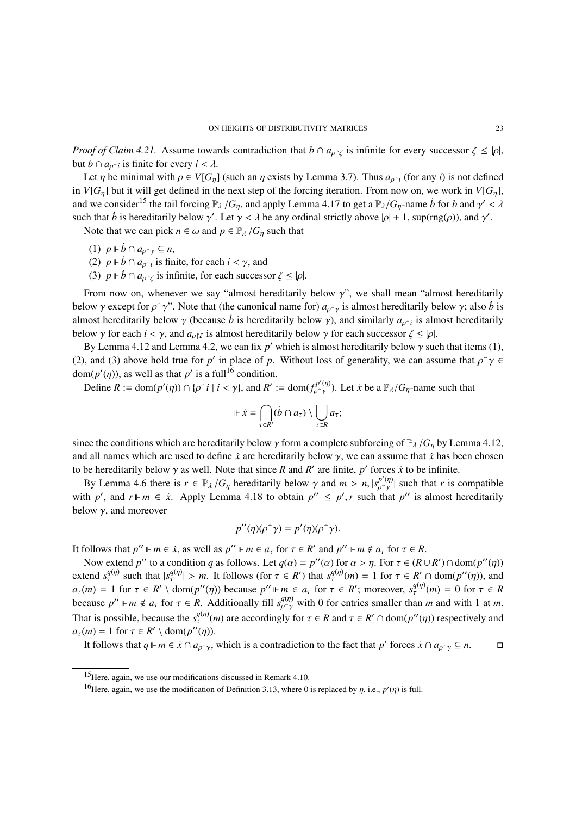*Proof of Claim 4.21.* Assume towards contradiction that  $b \cap a_{\rho\upharpoonright\zeta}$  is infinite for every successor  $\zeta \leq |\rho|$ , but  $b \cap a_{\alpha \cap i}$  is finite for every  $i < \lambda$ .

Let  $\eta$  be minimal with  $\rho \in V[G_n]$  (such an  $\eta$  exists by Lemma 3.7). Thus  $a_{\rho \gamma i}$  (for any *i*) is not defined in *V*[ $G_n$ ] but it will get defined in the next step of the forcing iteration. From now on, we work in *V*[ $G_n$ ], and we consider<sup>15</sup> the tail forcing  $\mathbb{P}_\lambda/G_\eta$ , and apply Lemma 4.17 to get a  $\mathbb{P}_\lambda/G_\eta$ -name *b* for *b* and  $\gamma' < \lambda$ such that *b* is hereditarily below  $\gamma'$ . Let  $\gamma < \lambda$  be any ordinal strictly above  $|\rho| + 1$ , sup(rng( $\rho$ )), and  $\gamma'$ .

Note that we can pick  $n \in \omega$  and  $p \in \mathbb{P}_{\lambda}/G_{\eta}$  such that

- (1)  $p \Vdash \dot{b} \cap a_{\rho \gamma} \subseteq n$ ,
- (2)  $p \Vdash \dot{b} \cap a_{\rho \cap i}$  is finite, for each  $i < \gamma$ , and
- (3)  $p \Vdash \dot{b} \cap a_{\rho \upharpoonright \zeta}$  is infinite, for each successor  $\zeta \leq |\rho|$ .

From now on, whenever we say "almost hereditarily below  $\gamma$ ", we shall mean "almost hereditarily below  $\gamma$  except for  $\rho \gamma$ ". Note that (the canonical name for)  $a_{\rho \gamma}$  is almost hereditarily below  $\gamma$ ; also *b* is almost hereditarily below  $\gamma$  (because *b* is hereditarily below  $\gamma$ ), and similarly  $a_{\rho\gamma}$  is almost hereditarily below  $\gamma$  for each  $i < \gamma$ , and  $a_{\rho\upharpoonright\zeta}$  is almost hereditarily below  $\gamma$  for each successor  $\zeta \leq |\rho|$ .

By Lemma 4.12 and Lemma 4.2, we can fix  $p'$  which is almost hereditarily below  $\gamma$  such that items (1), (2), and (3) above hold true for *p'* in place of *p*. Without loss of generality, we can assume that  $\rho \gamma \in$ dom( $p'(\eta)$ ), as well as that  $p'$  is a full<sup>16</sup> condition.

Define  $R := \text{dom}(p'(\eta)) \cap \{p \in i \mid i < \gamma\}$ , and  $R' := \text{dom}(f_{p \cap \gamma}^{p'(\eta)})$ . Let  $\dot{x}$  be a  $\mathbb{P}_{\lambda}/G_{\eta}$ -name such that

$$
\Vdash \dot{x} = \bigcap_{\tau \in R'} (\dot{b} \cap a_{\tau}) \setminus \bigcup_{\tau \in R} a_{\tau};
$$

since the conditions which are hereditarily below  $\gamma$  form a complete subforcing of  $\mathbb{P}_{\lambda}/G_{\eta}$  by Lemma 4.12, and all names which are used to define  $\dot{x}$  are hereditarily below  $\gamma$ , we can assume that  $\dot{x}$  has been chosen to be hereditarily below  $\gamma$  as well. Note that since *R* and *R'* are finite, *p'* forces  $\dot{x}$  to be infinite.

By Lemma 4.6 there is  $r \in \mathbb{P}_\lambda/G_\eta$  hereditarily below  $\gamma$  and  $m > n$ ,  $|s_{\rho \gamma}^{p'(\eta)}|$  such that *r* is compatible with *p'*, and  $r \Vdash m \in \dot{x}$ . Apply Lemma 4.18 to obtain  $p'' \leq p'$ , *r* such that  $p''$  is almost hereditarily below  $\gamma$ , and moreover

$$
p''(\eta)(\rho \hat{\ } \gamma) = p'(\eta)(\rho \hat{\ } \gamma).
$$

It follows that  $p'' \vDash m \in \dot{x}$ , as well as  $p'' \vDash m \in a_{\tau}$  for  $\tau \in R'$  and  $p'' \vDash m \notin a_{\tau}$  for  $\tau \in R$ .

Now extend *p''* to a condition *q* as follows. Let  $q(\alpha) = p''(\alpha)$  for  $\alpha > \eta$ . For  $\tau \in (R \cup R') \cap \text{dom}(p''(\eta))$ extend  $s_{\tau}^{q(\eta)}$  such that  $|s_{\tau}^{q(\eta)}| > m$ . It follows (for  $\tau \in R'$ ) that  $s_{\tau}^{q(\eta)}(m) = 1$  for  $\tau \in R' \cap \text{dom}(p''(\eta))$ , and  $a_{\tau}(m) = 1$  for  $\tau \in R' \setminus \text{dom}(p''(\eta))$  because  $p'' \Vdash m \in a_{\tau}$  for  $\tau \in R'$ ; moreover,  $s_{\tau}^{q(\eta)}(m) = 0$  for  $\tau \in R$ because  $p'' \Vdash m \notin a_{\tau}$  for  $\tau \in R$ . Additionally fill  $s_{\rho \gamma}^{q(\eta)}$  with 0 for entries smaller than *m* and with 1 at *m*. That is possible, because the  $s_\tau^{q(\eta)}(m)$  are accordingly for  $\tau \in R$  and  $\tau \in R' \cap \text{dom}(p''(\eta))$  respectively and  $a_{\tau}(m) = 1$  for  $\tau \in R' \setminus \text{dom}(p''(\eta)).$ 

It follows that  $q \Vdash m \in \dot{x} \cap a_{\rho \gamma}$ , which is a contradiction to the fact that  $p'$  forces  $\dot{x} \cap a_{\rho \gamma} \subseteq n$ .

<sup>15</sup>Here, again, we use our modifications discussed in Remark 4.10.

<sup>&</sup>lt;sup>16</sup>Here, again, we use the modification of Definition 3.13, where 0 is replaced by  $\eta$ , i.e.,  $p'(\eta)$  is full.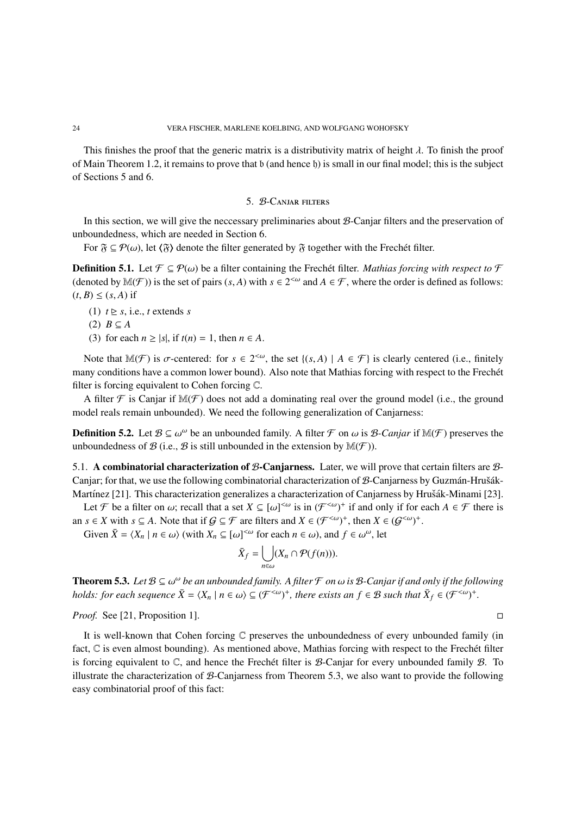This finishes the proof that the generic matrix is a distributivity matrix of height  $\lambda$ . To finish the proof of Main Theorem 1.2, it remains to prove that b (and hence h) is small in our final model; this is the subject of Sections 5 and 6.

# 5. B-Canjar filters

In this section, we will give the neccessary preliminaries about *B*-Canjar filters and the preservation of unboundedness, which are needed in Section 6.

For  $\mathfrak{F} \subseteq \mathcal{P}(\omega)$ , let  $\langle \mathfrak{F} \rangle$  denote the filter generated by  $\mathfrak{F}$  together with the Frechet filter.

**Definition 5.1.** Let  $\mathcal{F} \subseteq \mathcal{P}(\omega)$  be a filter containing the Frechet filter. *Mathias forcing with respect to*  $\mathcal{F}$ (denoted by  $\mathbb{M}(\mathcal{F})$ ) is the set of pairs  $(s, A)$  with  $s \in 2^{< \omega}$  and  $A \in \mathcal{F}$ , where the order is defined as follows:  $(t, B) \leq (s, A)$  if

- (1)  $t \geq s$ , i.e., *t* extends *s*
- $(2)$   $B \subseteq A$
- (3) for each  $n \ge |s|$ , if  $t(n) = 1$ , then  $n \in A$ .

Note that  $\mathbb{M}(\mathcal{F})$  is  $\sigma$ -centered: for  $s \in 2^{<\omega}$ , the set  $\{(s, A) \mid A \in \mathcal{F}\}\$ is clearly centered (i.e., finitely many conditions have a common lower bound). Also note that Mathias forcing with respect to the Frechet filter is forcing equivalent to Cohen forcing C.

A filter  $\mathcal F$  is Canjar if  $\mathbb M(\mathcal F)$  does not add a dominating real over the ground model (i.e., the ground model reals remain unbounded). We need the following generalization of Canjarness:

**Definition 5.2.** Let  $\mathcal{B} \subseteq \omega^{\omega}$  be an unbounded family. A filter  $\mathcal{F}$  on  $\omega$  is  $\mathcal{B}$ -Canjar if  $\mathbb{M}(\mathcal{F})$  preserves the unboundedness of  $\mathcal{B}$  (i.e.,  $\mathcal{B}$  is still unbounded in the extension by  $\mathbb{M}(\mathcal{F})$ ).

5.1. A combinatorial characterization of  $\beta$ -Canjarness. Later, we will prove that certain filters are  $\beta$ -Canjar; for that, we use the following combinatorial characterization of B-Canjarness by Guzmán-Hrušák-Martínez [21]. This characterization generalizes a characterization of Canjarness by Hrušák-Minami [23].

Let F be a filter on  $\omega$ ; recall that a set  $X \subseteq [\omega]^{<\omega}$  is in  $(\mathcal{F}^{<\omega})^+$  if and only if for each  $A \in \mathcal{F}$  there is an  $s \in X$  with  $s \subseteq A$ . Note that if  $\mathcal{G} \subseteq \mathcal{F}$  are filters and  $X \in (\mathcal{F}^{<\omega})^+$ , then  $X \in (\mathcal{G}^{<\omega})^+$ .

Given  $\bar{X} = \langle X_n | n \in \omega \rangle$  (with  $X_n \subseteq [\omega]^{<\omega}$  for each  $n \in \omega$ ), and  $f \in \omega^{\omega}$ , let

$$
\bar{X}_f = \bigcup_{n \in \omega} (X_n \cap \mathcal{P}(f(n))).
$$

**Theorem 5.3.** Let  $B \subseteq \omega^{\omega}$  be an unbounded family. A filter  $\mathcal F$  on  $\omega$  is  $B$ -Canjar if and only if the following *holds: for each sequence*  $\bar{X} = \langle X_n \mid n \in \omega \rangle \subseteq (\mathcal{F}^{<\omega})^+$ , there exists an  $f \in \mathcal{B}$  such that  $\bar{X}_f \in (\mathcal{F}^{<\omega})^+$ .

*Proof.* See [21, Proposition 1].  $\Box$ 

It is well-known that Cohen forcing  $\mathbb C$  preserves the unboundedness of every unbounded family (in fact,  $C$  is even almost bounding). As mentioned above, Mathias forcing with respect to the Frechet filter is forcing equivalent to  $\mathbb{C}$ , and hence the Frechet filter is  $\mathcal{B}$ -Canjar for every unbounded family  $\mathcal{B}$ . To illustrate the characterization of  $\beta$ -Canjarness from Theorem 5.3, we also want to provide the following easy combinatorial proof of this fact: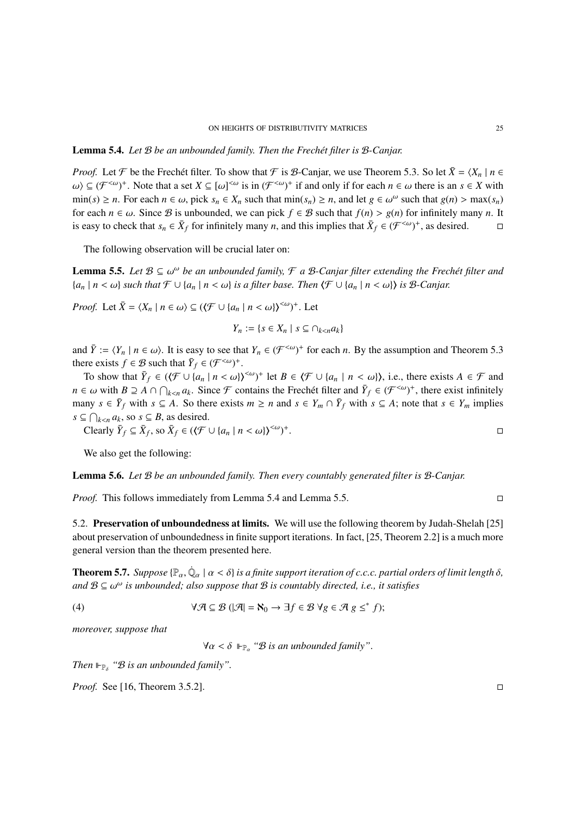### Lemma 5.4. *Let* B *be an unbounded family. Then the Frech´et filter is* B*-Canjar.*

*Proof.* Let  $\mathcal F$  be the Frechet filter. To show that  $\mathcal F$  is  $\mathcal B$ -Canjar, we use Theorem 5.3. So let  $\bar X = \langle X_n \mid n \in \mathbb Z$  $\omega \ge (\mathcal{F}^{<\omega})^+$ . Note that a set  $X \subseteq [\omega]^{<\omega}$  is in  $(\mathcal{F}^{<\omega})^+$  if and only if for each  $n \in \omega$  there is an  $s \in X$  with  $\min(s) \ge n$ . For each  $n \in \omega$ , pick  $s_n \in X_n$  such that  $\min(s_n) \ge n$ , and let  $g \in \omega^\omega$  such that  $g(n) > \max(s_n)$ for each  $n \in \omega$ . Since B is unbounded, we can pick  $f \in \mathcal{B}$  such that  $f(n) > g(n)$  for infinitely many *n*. It is easy to check that  $s_n \in \bar{X}_f$  for infinitely many *n*, and this implies that  $\bar{X}_f \in (\mathcal{F}^{<\omega})^+$ , as desired.  $\Box$ 

The following observation will be crucial later on:

**Lemma 5.5.** Let  $\mathcal{B} \subseteq \omega^{\omega}$  be an unbounded family,  $\mathcal{F}$  a  $\mathcal{B}$ -Canjar filter extending the Frechét filter and  ${a_n | n < \omega}$  *such that*  $\mathcal{F} \cup {a_n | n < \omega}$  *is a filter base. Then*  $\mathcal{F} \cup {a_n | n < \omega}$  *is B-Canjar.* 

*Proof.* Let  $\bar{X} = \langle X_n | n \in \omega \rangle \subseteq (\langle \mathcal{F} \cup \{a_n | n < \omega\} \rangle^{<\omega})^+$ . Let

$$
Y_n := \{ s \in X_n \mid s \subseteq \cap_{k < n} a_k \}
$$

and  $\bar{Y} := \langle Y_n \mid n \in \omega \rangle$ . It is easy to see that  $Y_n \in (\mathcal{F}^{<\omega})^+$  for each *n*. By the assumption and Theorem 5.3 there exists  $f \in \mathcal{B}$  such that  $\overline{Y}_f \in (\mathcal{F}^{<\omega})^+$ .

To show that  $\bar{Y}_f \in (\mathcal{F} \cup \{a_n \mid n < \omega\})^{\leq \omega}$ <sup>+</sup> let  $B \in \mathcal{F} \cup \{a_n \mid n < \omega\}$ , i.e., there exists  $A \in \mathcal{F}$  and  $n \in \omega$  with  $B \supseteq A \cap \bigcap_{k \leq n} a_k$ . Since F contains the Frechet filter and  $\overline{Y}_f \in (\mathcal{F}^{<\omega})^+$ , there exist infinitely many  $s \in \overline{Y}_f$  with  $s \subseteq A$ . So there exists  $m \ge n$  and  $s \in Y_m \cap \overline{Y}_f$  with  $s \subseteq A$ ; note that  $s \in Y_m$  implies  $s \subseteq \bigcap_{k \leq n} a_k$ , so  $s \subseteq B$ , as desired.

Clearly  $\bar{Y}_f \subseteq \bar{X}_f$ , so  $\bar{X}_f \in (\langle \mathcal{F} \cup \{a_n \mid n < \omega\} \rangle^{\leq \omega})$  $^+$ .  $\Box$ 

We also get the following:

Lemma 5.6. *Let* B *be an unbounded family. Then every countably generated filter is* B*-Canjar.*

*Proof.* This follows immediately from Lemma 5.4 and Lemma 5.5. □

5.2. Preservation of unboundedness at limits. We will use the following theorem by Judah-Shelah [25] about preservation of unboundedness in finite support iterations. In fact, [25, Theorem 2.2] is a much more general version than the theorem presented here.

**Theorem 5.7.** *Suppose*  $\{\mathbb{P}_{\alpha}, \dot{\mathbb{Q}}_{\alpha} \mid \alpha < \delta\}$  *is a finite support iteration of c.c.c. partial orders of limit length*  $\delta$ , *and*  $B \subseteq \omega^{\omega}$  *is unbounded; also suppose that*  $B$  *is countably directed, i.e., it satisfies* 

(4) 
$$
\forall \mathcal{A} \subseteq \mathcal{B} \ (\vert \mathcal{A} \vert = \aleph_0 \rightarrow \exists f \in \mathcal{B} \ \forall g \in \mathcal{A} \ g \leq^* f);
$$

*moreover, suppose that*

 $\forall \alpha < \delta \Vdash_{\mathbb{P}_{\alpha}} \mathscr{B}$  *is an unbounded family*".

*Then*  $\mathbb{F}_{\mathbb{P}_{\delta}}$  "*B is an unbounded family*".

*Proof.* See [16, Theorem 3.5.2].  $\Box$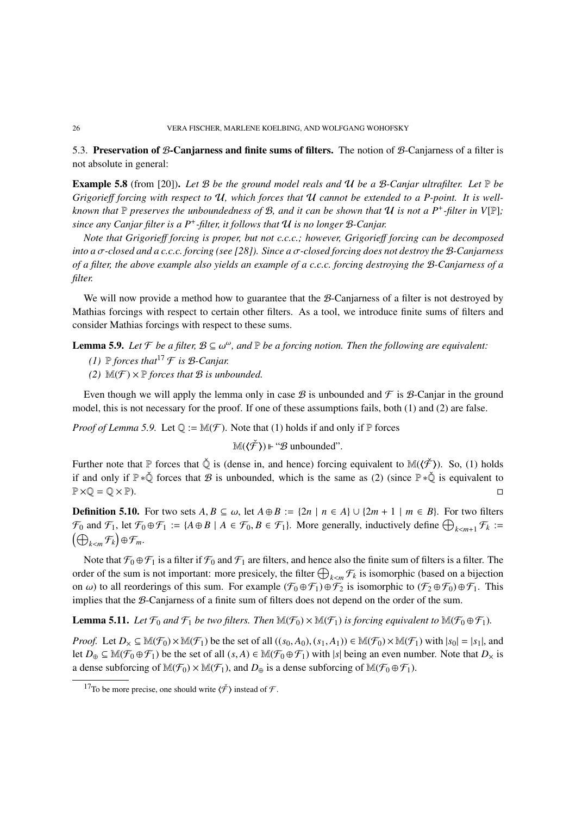5.3. Preservation of B-Canjarness and finite sums of filters. The notion of B-Canjarness of a filter is not absolute in general:

Example 5.8 (from [20]). *Let* B *be the ground model reals and* U *be a* B*-Canjar ultrafilter. Let* P *be Grigorieff forcing with respect to U, which forces that U cannot be extended to a P-point. It is wellknown that*  $\mathbb P$  *preserves the unboundedness of*  $\mathcal B$ *, and it can be shown that*  $\mathcal U$  *is not a*  $P^+$ *-filter in*  $V[\mathbb P]$ *; since any Canjar filter is a P*+*-filter, it follows that* <sup>U</sup> *is no longer* <sup>B</sup>*-Canjar.*

*Note that Grigorieff forcing is proper, but not c.c.c.; however, Grigorieff forcing can be decomposed into a -closed and a c.c.c. forcing (see [28]). Since a -closed forcing does not destroy the* B*-Canjarness of a filter, the above example also yields an example of a c.c.c. forcing destroying the* B*-Canjarness of a filter.*

We will now provide a method how to guarantee that the B-Canjarness of a filter is not destroyed by Mathias forcings with respect to certain other filters. As a tool, we introduce finite sums of filters and consider Mathias forcings with respect to these sums.

**Lemma 5.9.** *Let*  $\mathcal{F}$  *be a filter,*  $\mathcal{B} \subseteq \omega^\omega$ , and  $\mathbb{P}$  *be a forcing notion. Then the following are equivalent:* 

*(1)*  $\mathbb P$  *forces that*<sup>17</sup>  $\mathcal F$  *is*  $\mathcal B$ *-Canjar.* 

*(2)*  $\mathbb{M}(\mathcal{F}) \times \mathbb{P}$  *forces that*  $\mathcal{B}$  *is unbounded.* 

Even though we will apply the lemma only in case  $\mathcal B$  is unbounded and  $\mathcal F$  is  $\mathcal B$ -Canjar in the ground model, this is not necessary for the proof. If one of these assumptions fails, both (1) and (2) are false.

*Proof of Lemma 5.9.* Let  $\mathbb{Q} := \mathbb{M}(\mathcal{F})$ . Note that (1) holds if and only if  $\mathbb{P}$  forces

 $\mathbb{M}(\langle \check{\mathcal{F}} \rangle) \Vdash \text{``}\mathcal{B}$  unbounded".

Further note that  $\mathbb P$  forces that  $\check{\mathbb Q}$  is (dense in, and hence) forcing equivalent to  $\mathbb M(\langle \check{\mathcal{F}} \rangle)$ . So, (1) holds if and only if  $\mathbb{P} * \check{\mathbb{Q}}$  forces that  $\mathcal B$  is unbounded, which is the same as (2) (since  $\mathbb{P} * \check{\mathbb{Q}}$  is equivalent to  $\mathbb{P} \times \mathbb{Q} = \mathbb{Q} \times \mathbb{P}$ .

**Definition 5.10.** For two sets  $A, B \subseteq \omega$ , let  $A \oplus B := \{2n \mid n \in A\} \cup \{2m + 1 \mid m \in B\}$ . For two filters  $\mathcal{F}_0$  and  $\mathcal{F}_1$ , let  $\mathcal{F}_0 \oplus \mathcal{F}_1 := \{A \oplus B \mid A \in \mathcal{F}_0, B \in \mathcal{F}_1\}$ . More generally, inductively define  $\bigoplus_{k \le m+1} \mathcal{F}_k :=$ <br> $(\bigoplus_{k \le m+1} \mathcal{F}_k) \oplus \mathcal{F}_m$ .  $\mathcal{F}_k$   $\bigoplus$   $\mathcal{F}_m$ .

Note that  $\mathcal{F}_0 \oplus \mathcal{F}_1$  is a filter if  $\mathcal{F}_0$  and  $\mathcal{F}_1$  are filters, and hence also the finite sum of filters is a filter. The order of the sum is not important: more presicely, the filter  $\bigoplus_{k\leq m} \mathcal{F}_k$  is isomorphic (based on a bijection on  $\omega$ ) to all reorderings of this sum. For example  $(\mathcal{F}_0 \oplus \mathcal{F}_1) \oplus \mathcal{F}_2$  is isomorphic to  $(\mathcal{F}_2 \oplus \mathcal{F}_0) \oplus \mathcal{F}_1$ . This implies that the B-Canjarness of a finite sum of filters does not depend on the order of the sum.

**Lemma 5.11.** Let  $\mathcal{F}_0$  and  $\mathcal{F}_1$  be two filters. Then  $\mathbb{M}(\mathcal{F}_0) \times \mathbb{M}(\mathcal{F}_1)$  is forcing equivalent to  $\mathbb{M}(\mathcal{F}_0 \oplus \mathcal{F}_1)$ .

*Proof.* Let  $D_\times \subseteq \mathbb{M}(\mathcal{F}_0) \times \mathbb{M}(\mathcal{F}_1)$  be the set of all  $((s_0, A_0), (s_1, A_1)) \in \mathbb{M}(\mathcal{F}_0) \times \mathbb{M}(\mathcal{F}_1)$  with  $|s_0| = |s_1|$ , and let  $D_{\oplus} \subseteq M(\mathcal{F}_0 \oplus \mathcal{F}_1)$  be the set of all  $(s, A) \in M(\mathcal{F}_0 \oplus \mathcal{F}_1)$  with |s| being an even number. Note that  $D_{\times}$  is a dense subforcing of  $\mathbb{M}(\mathcal{F}_0) \times \mathbb{M}(\mathcal{F}_1)$ , and  $D_{\oplus}$  is a dense subforcing of  $\mathbb{M}(\mathcal{F}_0 \oplus \mathcal{F}_1)$ .

<sup>&</sup>lt;sup>17</sup>To be more precise, one should write  $\langle \tilde{\mathcal{F}} \rangle$  instead of  $\mathcal{F}$ .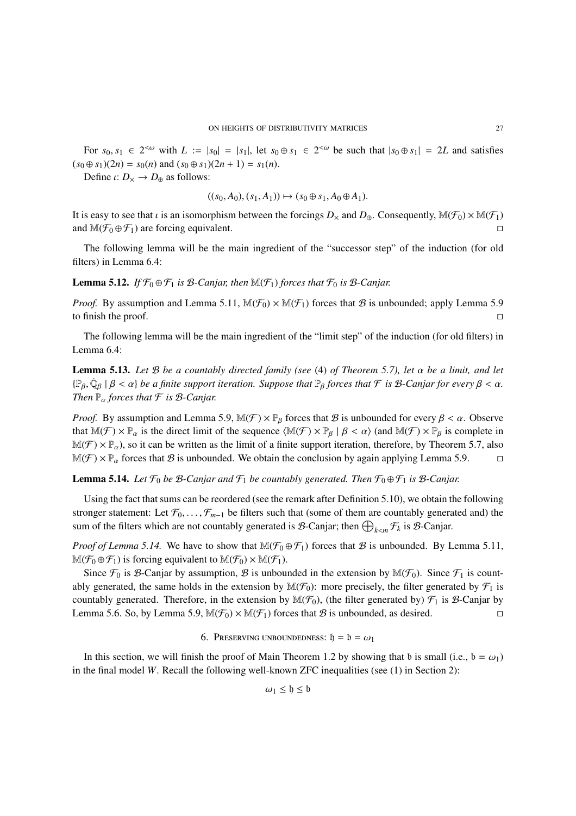For  $s_0, s_1 \in 2^{&\omega}$  with  $L := |s_0| = |s_1|$ , let  $s_0 \oplus s_1 \in 2^{&\omega}$  be such that  $|s_0 \oplus s_1| = 2L$  and satisfies  $(s_0 \oplus s_1)(2n) = s_0(n)$  and  $(s_0 \oplus s_1)(2n + 1) = s_1(n)$ .

Define  $\iota: D_{\times} \to D_{\oplus}$  as follows:

$$
((s_0, A_0), (s_1, A_1)) \mapsto (s_0 \oplus s_1, A_0 \oplus A_1).
$$

It is easy to see that  $\iota$  is an isomorphism between the forcings  $D_{\kappa}$  and  $D_{\oplus}$ . Consequently,  $\mathbb{M}(\mathcal{F}_0) \times \mathbb{M}(\mathcal{F}_1)$ and  $\mathbb{M}(\mathcal{F}_0 \oplus \mathcal{F}_1)$  are forcing equivalent.

The following lemma will be the main ingredient of the "successor step" of the induction (for old filters) in Lemma 6.4:

**Lemma 5.12.** *If*  $\mathcal{F}_0 \oplus \mathcal{F}_1$  *is*  $\mathcal{B}$ *-Canjar, then*  $\mathbb{M}(\mathcal{F}_1)$  *forces that*  $\mathcal{F}_0$  *is*  $\mathcal{B}$ *-Canjar.* 

*Proof.* By assumption and Lemma 5.11,  $\mathbb{M}(\mathcal{F}_0) \times \mathbb{M}(\mathcal{F}_1)$  forces that B is unbounded; apply Lemma 5.9 to finish the proof.  $\Box$ 

The following lemma will be the main ingredient of the "limit step" of the induction (for old filters) in Lemma 6.4:

**Lemma 5.13.** Let  $B$  be a countably directed family (see (4) of Theorem 5.7), let  $\alpha$  be a limit, and let  $\{\mathbb{P}_{\beta}, \mathbb{Q}_{\beta} \mid \beta < \alpha\}$  be a finite support iteration. Suppose that  $\mathbb{P}_{\beta}$  forces that  $\mathcal F$  is  $\mathcal B$ -Canjar for every  $\beta < \alpha$ . *Then*  $\mathbb{P}_{\alpha}$  *forces that*  $\mathcal F$  *is*  $\mathcal B$ *-Canjar.* 

*Proof.* By assumption and Lemma 5.9,  $\mathbb{M}(\mathcal{F}) \times \mathbb{P}_{\beta}$  forces that  $\mathcal{B}$  is unbounded for every  $\beta < \alpha$ . Observe that  $\mathbb{M}(\mathcal{F}) \times \mathbb{P}_{\alpha}$  is the direct limit of the sequence  $\langle \mathbb{M}(\mathcal{F}) \times \mathbb{P}_{\beta} | \beta < \alpha \rangle$  (and  $\mathbb{M}(\mathcal{F}) \times \mathbb{P}_{\beta}$  is complete in  $\mathbb{M}(\mathcal{F}) \times \mathbb{P}_{\alpha}$ , so it can be written as the limit of a finite support iteration, therefore, by Theorem 5.7, also  $\mathbb{M}(\mathcal{F}) \times \mathbb{P}_{\alpha}$  forces that B is unbounded. We obtain the conclusion by again applying Lemma 5.9.  $\Box$ 

**Lemma 5.14.** Let  $\mathcal{F}_0$  be B-Canjar and  $\mathcal{F}_1$  be countably generated. Then  $\mathcal{F}_0 \oplus \mathcal{F}_1$  is B-Canjar.

Using the fact that sums can be reordered (see the remark after Definition 5.10), we obtain the following stronger statement: Let  $\mathcal{F}_0, \ldots, \mathcal{F}_{m-1}$  be filters such that (some of them are countably generated and) the sum of the filters which are not countably generated is  $\mathcal{B}$ -Canjar; then  $\bigoplus_{k \le m} \mathcal{F}_k$  is  $\mathcal{B}$ -Canjar.

*Proof of Lemma 5.14.* We have to show that  $\mathbb{M}(\mathcal{F}_0 \oplus \mathcal{F}_1)$  forces that B is unbounded. By Lemma 5.11,  $\mathbb{M}(\mathcal{F}_0 \oplus \mathcal{F}_1)$  is forcing equivalent to  $\mathbb{M}(\mathcal{F}_0) \times \mathbb{M}(\mathcal{F}_1)$ .

Since  $\mathcal{F}_0$  is  $\mathcal{B}$ -Canjar by assumption,  $\mathcal{B}$  is unbounded in the extension by  $\mathbb{M}(\mathcal{F}_0)$ . Since  $\mathcal{F}_1$  is countably generated, the same holds in the extension by  $\mathbb{M}(\mathcal{F}_0)$ : more precisely, the filter generated by  $\mathcal{F}_1$  is countably generated. Therefore, in the extension by  $\mathbb{M}(\mathcal{F}_0)$ , (the filter generated by)  $\mathcal{F}_1$  is  $\mathcal{B}$ -Canjar by Lemma 5.6. So, by Lemma 5.9,  $\mathbb{M}(\mathcal{F}_0) \times \mathbb{M}(\mathcal{F}_1)$  forces that  $\mathcal B$  is unbounded, as desired.  $\Box$ 

6. PRESERVING UNBOUNDEDNESS:  $\mathfrak{h} = \mathfrak{b} = \omega_1$ 

In this section, we will finish the proof of Main Theorem 1.2 by showing that b is small (i.e.,  $b = \omega_1$ ) in the final model *W*. Recall the following well-known ZFC inequalities (see (1) in Section 2):

 $\omega_1 \leq \mathfrak{h} \leq \mathfrak{b}$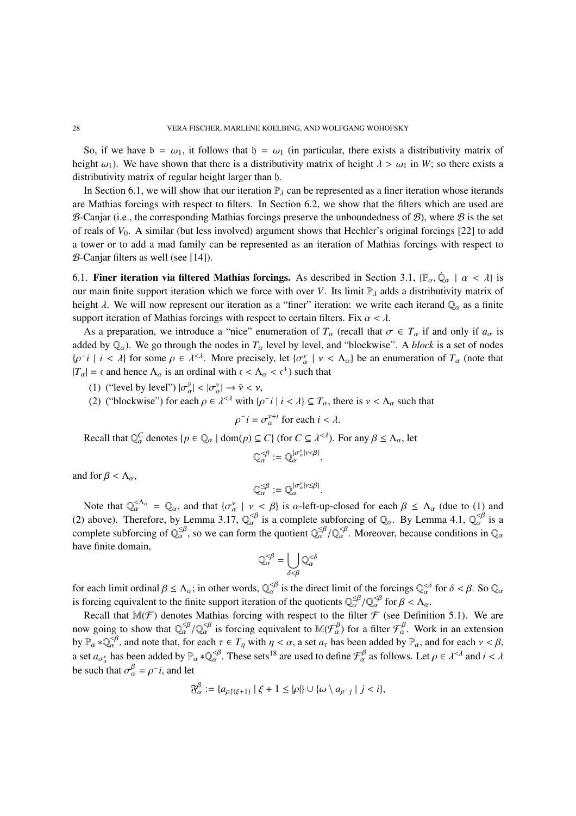So, if we have  $b = \omega_1$ , it follows that  $b = \omega_1$  (in particular, there exists a distributivity matrix of height  $\omega_1$ ). We have shown that there is a distributivity matrix of height  $\lambda > \omega_1$  in *W*; so there exists a distributivity matrix of regular height larger than h.

In Section 6.1, we will show that our iteration  $\mathbb{P}_{\lambda}$  can be represented as a finer iteration whose iterands are Mathias forcings with respect to filters. In Section 6.2, we show that the filters which are used are B-Canjar (i.e., the corresponding Mathias forcings preserve the unboundedness of  $\mathcal{B}$ ), where  $\mathcal{B}$  is the set of reals of *V*0. A similar (but less involved) argument shows that Hechler's original forcings [22] to add a tower or to add a mad family can be represented as an iteration of Mathias forcings with respect to B-Canjar filters as well (see [14]).

6.1. Finer iteration via filtered Mathias forcings. As described in Section 3.1, { $\mathbb{P}_{\alpha}$ ,  $\dot{\mathbb{Q}}_{\alpha}$  |  $\alpha < \lambda$ } is our main finite support iteration which we force with over *V*. Its limit  $\mathbb{P}_{\lambda}$  adds a distributivity matrix of height  $\lambda$ . We will now represent our iteration as a "finer" iteration: we write each iterand  $\mathbb{Q}_\alpha$  as a finite support iteration of Mathias forcings with respect to certain filters. Fix  $\alpha < \lambda$ .

As a preparation, we introduce a "nice" enumeration of  $T_\alpha$  (recall that  $\sigma \in T_\alpha$  if and only if  $a_\sigma$  is added by  $\mathbb{Q}_\alpha$ ). We go through the nodes in  $T_\alpha$  level by level, and "blockwise". A *block* is a set of nodes  ${\varphi \cap i \mid i < \lambda}$  for some  $\rho \in \lambda^{<\lambda}$ . More precisely, let  ${\sigma_\alpha^{\nu} \mid \nu < \Lambda_\alpha}$  be an enumeration of  $T_\alpha$  (note that  $|T_{\alpha}| = c$  and hence  $\Lambda_{\alpha}$  is an ordinal with  $c < \Lambda_{\alpha} < c^{+}$ ) such that

- (1) ("level by level")  $|\sigma_{\alpha}^{\bar{\nu}}| < |\sigma_{\alpha}^{\nu}| \rightarrow \bar{\nu} < \nu$ ,
- (2) ("blockwise") for each  $\rho \in \lambda^{< \lambda}$  with  $\{\rho \cap i \mid i < \lambda\} \subseteq T_\alpha$ , there is  $\nu < \Lambda_\alpha$  such that

$$
\rho^i = \sigma^{\nu + i}_{\alpha}
$$
 for each  $i < \lambda$ .

Recall that  $\mathbb{Q}_{\alpha}^C$  denotes  $\{p \in \mathbb{Q}_{\alpha} \mid \text{dom}(p) \subseteq C\}$  (for  $C \subseteq \lambda^{<\lambda}$ ). For any  $\beta \leq \Lambda_{\alpha}$ , let

$$
\mathbb{Q}_{\alpha}^{<\beta}:=\mathbb{Q}_{\alpha}^{\{\sigma_{\alpha}^{\nu}|\nu<\beta\}},
$$

and for  $\beta < \Lambda_{\alpha}$ ,

$$
\mathbb{Q}_{\alpha}^{\leq\beta}:=\mathbb{Q}_{\alpha}^{\{\sigma^\nu_\alpha|\nu\leq\beta\}}.
$$

Note that  $\mathbb{Q}_{\alpha}^{\langle \Lambda_{\alpha} \rangle} = \mathbb{Q}_{\alpha}$ , and that  $\{\sigma_{\alpha}^{\gamma} \mid \gamma \langle \beta \rangle\}$  is  $\alpha$ -left-up-closed for each  $\beta \leq \Lambda_{\alpha}$  (due to (1) and (2) above). Therefore, by Lemma 3.17,  $\mathbb{Q}_{\alpha}^{\ltimes \beta}$  is a complete subforcing of  $\mathbb{Q}_{\alpha}$ . By Lemma 4.1,  $\mathbb{Q}_{\alpha}^{\ltimes \beta}$  is a complete subforcing of  $\mathbb{Q}_{\alpha}^{\leq\beta}$ , so we can form the quotient  $\mathbb{Q}_{\alpha}^{\leq\beta}/\mathbb{Q}_{\alpha}^{<\beta}$ . Moreover, because conditions in  $\mathbb{Q}_{\alpha}$ have finite domain,

$$
\mathbb{Q}_{\alpha}^{\leq \beta} = \bigcup_{\delta < \beta} \mathbb{Q}_{\alpha}^{< \delta}
$$

for each limit ordinal  $\beta \leq \Lambda_{\alpha}$ ; in other words,  $\mathbb{Q}_{\alpha}^{\leq \beta}$  is the direct limit of the forcings  $\mathbb{Q}_{\alpha}^{\leq \delta}$  for  $\delta < \beta$ . So  $\mathbb{Q}_{\alpha}$ is forcing equivalent to the finite support iteration of the quotients  $\mathbb{Q}_{\alpha}^{\leq \beta}/\mathbb{Q}_{\alpha}^{\leq \beta}$  for  $\beta < \Lambda_{\alpha}$ .

Recall that  $\mathbb{M}(\mathcal{F})$  denotes Mathias forcing with respect to the filter  $\mathcal{F}$  (see Definition 5.1). We are now going to show that  $\mathbb{Q}_{\alpha}^{\leq\beta}/\mathbb{Q}_{\alpha}^{\leq\beta}$  is forcing equivalent to  $\mathbb{M}(\mathcal{F}_{\alpha}^{\beta})$  for a filter  $\mathcal{F}_{\alpha}^{\beta}$ . Work in an extension by  $\mathbb{P}_{\alpha} * \mathbb{Q}_{\alpha}^{\leq \beta}$ , and note that, for each  $\tau \in T_{\eta}$  with  $\eta < \alpha$ , a set  $a_{\tau}$  has been added by  $\mathbb{P}_{\alpha}$ , and for each  $\nu < \beta$ , a set  $a_{\sigma^{\gamma}_{\alpha}}$  has been added by  $\mathbb{P}_{\alpha} * \mathbb{Q}_{\alpha}^{\leq \beta}$ . These sets<sup>18</sup> are used to define  $\mathcal{F}_{\alpha}^{\beta}$  as follows. Let  $\rho \in \lambda^{\leq \lambda}$  and  $i < \lambda$ be such that  $\sigma_{\alpha}^{\beta} = \rho^{\gamma} i$ , and let

$$
\mathfrak{F}_{\alpha}^{\beta} := \{ a_{\rho \upharpoonright (\xi+1)} \mid \xi+1 \leq |\rho| \} \cup \{ \omega \setminus a_{\rho \cap j} \mid j < i \},
$$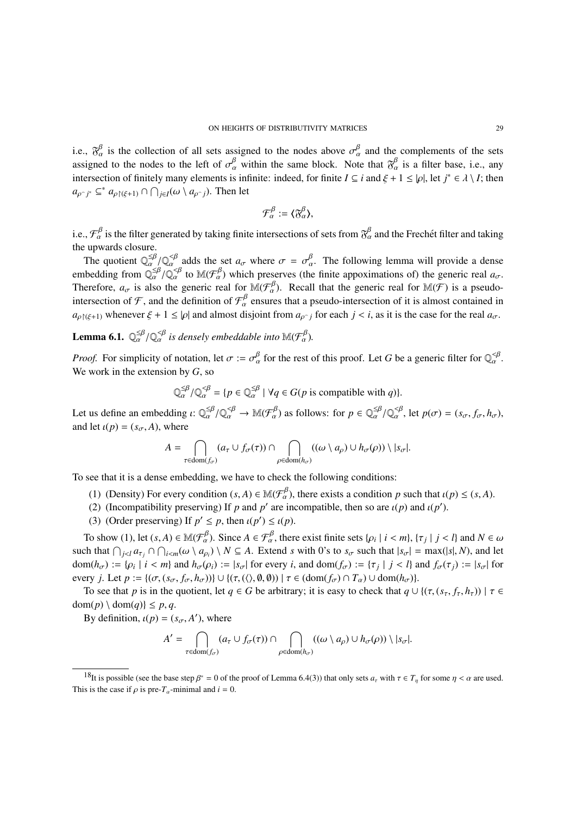i.e.,  $\delta^\beta_\alpha$  is the collection of all sets assigned to the nodes above  $\sigma^\beta_\alpha$  and the complements of the sets assigned to the nodes to the left of  $\sigma_\alpha^\beta$  within the same block. Note that  $\mathfrak{F}_\alpha^\beta$  is a filter base, i.e., any intersection of finitely many elements is infinite: indeed, for finite  $I \subseteq i$  and  $\xi + 1 \leq |\rho|$ , let  $j^* \in \lambda \setminus I$ ; then  $a_{\rho \cap j^*} \subseteq^* a_{\rho \upharpoonright (\xi+1)} \cap \bigcap_{j \in I} (\omega \setminus a_{\rho \cap j})$ . Then let

$$
\mathcal{F}_{\alpha}^{\beta}:=\langle \mathfrak{F}_{\alpha}^{\beta}\rangle,
$$

i.e.,  $\mathcal{F}_{\alpha}^{\beta}$  is the filter generated by taking finite intersections of sets from  $\mathfrak{F}_{\alpha}^{\beta}$  and the Frechét filter and taking the upwards closure.

The quotient  $\mathbb{Q}_{\alpha}^{\leq\beta}/\mathbb{Q}_{\alpha}^{<\beta}$  adds the set  $a_{\sigma}$  where  $\sigma = \sigma_{\alpha}^{\beta}$ . The following lemma will provide a dense embedding from  $\mathbb{Q}_{\alpha}^{\leq\beta}/\mathbb{Q}_{\alpha}^{\leq\beta}$  to  $\mathbb{M}(\mathcal{F}_{\alpha}^{\beta})$  which preserves (the finite appoximations of) the generic real  $a_{\sigma}$ . Therefore,  $a_{\sigma}$  is also the generic real for  $\mathbb{M}(\mathcal{F}_{\alpha}^{\beta})$ . Recall that the generic real for  $\mathbb{M}(\mathcal{F})$  is a pseudointersection of F, and the definition of  $\mathcal{F}_{\alpha}^{\beta}$  ensures that a pseudo-intersection of it is almost contained in  $a_{\rho}$ <sub>[ $(\xi+1)$ </sub> whenever  $\xi + 1 \leq |\rho|$  and almost disjoint from  $a_{\rho}$ <sup>-</sup> for each  $j < i$ , as it is the case for the real  $a_{\sigma}$ .

**Lemma 6.1.**  $\mathbb{Q}_{\alpha}^{\leq\beta}/\mathbb{Q}_{\alpha}^{<\beta}$  is densely embeddable into  $\mathbb{M}(\mathcal{F}_{\alpha}^{\beta})$ .

*Proof.* For simplicity of notation, let  $\sigma := \sigma_\alpha^\beta$  for the rest of this proof. Let *G* be a generic filter for  $\mathbb{Q}_\alpha^{\lt g}$ . We work in the extension by *G*, so

$$
\mathbb{Q}_{\alpha}^{\leq \beta} / \mathbb{Q}_{\alpha}^{< \beta} = \{ p \in \mathbb{Q}_{\alpha}^{\leq \beta} \mid \forall q \in G(p \text{ is compatible with } q) \}.
$$

Let us define an embedding  $\iota: \mathbb{Q}_{\alpha}^{\leq \beta}/\mathbb{Q}_{\alpha}^{\leq \beta} \to \mathbb{M}(\mathcal{F}_{\alpha}^{\beta})$  as follows: for  $p \in \mathbb{Q}_{\alpha}^{\leq \beta}/\mathbb{Q}_{\alpha}^{\leq \beta}$ , let  $p(\sigma) = (s_{\sigma}, f_{\sigma}, h_{\sigma})$ , and let  $\iota(p) = (s_{\sigma}, A)$ , where

$$
A = \bigcap_{\tau \in \text{dom}(f_{\sigma})} (a_{\tau} \cup f_{\sigma}(\tau)) \cap \bigcap_{\rho \in \text{dom}(h_{\sigma})} ((\omega \setminus a_{\rho}) \cup h_{\sigma}(\rho)) \setminus |s_{\sigma}|.
$$

To see that it is a dense embedding, we have to check the following conditions:

- (1) (Density) For every condition  $(s, A) \in \mathbb{M}(\mathcal{F}_{\alpha}^{\beta})$ , there exists a condition *p* such that  $\iota(p) \leq (s, A)$ .
- (2) (Incompatibility preserving) If *p* and *p'* are incompatible, then so are  $\iota(p)$  and  $\iota(p')$ .
- (3) (Order preserving) If  $p' \leq p$ , then  $\iota(p') \leq \iota(p)$ .

To show (1), let  $(s, A) \in \mathbb{M}(\mathcal{F}_{\alpha}^{\beta})$ . Since  $A \in \mathcal{F}_{\alpha}^{\beta}$ , there exist finite sets  $\{\rho_i \mid i < m\}$ ,  $\{\tau_j \mid j < l\}$  and  $N \in \omega$ such that  $\bigcap_{j < l} a_{\tau_j} \cap \bigcap_{i < m} (\omega \setminus a_{\rho_i}) \setminus N \subseteq A$ . Extend *s* with 0's to  $s_{\sigma}$  such that  $|s_{\sigma}| = \max(|s|, N)$ , and let  $dom(h_{\sigma}) := \{\rho_i \mid i < m\}$  and  $h_{\sigma}(\rho_i) := |s_{\sigma}|$  for every *i*, and  $dom(f_{\sigma}) := \{\tau_i \mid j < l\}$  and  $f_{\sigma}(\tau_i) := |s_{\sigma}|$  for every *j*. Let  $p := \{(\sigma, (s_\sigma, f_\sigma, h_\sigma))\} \cup \{(\tau, (\langle \rangle, \emptyset, \emptyset)) | \tau \in (\text{dom}(f_\sigma) \cap T_\alpha) \cup \text{dom}(h_\sigma)\}.$ 

To see that *p* is in the quotient, let  $q \in G$  be arbitrary; it is easy to check that  $q \cup \{ (\tau, (s_\tau, f_\tau, h_\tau)) \mid \tau \in G \}$  $dom(p) \setminus dom(q) \leq p, q.$ 

By definition,  $\iota(p) = (s_{\sigma}, A')$ , where

$$
A' = \bigcap_{\tau \in \text{dom}(f_{\sigma})} (a_{\tau} \cup f_{\sigma}(\tau)) \cap \bigcap_{\rho \in \text{dom}(h_{\sigma})} ((\omega \setminus a_{\rho}) \cup h_{\sigma}(\rho)) \setminus |s_{\sigma}|.
$$

<sup>&</sup>lt;sup>18</sup>It is possible (see the base step  $\beta^* = 0$  of the proof of Lemma 6.4(3)) that only sets  $a_{\tau}$  with  $\tau \in T_n$  for some  $\eta < \alpha$  are used. This is the case if  $\rho$  is pre- $T_\alpha$ -minimal and  $i = 0$ .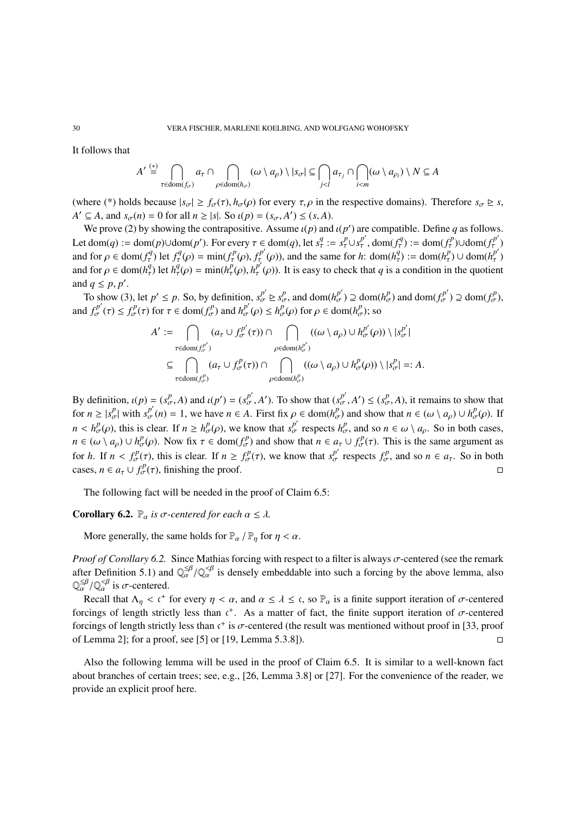It follows that

$$
A' \stackrel{(*)}{=} \bigcap_{\tau \in \text{dom}(f_{\sigma})} a_{\tau} \cap \bigcap_{\rho \in \text{dom}(h_{\sigma})} (\omega \setminus a_{\rho}) \setminus |s_{\sigma}| \subseteq \bigcap_{j < l} a_{\tau_j} \cap \bigcap_{i < m} (\omega \setminus a_{\rho_i}) \setminus N \subseteq A
$$

(where (\*) holds because  $|s_{\sigma}| \ge f_{\sigma}(\tau), h_{\sigma}(\rho)$  for every  $\tau, \rho$  in the respective domains). Therefore  $s_{\sigma} \ge s$ ,  $A' \subseteq A$ , and  $s_{\sigma}(n) = 0$  for all  $n \ge |s|$ . So  $\iota(p) = (s_{\sigma}, A') \le (s, A)$ .

We prove (2) by showing the contrapositive. Assume  $\iota(p)$  and  $\iota(p')$  are compatible. Define *q* as follows. Let dom(q) := dom(p) $\cup$ dom(p'). For every  $\tau \in \text{dom}(q)$ , let  $s_\tau^q := s_\tau^p \cup s_\tau^{p'}$ , dom( $f_\tau^q$ ) := dom( $f_\tau^p$ ) $\cup$ dom( $f_\tau^{p'}$ ) and for  $\rho \in \text{dom}(f_\tau^q)$  let  $f_\tau^q(\rho) = \min(f_\tau^p(\rho), f_{\tau_\tau}^{p'}(\rho))$ , and the same for h:  $\text{dom}(h_\tau^q) := \text{dom}(h_\tau^p) \cup \text{dom}(h_\tau^{p'})$ and for  $\rho \in \text{dom}(h_\tau^q)$  let  $h_\tau^q(\rho) = \min(h_\tau^p(\rho), h_\tau^{p'}(\rho))$ . It is easy to check that *q* is a condition in the quotient and  $q \leq p, p'$ .

To show (3), let  $p' \le p$ . So, by definition,  $s_\sigma^{p'} \ge s_\sigma^p$ , and dom( $h_\sigma^{p'}$ )  $\supseteq$  dom( $h_\sigma^{p}$ ) and dom( $f_\sigma^{p'}$ )  $\supseteq$  dom( $f_\sigma^{p}$ ), and  $f_{\sigma}^{p'}(\tau) \leq f_{\sigma}^{p}(\tau)$  for  $\tau \in \text{dom}(f_{\sigma}^{p})$  and  $h_{\sigma}^{p'}(\rho) \leq h_{\sigma}^{p}(\rho)$  for  $\rho \in \text{dom}(h_{\sigma}^{p})$ ; so

$$
A' := \bigcap_{\tau \in \text{dom}(f_{\sigma}^{p'})} (a_{\tau} \cup f_{\sigma}^{p'}(\tau)) \cap \bigcap_{\rho \in \text{dom}(h_{\sigma}^{p'})} ((\omega \setminus a_{\rho}) \cup h_{\sigma}^{p'}(\rho)) \setminus |s_{\sigma}^{p'}|
$$
  

$$
\subseteq \bigcap_{\tau \in \text{dom}(f_{\sigma}^{p})} (a_{\tau} \cup f_{\sigma}^{p}(\tau)) \cap \bigcap_{\rho \in \text{dom}(h_{\sigma}^{p})} ((\omega \setminus a_{\rho}) \cup h_{\sigma}^{p}(\rho)) \setminus |s_{\sigma}^{p}| =: A.
$$

By definition,  $\iota(p) = (s^p_{\sigma}, A)$  and  $\iota(p') = (s^{p'}_{\sigma}, A')$ . To show that  $(s^{p'}_{\sigma}, A') \leq (s^{p}_{\sigma}, A)$ , it remains to show that for  $n \ge |s^p_{\sigma}|$  with  $s^p_{\sigma}(n) = 1$ , we have  $n \in A$ . First fix  $\rho \in \text{dom}(h^p_{\sigma})$  and show that  $n \in (\omega \setminus a_{\rho}) \cup h^p_{\sigma}(\rho)$ . If  $n < h_{\sigma}^{p}(\rho)$ , this is clear. If  $n \ge h_{\sigma}^{p}(\rho)$ , we know that  $s_{\sigma}^{p'}$  respects  $h_{\sigma}^{p}$ , and so  $n \in \omega \setminus a_{\rho}$ . So in both cases,  $n \in (\omega \setminus a_{\rho}) \cup h_{\sigma}^{p}(\rho)$ . Now fix  $\tau \in \text{dom}(f_{\sigma}^{p})$  and show that  $n \in a_{\tau} \cup f_{\sigma}^{p}(\tau)$ . This is the same argument as for *h*. If  $n < f^p_\sigma(\tau)$ , this is clear. If  $n \ge f^p_\sigma(\tau)$ , we know that  $s^{p'}_\sigma$  respects  $f^p_\sigma$ , and so  $n \in a_\tau$ . So in both cases,  $n \in a_{\tau} \cup f_{\sigma}^{p}(\tau)$ , finishing the proof.  $\square$ 

The following fact will be needed in the proof of Claim 6.5:

## **Corollary 6.2.**  $\mathbb{P}_{\alpha}$  *is*  $\sigma$ -centered for each  $\alpha \leq \lambda$ .

More generally, the same holds for  $\mathbb{P}_{\alpha}/\mathbb{P}_{n}$  for  $\eta < \alpha$ .

*Proof of Corollary 6.2.* Since Mathias forcing with respect to a filter is always  $\sigma$ -centered (see the remark after Definition 5.1) and  $\mathbb{Q}_{\alpha}^{\leq\beta}/\mathbb{Q}_{\alpha}^{\leq\beta}$  is densely embeddable into such a forcing by the above lemma, also  $\mathbb{Q}_{\alpha}^{\leq\beta}/\mathbb{Q}_{\alpha}^{\leq\beta}$  is  $\sigma$ -centered.

Recall that  $\Lambda_{\eta} < \mathfrak{c}^+$  for every  $\eta < \alpha$ , and  $\alpha \leq \lambda \leq \mathfrak{c}$ , so  $\mathbb{P}_{\alpha}$  is a finite support iteration of  $\sigma$ -centered forcings of length strictly less than  $c^+$ . As a matter of fact, the finite support iteration of  $\sigma$ -centered forcings of length strictly less than  $c^+$  is  $\sigma$ -centered (the result was mentioned without proof in [33, proof of Lemma 2]; for a proof, see [5] or [19, Lemma 5.3.8]).  $\square$ 

Also the following lemma will be used in the proof of Claim 6.5. It is similar to a well-known fact about branches of certain trees; see, e.g., [26, Lemma 3.8] or [27]. For the convenience of the reader, we provide an explicit proof here.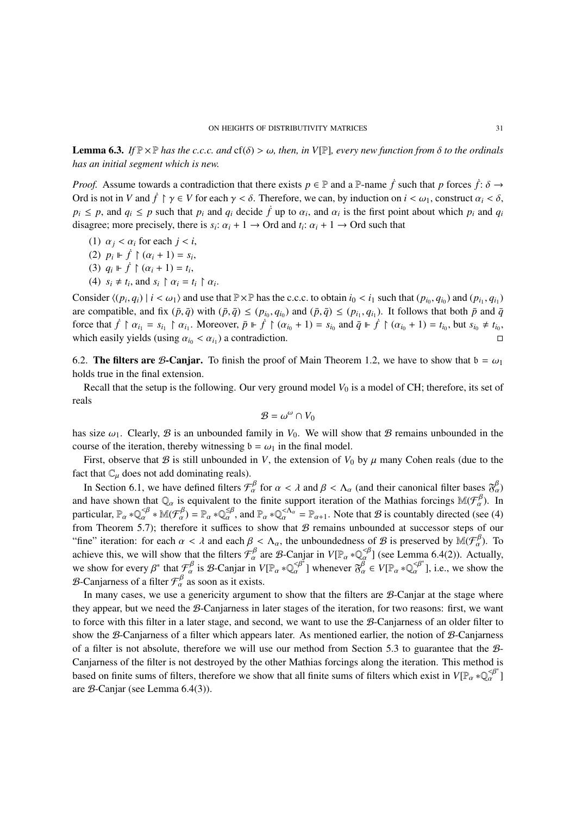**Lemma 6.3.** *If*  $\mathbb{P} \times \mathbb{P}$  *has the c.c.c. and*  $cf(\delta) > \omega$ *, then, in V*[P]*, every new function from*  $\delta$  *to the ordinals has an initial segment which is new.*

*Proof.* Assume towards a contradiction that there exists  $p \in \mathbb{P}$  and a  $\mathbb{P}$ -name  $\dot{f}$  such that  $p$  forces  $\dot{f}$ :  $\delta \to$ Ord is not in *V* and  $\dot{f} \restriction \gamma \in V$  for each  $\gamma < \delta$ . Therefore, we can, by induction on  $i < \omega_1$ , construct  $\alpha_i < \delta$ .  $p_i \leq p$ , and  $q_i \leq p$  such that  $p_i$  and  $q_i$  decide  $\hat{f}$  up to  $\alpha_i$ , and  $\alpha_i$  is the first point about which  $p_i$  and  $q_i$ disagree; more precisely, there is  $s_i$ :  $\alpha_i + 1 \rightarrow$  Ord and  $t_i$ :  $\alpha_i + 1 \rightarrow$  Ord such that

- (1)  $\alpha_i < \alpha_i$  for each  $j < i$ ,
- $(2)$   $p_i \Vdash \dot{f} \upharpoonright (\alpha_i + 1) = s_i,$
- $(3)$   $q_i \Vdash \dot{f} \upharpoonright (\alpha_i + 1) = t_i,$
- (4)  $s_i \neq t_i$ , and  $s_i \upharpoonright \alpha_i = t_i \upharpoonright \alpha_i$ .

Consider  $\langle (p_i, q_i) | i \langle \omega_1 \rangle$  and use that  $\mathbb{P} \times \mathbb{P}$  has the c.c.c. to obtain  $i_0 \langle i_1 \rangle$  such that  $(p_{i_0}, q_{i_0})$  and  $(p_{i_1}, q_{i_1})$ are compatible, and fix  $(\bar{p}, \bar{q})$  with  $(\bar{p}, \bar{q}) \leq (p_{i_0}, q_{i_0})$  and  $(\bar{p}, \bar{q}) \leq (p_{i_1}, q_{i_1})$ . It follows that both  $\bar{p}$  and  $\bar{q}$ force that  $\dot{f} \restriction \alpha_{i_1} = s_{i_1} \restriction \alpha_{i_1}$ . Moreover,  $\bar{p} \models \dot{f} \restriction (\alpha_{i_0} + 1) = s_{i_0}$  and  $\bar{q} \models \dot{f} \restriction (\alpha_{i_0} + 1) = t_{i_0}$ , but  $s_{i_0} \neq t_{i_0}$ , which easily yields (using  $\alpha_{i_0} < \alpha_{i_1}$ ) a contradiction.

6.2. The filters are B-Canjar. To finish the proof of Main Theorem 1.2, we have to show that  $b = \omega_1$ holds true in the final extension.

Recall that the setup is the following. Our very ground model  $V_0$  is a model of CH; therefore, its set of reals

$$
\mathcal{B}=\omega^\omega\cap V_0
$$

has size  $\omega_1$ . Clearly, B is an unbounded family in *V*<sub>0</sub>. We will show that B remains unbounded in the course of the iteration, thereby witnessing  $b = \omega_1$  in the final model.

First, observe that B is still unbounded in *V*, the extension of  $V_0$  by  $\mu$  many Cohen reals (due to the fact that  $\mathbb{C}_{\mu}$  does not add dominating reals).

In Section 6.1, we have defined filters  $\mathcal{F}_{\alpha}^{\beta}$  for  $\alpha < \lambda$  and  $\beta < \Lambda_{\alpha}$  (and their canonical filter bases  $\mathfrak{F}_{\alpha}^{\beta}$ ) and have shown that  $\mathbb{Q}_\alpha$  is equivalent to the finite support iteration of the Mathias forcings  $\mathbb{M}(\mathcal{F}_\alpha^\beta)$ . In particular,  $\mathbb{P}_{\alpha} * \mathbb{Q}_{\alpha}^{\lt} \beta * \mathbb{M}(\mathcal{F}_{\alpha}^{\beta}) = \mathbb{P}_{\alpha} * \mathbb{Q}_{\alpha}^{\lt} \beta$ , and  $\mathbb{P}_{\alpha} * \mathbb{Q}_{\alpha}^{\lt} \wedge \alpha = \mathbb{P}_{\alpha+1}$ . Note that  $\beta$  is countably directed (see (4) from Theorem 5.7); therefore it suffices to show that  $B$  remains unbounded at successor steps of our "fine" iteration: for each  $\alpha < \lambda$  and each  $\beta < \Lambda_{\alpha}$ , the unboundedness of  $\beta$  is preserved by  $\mathbb{M}(\mathcal{F}_{\alpha}^{\beta})$ . To achieve this, we will show that the filters  $\mathcal{F}_{\alpha}^{\beta}$  are  $\mathcal{B}$ -Canjar in  $V[\mathbb{P}_{\alpha} * \mathbb{Q}_{\alpha}^{\beta}]$  (see Lemma 6.4(2)). Actually, we show for every  $\beta^*$  that  $\mathcal{F}_{\alpha}^{\beta}$  is  $\mathcal{B}$ -Canjar in  $V[\mathbb{P}_{\alpha} * \mathbb{Q}_{\alpha}^{\lt}^{\beta^*}]$  whenever  $\mathfrak{F}_{\alpha}^{\beta} \in V[\mathbb{P}_{\alpha} * \mathbb{Q}_{\alpha}^{\lt}^{\beta^*}]$ , i.e., we show the  $\mathcal{B}$ -Canjarness of a filter  $\mathcal{F}_{\alpha}^{\beta}$  as soon as it exists.

In many cases, we use a genericity argument to show that the filters are  $B$ -Canjar at the stage where they appear, but we need the B-Canjarness in later stages of the iteration, for two reasons: first, we want to force with this filter in a later stage, and second, we want to use the B-Canjarness of an older filter to show the B-Canjarness of a filter which appears later. As mentioned earlier, the notion of B-Canjarness of a filter is not absolute, therefore we will use our method from Section 5.3 to guarantee that the B-Canjarness of the filter is not destroyed by the other Mathias forcings along the iteration. This method is based on finite sums of filters, therefore we show that all finite sums of filters which exist in  $V[\mathbb{P}_\alpha * \mathbb{Q}_\alpha^{\leq \beta^*}]$ are B-Canjar (see Lemma 6.4(3)).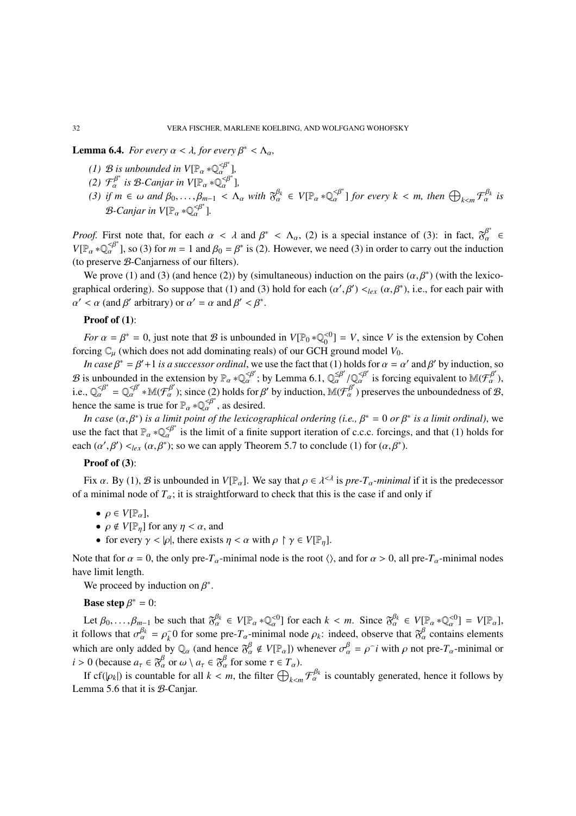**Lemma 6.4.** *For every*  $\alpha < \lambda$ , *for every*  $\beta^* < \Lambda_{\alpha}$ ,

- *(1)*  $\mathcal{B}$  *is unbounded in*  $V[\mathbb{P}_{\alpha} * \mathbb{Q}_{\alpha}^{\leq \beta^*}]$ (2)  $\mathcal{F}_{\alpha}^{\beta^*}$  is *B*-Canjar in  $V[\mathbb{P}_{\alpha} * \mathbb{Q}_{\alpha}^{\leq \beta^*}],$ *(3) if*  $m \in \omega$  and  $\beta_0, \ldots, \beta_{m-1} < \Lambda_\alpha$  with  $\mathfrak{F}_\alpha^{\beta_k} \in V[\mathbb{P}_\alpha * \mathbb{Q}_\alpha^{\leq \beta^*}]$  for every  $k < m$ , then  $\bigoplus_{k < m} \mathcal{F}_\alpha^{\beta_k}$  is
- *B*-Canjar in  $V[\mathbb{P}_{\alpha} * \mathbb{Q}_{\alpha}^{\leq \beta^*}].$

*Proof.* First note that, for each  $\alpha < \lambda$  and  $\beta^* < \Lambda_\alpha$ , (2) is a special instance of (3): in fact,  $\delta^{\beta^*}_{\alpha} \in$  $V[\mathbb{P}_{\alpha} * \mathbb{Q}_{\alpha}^{\leq \beta^*}]$ , so (3) for  $m = 1$  and  $\beta_0 = \beta^*$  is (2). However, we need (3) in order to carry out the induction (to preserve B-Canjarness of our filters).

We prove (1) and (3) (and hence (2)) by (simultaneous) induction on the pairs  $(\alpha, \beta^*)$  (with the lexicographical ordering). So suppose that (1) and (3) hold for each  $(\alpha', \beta') <_{lex} (\alpha, \beta^*)$ , i.e., for each pair with  $\alpha' < \alpha$  (and  $\beta'$  arbitrary) or  $\alpha' = \alpha$  and  $\beta' < \beta^*$ .

## Proof of  $(1)$ :

*For*  $\alpha = \beta^* = 0$ , just note that  $\beta$  is unbounded in  $V[\mathbb{P}_0 * \mathbb{Q}_0^{<0}] = V$ , since *V* is the extension by Cohen forcing  $\mathbb{C}_{\mu}$  (which does not add dominating reals) of our GCH ground model  $V_0$ .

*In case*  $\beta^* = \beta' + 1$  *is a successor ordinal*, we use the fact that (1) holds for  $\alpha = \alpha'$  and  $\beta'$  by induction, so B is unbounded in the extension by  $\mathbb{P}_{\alpha} * \mathbb{Q}_{\alpha}^{\prec \beta'}$ ; by Lemma 6.1,  $\mathbb{Q}_{\alpha}^{\leq \beta'} / \mathbb{Q}_{\alpha}^{< \beta'}$  is forcing equivalent to  $\mathbb{M}(\mathcal{F}_{\alpha}^{\beta'}),$ i.e.,  $\mathbb{Q}_{\alpha}^{\leq \beta^*} = \mathbb{Q}_{\alpha}^{\leq \beta^*} * \mathbb{M}(\mathcal{F}_{\alpha}^{\beta'})$ ; since (2) holds for  $\beta'$  by induction,  $\mathbb{M}(\mathcal{F}_{\alpha}^{\beta'})$  preserves the unboundedness of  $\mathcal{B}$ , hence the same is true for  $\mathbb{P}_{\alpha} * \mathbb{Q}_{\alpha}^{<\beta^*}$ , as desired.

*In case*  $(\alpha, \beta^*)$  *is a limit point of the lexicographical ordering (i.e.,*  $\beta^* = 0$  *or*  $\beta^*$  *is a limit ordinal)*, we use the fact that  $\mathbb{P}_{\alpha} * \mathbb{Q}_{\alpha}^{\leq \beta^*}$  is the limit of a finite support iteration of c.c.c. forcings, and that (1) holds for each  $(\alpha', \beta') <_{lex} (\alpha, \beta^*)$ ; so we can apply Theorem 5.7 to conclude (1) for  $(\alpha, \beta^*)$ .

# Proof of  $(3)$ :

Fix  $\alpha$ . By (1),  $\beta$  is unbounded in  $V[\mathbb{P}_{\alpha}]$ . We say that  $\rho \in \lambda^{\leq \lambda}$  is *pre-T<sub>α</sub>-minimal* if it is the predecessor of a minimal node of  $T_{\alpha}$ ; it is straightforward to check that this is the case if and only if

- $\rho \in V[\mathbb{P}_{\alpha}],$
- $\rho \notin V[\mathbb{P}_n]$  for any  $\eta < \alpha$ , and
- for every  $\gamma < |\rho|$ , there exists  $\eta < \alpha$  with  $\rho \restriction \gamma \in V[\mathbb{P}_n]$ .

Note that for  $\alpha = 0$ , the only pre- $T_{\alpha}$ -minimal node is the root  $\langle \rangle$ , and for  $\alpha > 0$ , all pre- $T_{\alpha}$ -minimal nodes have limit length.

We proceed by induction on  $\beta^*$ .

# **Base step**  $\beta^* = 0$ :

Let  $\beta_0, \ldots, \beta_{m-1}$  be such that  $\mathfrak{F}_{\alpha}^{\beta_k} \in V[\mathbb{P}_{\alpha} * \mathbb{Q}_{\alpha}^{<0}]$  for each  $k < m$ . Since  $\mathfrak{F}_{\alpha}^{\beta_k} \in V[\mathbb{P}_{\alpha} * \mathbb{Q}_{\alpha}^{<0}] = V[\mathbb{P}_{\alpha}],$ it follows that  $\sigma_{\alpha}^{\beta_k} = \rho_k^0$  for some pre- $T_{\alpha}$ -minimal node  $\rho_k$ : indeed, observe that  $\delta_{\alpha}^{\beta}$  contains elements which are only added by  $\mathbb{Q}_\alpha$  (and hence  $\mathfrak{F}_\alpha^\beta \notin V[\mathbb{P}_\alpha]$ ) whenever  $\sigma_\alpha^\beta = \rho^\gamma i$  with  $\rho$  not pre- $T_\alpha$ -minimal or *i* > 0 (because  $a_{\tau} \in \mathfrak{F}_{\alpha}^{\beta}$  or  $\omega \setminus a_{\tau} \in \mathfrak{F}_{\alpha}^{\beta}$  for some  $\tau \in T_{\alpha}$ ).

If  $cf(|\rho_k|)$  is countable for all  $k < m$ , the filter  $\bigoplus_{k < m} \mathcal{F}_{\alpha}^{\beta_k}$  is countably generated, hence it follows by Lemma 5.6 that it is B-Canjar.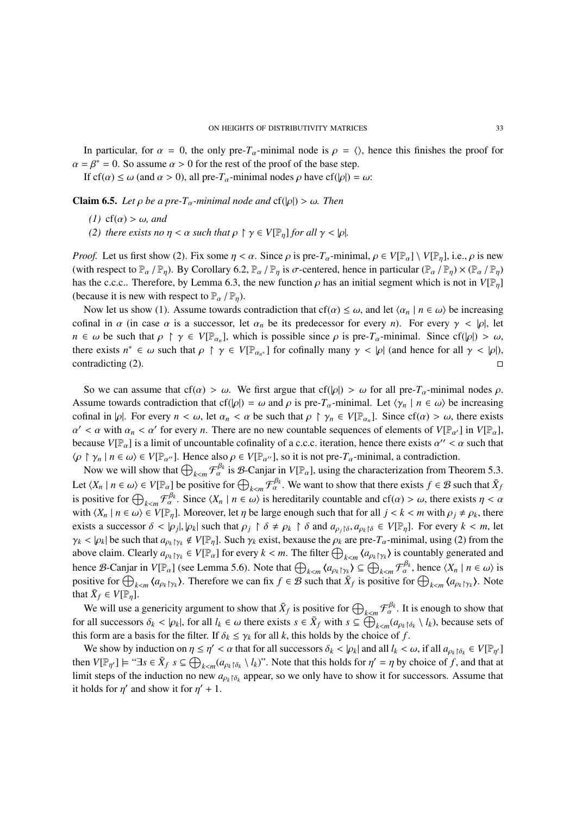In particular, for  $\alpha = 0$ , the only pre- $T_{\alpha}$ -minimal node is  $\rho = \langle \rangle$ , hence this finishes the proof for  $\alpha = \beta^* = 0$ . So assume  $\alpha > 0$  for the rest of the proof of the base step.

If cf( $\alpha$ )  $\leq \omega$  (and  $\alpha > 0$ ), all pre- $T_{\alpha}$ -minimal nodes  $\rho$  have cf( $|\rho|$ ) =  $\omega$ :

**Claim 6.5.** Let  $\rho$  be a pre- $T_{\alpha}$ -minimal node and  $cf(|\rho|) > \omega$ . Then

- *(1)*  $cf(\alpha) > \omega$ *, and*
- *(2) there exists no*  $\eta < \alpha$  *such that*  $\rho \upharpoonright \gamma \in V[\mathbb{P}_n]$  *for all*  $\gamma < |\rho|$ *.*

*Proof.* Let us first show (2). Fix some  $\eta < \alpha$ . Since  $\rho$  is pre- $T_{\alpha}$ -minimal,  $\rho \in V[\mathbb{P}_\alpha] \setminus V[\mathbb{P}_\eta]$ , i.e.,  $\rho$  is new (with respect to  $\mathbb{P}_{\alpha}$  /  $\mathbb{P}_{\eta}$ ). By Corollary 6.2,  $\mathbb{P}_{\alpha}$  /  $\mathbb{P}_{\eta}$  is  $\sigma$ -centered, hence in particular  $(\mathbb{P}_{\alpha}$  /  $\mathbb{P}_{\eta}) \times (\mathbb{P}_{\alpha}$  /  $\mathbb{P}_{\eta}$ ) has the c.c.c.. Therefore, by Lemma 6.3, the new function  $\rho$  has an initial segment which is not in  $V[\mathbb{P}_n]$ (because it is new with respect to  $\mathbb{P}_{\alpha}$  /  $\mathbb{P}_{n}$ ).

Now let us show (1). Assume towards contradiction that cf( $\alpha$ )  $\leq \omega$ , and let  $\langle \alpha_n | n \in \omega \rangle$  be increasing cofinal in  $\alpha$  (in case  $\alpha$  is a successor, let  $\alpha_n$  be its predecessor for every *n*). For every  $\gamma < |\rho|$ , let  $n \in \omega$  be such that  $\rho \upharpoonright \gamma \in V[\mathbb{P}_{\alpha_n}]$ , which is possible since  $\rho$  is pre- $T_\alpha$ -minimal. Since cf(| $\rho$ |) >  $\omega$ , there exists  $n^* \in \omega$  such that  $\rho \upharpoonright \gamma \in V[\mathbb{P}_{\alpha,*}]$  for cofinally many  $\gamma < |\rho|$  (and hence for all  $\gamma < |\rho|$ ), contradicting (2).  $\Box$ 

So we can assume that cf( $\alpha$ ) >  $\omega$ . We first argue that cf( $|\rho|$ ) >  $\omega$  for all pre- $T_\alpha$ -minimal nodes  $\rho$ . Assume towards contradiction that cf(| $\rho$ |) =  $\omega$  and  $\rho$  is pre- $T_\alpha$ -minimal. Let  $\langle \gamma_n | n \in \omega \rangle$  be increasing cofinal in  $|\rho|$ . For every  $n < \omega$ , let  $\alpha_n < \alpha$  be such that  $\rho \restriction \gamma_n \in V[\mathbb{P}_{\alpha_n}]$ . Since  $cf(\alpha) > \omega$ , there exists  $\alpha' < \alpha$  with  $\alpha_n < \alpha'$  for every *n*. There are no new countable sequences of elements of  $V[\mathbb{P}_{\alpha'}]$  in  $V[\mathbb{P}_{\alpha}]$ , because  $V[\mathbb{P}_{\alpha}]$  is a limit of uncountable cofinality of a c.c.c. iteration, hence there exists  $\alpha'' < \alpha$  such that  $\langle \rho \upharpoonright \gamma_n | n \in \omega \rangle \in V[\mathbb{P}_{\alpha''}]$ . Hence also  $\rho \in V[\mathbb{P}_{\alpha''}]$ , so it is not pre- $T_\alpha$ -minimal, a contradiction.

Now we will show that  $\bigoplus_{k\leq m} \mathcal{F}_{\alpha}^{\beta_k}$  is  $\mathcal{B}\text{-}$  Canjar in  $V[\mathbb{P}_{\alpha}]$ , using the characterization from Theorem 5.3. Let  $\langle X_n | n \in \omega \rangle \in V[\mathbb{P}_\alpha]$  be positive for  $\bigoplus_{k \le m} \mathcal{F}_\alpha^{\beta_k}$ . We want to show that there exists  $f \in \mathcal{B}$  such that  $\bar{X}_f$ is positive for  $\bigoplus_{k\leq m} \mathcal{F}_{\alpha}^{\beta_k}$ . Since  $\langle X_n \mid n \in \omega \rangle$  is hereditarily countable and cf $(\alpha) > \omega$ , there exists  $\eta < \alpha$ with  $\langle X_n | n \in \omega \rangle \in V[\mathbb{P}_n]$ . Moreover, let  $\eta$  be large enough such that for all  $j < k < m$  with  $\rho_j \neq \rho_k$ , there exists a successor  $\delta < |\rho_j|, |\rho_k|$  such that  $\rho_j \upharpoonright \delta \neq \rho_k \upharpoonright \delta$  and  $a_{\rho_j \upharpoonright \delta}, a_{\rho_k \upharpoonright \delta} \in V[\mathbb{P}_n]$ . For every  $k < m$ , let  $\gamma_k < |\rho_k|$  be such that  $a_{\rho_k|\gamma_k} \notin V[\mathbb{P}_\eta]$ . Such  $\gamma_k$  exist, bexause the  $\rho_k$  are pre- $T_\alpha$ -minimal, using (2) from the above claim. Clearly  $a_{\rho_k \upharpoonright \gamma_k} \in V[\mathbb{P}_\alpha]$  for every  $k < m$ . The filter  $\bigoplus_{k < m} \langle a_{\rho_k \upharpoonright \gamma_k} \rangle$  is countably generated and hence B-Canjar in  $V[\mathbb{P}_{\alpha}]$  (see Lemma 5.6). Note that  $\bigoplus_{k \le m} \langle a_{\rho_k \upharpoonright \gamma_k} \rangle \subseteq \bigoplus_{k \le m} \mathcal{F}_{\alpha}^{\beta_k}$ , hence  $\langle X_n | n \in \omega \rangle$  is positive for  $\bigoplus_{k \le m} \langle a_{\rho_k \upharpoonright \gamma_k} \rangle$ . Therefore we can fix  $f \in \mathcal{B}$  such that  $\bar{X}_f$  is positive for  $\bigoplus_{k \le m} \langle a_{\rho_k \upharpoonright \gamma_k} \rangle$ . Note that  $\bar{X}_f \in V[\mathbb{P}_\eta].$ 

We will use a genericity argument to show that  $\bar{X}_f$  is positive for  $\bigoplus_{k\leq m}\mathcal{F}_{\alpha}^{\beta_k}$ . It is enough to show that for all successors  $\delta_k < |\rho_k|$ , for all  $l_k \in \omega$  there exists  $s \in \bar{X}_f$  with  $s \subseteq \bigoplus_{k=m}^{\infty} (a_{\rho_k | \delta_k} \setminus l_k)$ , because sets of this form are a basis for the filter. If  $\delta_k \leq \gamma_k$  for all *k*, this holds by the choice of *f*.

We show by induction on  $\eta \le \eta' < \alpha$  that for all successors  $\delta_k < |\rho_k|$  and all  $l_k < \omega$ , if all  $a_{\rho_k} \upharpoonright \delta_k \in V[\mathbb{P}_{\eta'}]$ then  $V[\mathbb{P}_{\eta'}] \models " \exists s \in \bar{X}_f \ s \subseteq \bigoplus_{k < m} (a_{\rho_k \upharpoonright \delta_k} \setminus l_k)$ ". Note that this holds for  $\eta' = \eta$  by choice of f, and that at limit steps of the induction no new  $a_{\rho_k} \delta_k$  appear, so we only have to show it for successors. Assume that it holds for  $\eta'$  and show it for  $\eta' + 1$ .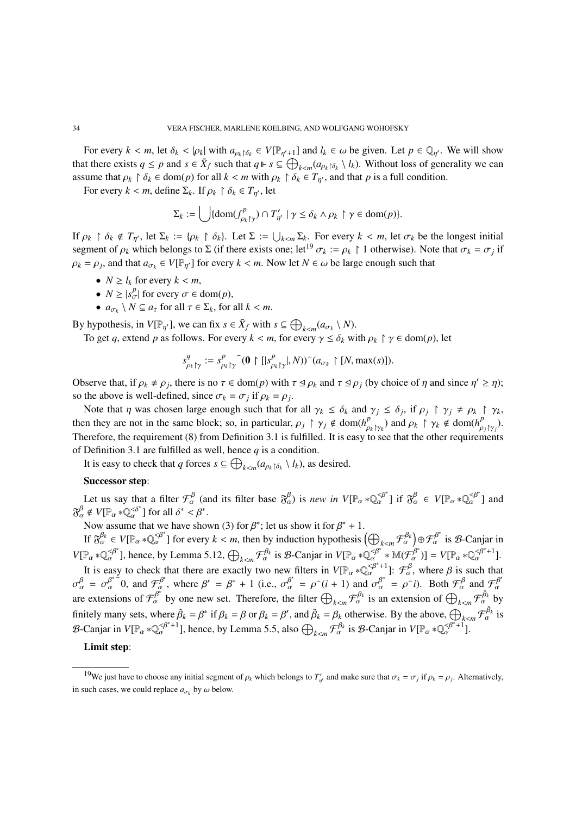For every  $k < m$ , let  $\delta_k < |\rho_k|$  with  $a_{\rho_k \upharpoonright \delta_k} \in V[\mathbb{P}_{\eta'+1}]$  and  $l_k \in \omega$  be given. Let  $p \in \mathbb{Q}_{\eta'}$ . We will show that there exists  $q \leq p$  and  $s \in \bar{X}_f$  such that  $q \Vdash s \subseteq \bigoplus_{k \leq m} (a_{\rho_k \upharpoonright \delta_k} \setminus l_k)$ . Without loss of generality we can assume that  $\rho_k \upharpoonright \delta_k \in \text{dom}(p)$  for all  $k < m$  with  $\rho_k \upharpoonright \delta_k \in T_{n'}$ , and that p is a full condition.

For every  $k < m$ , define  $\Sigma_k$ . If  $\rho_k \upharpoonright \delta_k \in T_{\eta'}$ , let

$$
\Sigma_k := \bigcup \{ \mathrm{dom}(f_{\rho_k \upharpoonright \gamma}^p) \cap T'_{\eta'} \mid \gamma \leq \delta_k \wedge \rho_k \upharpoonright \gamma \in \mathrm{dom}(p) \}.
$$

If  $\rho_k \upharpoonright \delta_k \notin T_{\eta'}$ , let  $\Sigma_k := \{\rho_k \upharpoonright \delta_k\}$ . Let  $\Sigma := \bigcup_{k \le m} \Sigma_k$ . For every  $k < m$ , let  $\sigma_k$  be the longest initial segment of  $\rho_k$  which belongs to  $\Sigma$  (if there exists one; let<sup>19</sup>  $\sigma_k := \rho_k \upharpoonright 1$  otherwise). Note that  $\sigma_k = \sigma_j$  if  $\rho_k = \rho_j$ , and that  $a_{\sigma_k} \in V[\mathbb{P}_{n'}]$  for every  $k < m$ . Now let  $N \in \omega$  be large enough such that

- $N \geq l_k$  for every  $k < m$ ,
- $N \ge |s_{\sigma}^p|$  for every  $\sigma \in \text{dom}(p)$ ,
- $a_{\sigma_k} \setminus N \subseteq a_{\tau}$  for all  $\tau \in \Sigma_k$ , for all  $k < m$ .

By hypothesis, in  $V[\mathbb{P}_{\eta'}]$ , we can fix  $s \in \bar{X}_f$  with  $s \subseteq \bigoplus_{k \le m} (a_{\sigma_k} \setminus N)$ .

To get q, extend p as follows. For every  $k < m$ , for every  $\gamma \le \delta_k$  with  $\rho_k \upharpoonright \gamma \in \text{dom}(p)$ , let

$$
s_{\rho_k\upharpoonright\gamma}^q := s_{\rho_k\upharpoonright\gamma}^p(\mathbf{0} \upharpoonright [ |s_{\rho_k\upharpoonright\gamma}^p|, N))^\frown (a_{\sigma_k} \upharpoonright [N, \max(s)]).
$$

Observe that, if  $\rho_k \neq \rho_j$ , there is no  $\tau \in \text{dom}(p)$  with  $\tau \leq \rho_k$  and  $\tau \leq \rho_j$  (by choice of  $\eta$  and since  $\eta' \geq \eta$ ); so the above is well-defined, since  $\sigma_k = \sigma_j$  if  $\rho_k = \rho_j$ .

Note that  $\eta$  was chosen large enough such that for all  $\gamma_k \leq \delta_k$  and  $\gamma_i \leq \delta_j$ , if  $\rho_i \upharpoonright \gamma_i \neq \rho_k \upharpoonright \gamma_k$ , then they are not in the same block; so, in particular,  $\rho_j \upharpoonright \gamma_j \notin \text{dom}(h_{\rho_k \upharpoonright \gamma_k}^p)$  and  $\rho_k \upharpoonright \gamma_k \notin \text{dom}(h_{\rho_j \upharpoonright \gamma_j}^p)$ . Therefore, the requirement (8) from Definition 3.1 is fulfilled. It is easy to see that the other requirements of Definition 3.1 are fulfilled as well, hence *q* is a condition.

It is easy to check that *q* forces  $s \subseteq \bigoplus_{k < m} (a_{\rho_k \upharpoonright \delta_k} \setminus l_k)$ , as desired.

# Successor step:

Let us say that a filter  $\mathcal{F}_{\alpha}^{\beta}$  (and its filter base  $\mathfrak{F}_{\alpha}^{\beta}$ ) is *new in*  $V[\mathbb{P}_{\alpha} * \mathbb{Q}_{\alpha}^{\prec \beta^*}]$  if  $\mathfrak{F}_{\alpha}^{\beta} \in V[\mathbb{P}_{\alpha} * \mathbb{Q}_{\alpha}^{\prec \beta^*}]$  and  $\mathfrak{F}_{\alpha}^{\beta} \notin V[\mathbb{P}_{\alpha} * \mathbb{Q}_{\alpha}^{<\delta^*}]$  for all  $\delta^* < \beta^*$ .

Now assume that we have shown (3) for  $\beta^*$ ; let us show it for  $\beta^* + 1$ .

If  $\mathfrak{F}_{\alpha}^{\beta_k} \in V[\mathbb{P}_{\alpha} * \mathbb{Q}_{\alpha}^{\leq \beta^*}]$  for every  $k < m$ , then by induction hypothesis  $(\bigoplus_{k \leq m} \mathcal{F}_{\alpha}^{\beta_k}) \oplus \mathcal{F}_{\alpha}^{\beta^*}$  is  $\mathcal{B}\text{-}$ Canjar in  $V[\mathbb{P}_{\alpha} * \mathbb{Q}_{\alpha}^{\leq \beta^*}],$  hence, by Lemma 5.12,  $\bigoplus_{k \leq m} \mathcal{F}_{\alpha}^{\beta_k}$  is  $\mathcal{B}$ -Canjar in  $V[\mathbb{P}_{\alpha} * \mathbb{Q}_{\alpha}^{\leq \beta^*}] = V[\mathbb{P}_{\alpha} * \mathbb{Q}_{\alpha}^{\leq \beta^*+1}].$ It is easy to check that there are exactly two new filters in  $V[\mathbb{P}_{\alpha} * \mathbb{Q}_{\alpha}^{\leq \beta^*+1}]$ :  $\mathcal{F}_{\alpha}^{\beta}$ , where  $\beta$  is such that  $\sigma_\alpha^\beta = \sigma_\alpha^{\beta^*}$  $\int_{0}^{\infty} 0$ , and  $\mathcal{F}_{\alpha}^{\beta'}$ , where  $\beta' = \beta^* + 1$  (i.e.,  $\sigma_{\alpha}^{\beta'} = \rho^*(i + 1)$  and  $\sigma_{\alpha}^{\beta^*} = \rho^*i$ ). Both  $\mathcal{F}_{\alpha}^{\beta}$  and  $\mathcal{F}_{\alpha}^{\beta'}$ are extensions of  $\mathcal{F}_{\alpha}^{\beta^*}$  by one new set. Therefore, the filter  $\bigoplus_{k\leq m}\mathcal{F}_{\alpha}^{\beta_k}$  is an extension of  $\bigoplus_{k\leq m}\mathcal{F}_{\alpha}^{\beta_k}$  by finitely many sets, where  $\tilde{\beta}_k = \beta^*$  if  $\beta_k = \beta$  or  $\beta_k = \beta'$ , and  $\tilde{\beta}_k = \beta_k$  otherwise. By the above,  $\bigoplus_{k \le m} \mathcal{F}_{\alpha}^{\tilde{\beta}_k}$  is  $\mathcal{B}\text{-}$ Canjar in  $V[\mathbb{P}_{\alpha} * \mathbb{Q}_{\alpha}^{\leq \beta^*+1}]$ , hence, by Lemma 5.5, also  $\bigoplus_{k \leq m} \mathcal{F}_{\alpha}^{\beta_k}$  is  $\mathcal{B}\text{-}$ Canjar in  $V[\mathbb{P}_{\alpha} * \mathbb{Q}_{\alpha}^{\leq \beta^*+1}]$ .

# Limit step:

<sup>&</sup>lt;sup>19</sup>We just have to choose any initial segment of  $\rho_k$  which belongs to  $T'_{\eta'}$  and make sure that  $\sigma_k = \sigma_j$  if  $\rho_k = \rho_j$ . Alternatively, in such cases, we could replace  $a_{\sigma_k}$  by  $\omega$  below.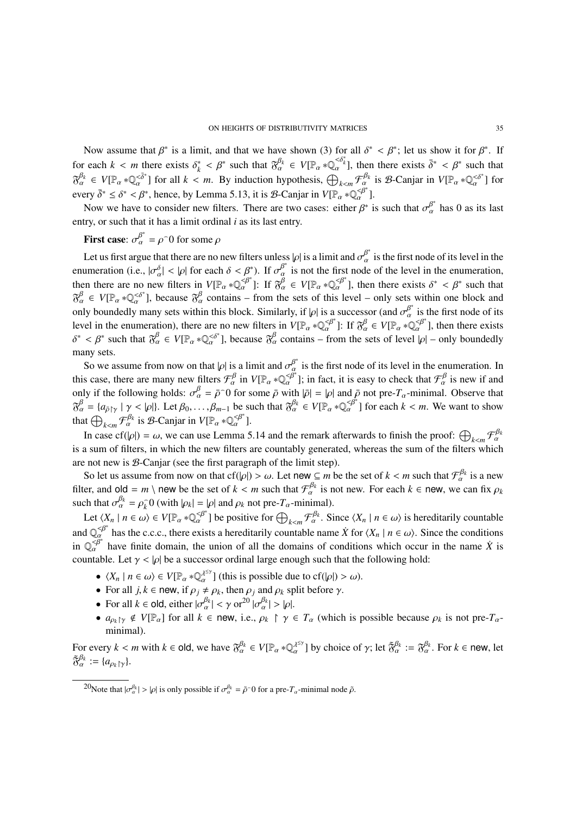Now assume that  $\beta^*$  is a limit, and that we have shown (3) for all  $\delta^* < \beta^*$ ; let us show it for  $\beta^*$ . If for each  $k < m$  there exists  $\delta_k^* < \beta^*$  such that  $\mathfrak{F}_{\alpha}^{\beta_k} \in V[\mathbb{P}_{\alpha} * \mathbb{Q}_{\alpha}^{<\delta_k^*}]$ , then there exists  $\bar{\delta}^* < \beta^*$  such that  $\mathfrak{F}_{\alpha}^{\beta_k} \in V[\mathbb{P}_{\alpha} * \mathbb{Q}_{\alpha}^{<\delta^*}]$  for all  $k < m$ . By induction hypothesis,  $\bigoplus_{k < m} \mathcal{F}_{\alpha}^{\beta_k}$  is  $\mathcal{B}$ -Canjar in  $V[\mathbb{P}_{\alpha} * \mathbb{Q}_{\alpha}^{<\delta^*}]$  for every  $\bar{\delta}^* \leq \delta^* < \beta^*$ , hence, by Lemma 5.13, it is  $\mathcal{B}$ -Canjar in  $V[\mathbb{P}_{\alpha} * \mathbb{Q}_{\alpha}^{\leq \beta^*}].$ 

Now we have to consider new filters. There are two cases: either  $\beta^*$  is such that  $\sigma_\alpha^{\beta^*}$  has 0 as its last entry, or such that it has a limit ordinal *i* as its last entry.

**First case:**  $\sigma_{\alpha}^{\beta^*} = \rho^{\frown}0$  for some  $\rho$ 

Let us first argue that there are no new filters unless  $|\rho|$  is a limit and  $\sigma_\alpha^{\beta^*}$  is the first node of its level in the enumeration (i.e.,  $|\sigma_{\alpha}^{\delta}| < |\rho|$  for each  $\delta < \beta^*$ ). If  $\sigma_{\alpha}^{\beta^*}$  is not the first node of the level in the enumeration, then there are no new filters in  $V[\mathbb{P}_{\alpha} * \mathbb{Q}_{\alpha}^{\prec \beta^*}]$ : If  $\mathfrak{F}_{\alpha}^{\beta} \in V[\mathbb{P}_{\alpha} * \mathbb{Q}_{\alpha}^{\prec \beta^*}]$ , then there exists  $\delta^* \prec \beta^*$  such that  $\mathfrak{F}_{\alpha}^{\beta} \in V[\mathbb{P}_{\alpha} * \mathbb{Q}_{\alpha}^{\leq \delta^*}],$  because  $\mathfrak{F}_{\alpha}^{\beta}$  contains – from the sets of this level – only sets within one block and only boundedly many sets within this block. Similarly, if | $\rho$ | is a successor (and  $\sigma_{\alpha}^{\beta^*}$  is the first node of its level in the enumeration), there are no new filters in  $V[\mathbb{P}_{\alpha} * \mathbb{Q}_{\alpha}^{\prec \beta^*}]$ : If  $\mathfrak{F}_{\alpha}^{\beta} \in V[\mathbb{P}_{\alpha} * \mathbb{Q}_{\alpha}^{\prec \beta^*}]$ , then there exists  $\delta^* < \beta^*$  such that  $\delta_\alpha^\beta \in V[\mathbb{P}_\alpha * \mathbb{Q}_\alpha^{\leq \delta^*}]$ , because  $\delta_\alpha^\beta$  contains – from the sets of level  $|\rho|$  – only boundedly many sets.

So we assume from now on that  $|\rho|$  is a limit and  $\sigma_{\alpha}^{\beta^*}$  is the first node of its level in the enumeration. In this case, there are many new filters  $\mathcal{F}_{\alpha}^{\beta}$  in  $V[\mathbb{P}_{\alpha} * \mathbb{Q}_{\alpha}^{\prec \beta^*}]$ ; in fact, it is easy to check that  $\mathcal{F}_{\alpha}^{\beta}$  is new if and only if the following holds:  $\sigma_{\alpha}^{\beta} = \bar{\rho}^0$  for some  $\bar{\rho}$  with  $|\bar{\rho}| = |\rho|$  and  $\bar{\rho}$  not pre- $T_{\alpha}$ -minimal. Observe that  $\mathfrak{F}_{\alpha}^{\beta} = \{a_{\bar{\rho}\upharpoonright\gamma} \mid \gamma < |\rho|\}$ . Let  $\beta_0, \ldots, \beta_{m-1}$  be such that  $\mathfrak{F}_{\alpha}^{\beta_k} \in V[\mathbb{P}_{\alpha} * \mathbb{Q}_{\alpha}^{\prec\beta^*}]$  for each  $k < m$ . We want to show that  $\bigoplus_{k \le m} \mathcal{F}_{\alpha}^{\beta_k}$  is  $\mathcal{B}\text{-}\mathrm{Canjar}$  in  $V[\mathbb{P}_{\alpha} * \mathbb{Q}_{\alpha}^{\leq \beta^*}].$ 

In case cf(| $\rho$ |) =  $\omega$ , we can use Lemma 5.14 and the remark afterwards to finish the proof:  $\bigoplus_{k \le m} \mathcal{F}_{\alpha}^{\beta_k}$ is a sum of filters, in which the new filters are countably generated, whereas the sum of the filters which are not new is B-Canjar (see the first paragraph of the limit step).

So let us assume from now on that cf( $|\rho|$ ) >  $\omega$ . Let new  $\subseteq m$  be the set of  $k < m$  such that  $\mathcal{F}_{\alpha}^{\beta_k}$  is a new filter, and  $\mathsf{old} = m \setminus \mathsf{new}$  be the set of  $k < m$  such that  $\mathcal{F}_{\alpha}^{\beta_k}$  is not new. For each  $k \in \mathsf{new}$ , we can fix  $\rho_k$ such that  $\sigma_{\alpha}^{\beta_k} = \rho_k^{\frown} 0$  (with  $|\rho_k| = |\rho|$  and  $\rho_k$  not pre- $T_{\alpha}$ -minimal).

Let  $\langle X_n | n \in \omega \rangle \in V[\mathbb{P}_{\alpha} * \mathbb{Q}_{\alpha}^{\prec \beta^*}]$  be positive for  $\bigoplus_{k \prec m} \mathcal{F}_{\alpha}^{\beta_k}$ . Since  $\langle X_n | n \in \omega \rangle$  is hereditarily countable and  $\mathbb{Q}_{\alpha}^{\leq \beta^*}$  has the c.c.c., there exists a hereditarily countable name  $\dot{X}$  for  $\langle X_n | n \in \omega \rangle$ . Since the conditions in  $\mathbb{Q}_{\alpha}^{\lt p}$  have finite domain, the union of all the domains of conditions which occur in the name  $\dot{X}$  is countable. Let  $\gamma < |\rho|$  be a successor ordinal large enough such that the following hold:

- $\langle X_n | n \in \omega \rangle \in V[\mathbb{P}_\alpha * \mathbb{Q}_\alpha^{\lambda^{\leq \gamma}}]$  (this is possible due to cf( $|\rho| > \omega$ ).
- For all  $j, k \in \text{new}$ , if  $\rho_i \neq \rho_k$ , then  $\rho_i$  and  $\rho_k$  split before  $\gamma$ .
- For all  $k \in \text{old}, \text{ either } |\sigma_\alpha^{\beta_k}| < \gamma \text{ or } 2^0 \text{ } |\sigma_\alpha^{\beta_k}| > |\rho|.$
- $a_{\rho_k\upharpoonright\gamma} \notin V[\mathbb{P}_\alpha]$  for all  $k \in \text{new}$ , i.e.,  $\rho_k \upharpoonright \gamma \in T_\alpha$  (which is possible because  $\rho_k$  is not pre- $T_\alpha$ minimal).

For every  $k < m$  with  $k \in \text{old}$ , we have  $\mathfrak{F}_{\alpha}^{\beta_k} \in V[\mathbb{P}_{\alpha} * \mathbb{Q}_{\alpha}^{\lambda^{\leq \gamma}}]$  by choice of  $\gamma$ ; let  $\mathfrak{F}_{\alpha}^{\beta_k} := \mathfrak{F}_{\alpha}^{\beta_k}$ . For  $k \in \text{new}$ , let  $\tilde{\mathfrak{F}}_{\alpha}^{\beta_k} := \{a_{\rho_k\upharpoonright\gamma}\}.$ 

<sup>&</sup>lt;sup>20</sup>Note that  $|\sigma_{\alpha}^{\beta_k}| > |\rho|$  is only possible if  $\sigma_{\alpha}^{\beta_k} = \tilde{\rho}^0$  for a pre- $T_{\alpha}$ -minimal node  $\tilde{\rho}$ .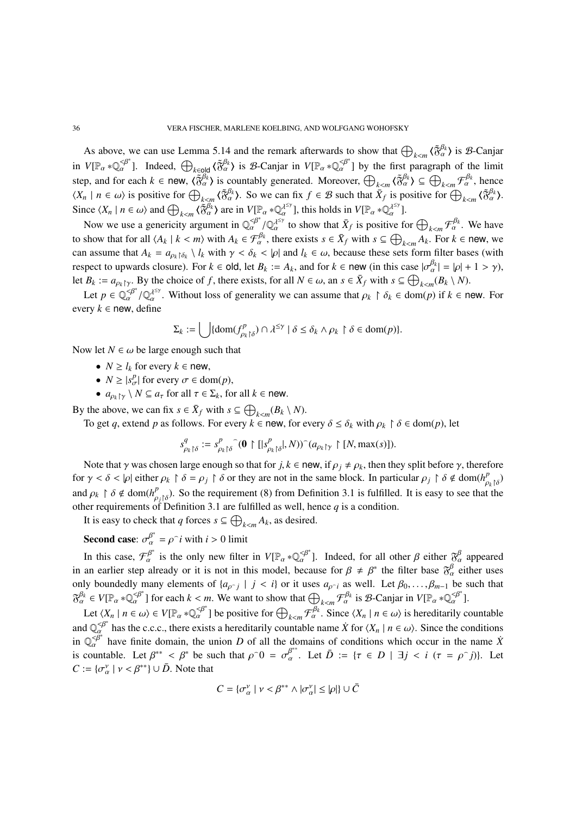As above, we can use Lemma 5.14 and the remark afterwards to show that  $\bigoplus_{k\leq m}\langle \tilde{\mathfrak{F}}_{\alpha}^{\beta_k}\rangle$  is  $\mathcal{B}\text{-}\text{Canjar}$ in  $V[\mathbb{P}_{\alpha} * \mathbb{Q}_{\alpha}^{\leq \beta^*}]$ . Indeed,  $\bigoplus_{k \in \text{old}} \langle \tilde{\delta}_{\alpha}^{\beta_k} \rangle$  is  $\mathcal{B}$ -Canjar in  $V[\mathbb{P}_{\alpha} * \mathbb{Q}_{\alpha}^{\leq \beta^*}]$  by the first paragraph of the limit step, and for each  $k \in \text{new}$ ,  $\langle \tilde{\mathfrak{F}}_{\alpha}^{\beta_k} \rangle$  is countably generated. Moreover,  $\bigoplus_{k \leq m} \langle \tilde{\mathfrak{F}}_{\alpha}^{\beta_k} \rangle \subseteq \bigoplus_{k \leq m} \mathcal{F}_{\alpha}^{\beta_k}$ , hence  $\langle X_n \mid n \in \omega \rangle$  is positive for  $\bigoplus_{k \leq m} \langle \tilde{\delta}_\alpha^{\beta_k} \rangle$ . So we can fix  $f \in \mathcal{B}$  such that  $\overline{X}_f$  is positive for  $\bigoplus_{k \leq m} \langle \tilde{\delta}_\alpha^{\beta_k} \rangle$ . Since  $\langle X_n | n \in \omega \rangle$  and  $\bigoplus_{k < m} \langle \tilde{\delta}_\alpha^{\beta_k} \rangle$  are in  $V[\mathbb{P}_\alpha * \mathbb{Q}_\alpha^{\lambda^{\leq \gamma}}]$ , this holds in  $V[\mathbb{P}_\alpha * \mathbb{Q}_\alpha^{\lambda^{\leq \gamma}}]$ .

Now we use a genericity argument in  $\mathbb{Q}_{\alpha}^{\langle \beta \rangle} / \mathbb{Q}_{\alpha}^{\lambda^{\leq \gamma}}$  to show that  $\bar{X}_f$  is positive for  $\bigoplus_{k \leq m} \mathcal{F}_{\alpha}^{\beta_k}$ . We have to show that for all  $\langle A_k | k \rangle \langle m \rangle$  with  $A_k \in \mathcal{F}_{\alpha}^{\beta_k}$ , there exists  $s \in \bar{X}_f$  with  $s \subseteq \bigoplus_{k \le m} A_k$ . For  $k \in \text{new}$ , we can assume that  $A_k = a_{\rho_k \upharpoonright \delta_k} \setminus l_k$  with  $\gamma < \delta_k < |\rho|$  and  $l_k \in \omega$ , because these sets form filter bases (with respect to upwards closure). For  $k \in \text{old}$ , let  $B_k := A_k$ , and for  $k \in \text{new}$  (in this case  $|\sigma_\alpha^{\beta_k}| = |\rho| + 1 > \gamma$ ), let  $B_k := a_{\rho_k \upharpoonright \gamma}$ . By the choice of *f*, there exists, for all  $N \in \omega$ , an  $s \in \bar{X}_f$  with  $s \subseteq \bigoplus_{k \le m} (B_k \setminus N)$ .

Let  $p \in \mathbb{Q}_\alpha^{\leq p} / \mathbb{Q}_\alpha^{\leq p}$ . Without loss of generality we can assume that  $\rho_k \upharpoonright \delta_k \in \text{dom}(p)$  if  $k \in \text{new}$ . For every  $k \in \text{new}$ , define

$$
\Sigma_k := \bigcup \{ \mathrm{dom}(f_{\rho_k \upharpoonright \delta}^p) \cap \lambda^{\leq \gamma} \mid \delta \leq \delta_k \wedge \rho_k \upharpoonright \delta \in \mathrm{dom}(p) \}.
$$

Now let  $N \in \omega$  be large enough such that

- $N \geq l_k$  for every  $k \in \text{new}$ ,
- $N \ge |s_{\sigma}^p|$  for every  $\sigma \in \text{dom}(p)$ ,
- $a_{\rho_k} \upharpoonright \gamma \setminus N \subseteq a_{\tau}$  for all  $\tau \in \Sigma_k$ , for all  $k \in \text{new}$ .

By the above, we can fix  $s \in \bar{X}_f$  with  $s \subseteq \bigoplus_{k \le m} (B_k \setminus N)$ .

To get *q*, extend *p* as follows. For every  $k \in \text{new}$ , for every  $\delta \le \delta_k$  with  $\rho_k \upharpoonright \delta \in \text{dom}(p)$ , let

$$
s_{\rho_k\upharpoonright\delta}^q := s_{\rho_k\upharpoonright\delta}^p \hat{\mathbf{0}} \upharpoonright [ |s_{\rho_k\upharpoonright\delta}^p|, N) )^\frown (a_{\rho_k\upharpoonright\gamma} \upharpoonright [N, \max(s)]).
$$

Note that  $\gamma$  was chosen large enough so that for  $j, k \in \text{new}$ , if  $\rho_j \neq \rho_k$ , then they split before  $\gamma$ , therefore for  $\gamma < \delta < |\rho|$  either  $\rho_k \upharpoonright \delta = \rho_j \upharpoonright \delta$  or they are not in the same block. In particular  $\rho_j \upharpoonright \delta \notin \text{dom}(h_{\rho_k \upharpoonright \delta}^p)$ and  $\rho_k \upharpoonright \delta \notin \text{dom}(h_{\rho_j \upharpoonright \delta}^p)$ . So the requirement (8) from Definition 3.1 is fulfilled. It is easy to see that the other requirements of Definition 3.1 are fulfilled as well, hence *q* is a condition.

It is easy to check that *q* forces  $s \subseteq \bigoplus_{k \le m} A_k$ , as desired.

**Second case:**  $\sigma_{\alpha}^{\beta^*} = \rho \hat{i}$  with  $i > 0$  limit

In this case,  $\mathcal{F}_{\alpha}^{\beta^*}$  is the only new filter in  $V[\mathbb{P}_{\alpha} * \mathbb{Q}_{\alpha}^{\beta^*}]$ . Indeed, for all other  $\beta$  either  $\mathfrak{F}_{\alpha}^{\beta}$  appeared in an earlier step already or it is not in this model, because for  $\beta \neq \beta^*$  the filter base  $\delta^{\beta}_{\alpha}$  either uses only boundedly many elements of  $\{a_{\rho \uparrow j} | j < i\}$  or it uses  $a_{\rho \uparrow i}$  as well. Let  $\beta_0, \ldots, \beta_{m-1}$  be such that  $\mathfrak{F}_{\alpha}^{\beta_k} \in V[\mathbb{P}_{\alpha} * \mathbb{Q}_{\alpha}^{\leq \beta^*}]$  for each  $k < m$ . We want to show that  $\bigoplus_{k < m} \mathcal{F}_{\alpha}^{\beta_k}$  is  $\mathcal{B}$ -Canjar in  $V[\mathbb{P}_{\alpha} * \mathbb{Q}_{\alpha}^{\leq \beta^*}]$ .

Let  $\langle X_n | n \in \omega \rangle \in V[\mathbb{P}_{\alpha} * \mathbb{Q}_{\alpha}^{\prec \beta^*}]$  be positive for  $\bigoplus_{k \prec m} \mathcal{F}_{\alpha}^{\beta_k}$ . Since  $\langle X_n | n \in \omega \rangle$  is hereditarily countable and  $\mathbb{Q}_{\alpha}^{\leq \beta^*}$  has the c.c.c., there exists a hereditarily countable name  $\dot{X}$  for  $\langle X_n | n \in \omega \rangle$ . Since the conditions in  $\mathbb{Q}_{\alpha}^{\lt p}$  have finite domain, the union *D* of all the domains of conditions which occur in the name *X* is countable. Let  $\beta^{**} < \beta^*$  be such that  $\rho^0 = \sigma^{\beta^{**}}_a$ . Let  $\overline{D} := \{\tau \in D \mid \exists j \le i \ (\tau = \rho^j)\}\$ . Let  $C := {\{\sigma_{\alpha}^{\nu} \mid \nu < \beta^{**}\}} \cup \overline{D}$ . Note that

$$
C = \{ \sigma_{\alpha}^{\nu} \mid \nu < \beta^{**} \land |\sigma_{\alpha}^{\nu}| \le |\rho| \} \cup \bar{C}
$$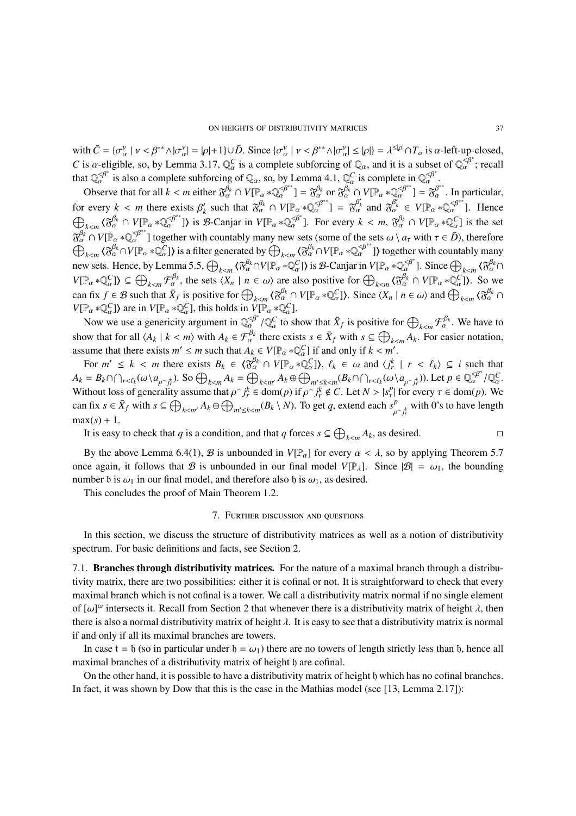with  $\bar{C} = {\{\sigma_{\alpha}^{\nu} \mid \nu < \beta^{**} \land |\sigma_{\alpha}^{\nu}| = |\rho|+1\}\cup \bar{D}}$ . Since  ${\{\sigma_{\alpha}^{\nu} \mid \nu < \beta^{**} \land |\sigma_{\alpha}^{\nu}| \leq |\rho|\}} = \lambda^{\leq |\rho|} \cap T_{\alpha}$  is  $\alpha$ -left-up-closed, *C* is  $\alpha$ -eligible, so, by Lemma 3.17,  $\mathbb{Q}_{\alpha}^C$  is a complete subforcing of  $\mathbb{Q}_{\alpha}$ , and it is a subset of  $\mathbb{Q}_{\alpha}^{\leq \beta^*}$ ; recall that  $\mathbb{Q}_{\alpha}^{\leq \beta^*}$  is also a complete subforcing of  $\mathbb{Q}_{\alpha}$ , so, by Lemma 4.1,  $\mathbb{Q}_{\alpha}^C$  is complete in  $\mathbb{Q}_{\alpha}^{\leq \beta^*}$ .

Observe that for all  $k < m$  either  $\mathfrak{F}_{\alpha}^{\beta_k} \cap V[\mathbb{P}_{\alpha} * \mathbb{Q}_{\alpha}^{\prec \beta^{**}}] = \mathfrak{F}_{\alpha}^{\beta_k} \cap V[\mathbb{P}_{\alpha} * \mathbb{Q}_{\alpha}^{\prec \beta^{**}}] = \mathfrak{F}_{\alpha}^{\beta^{**}}$ . In particular, for every  $k < m$  there exists  $\beta'_k$  such that  $\mathfrak{F}_{\alpha}^{\beta_k} \cap V[\mathbb{P}_{\alpha} * \mathbb{Q}_{\alpha}^{\prec \beta^{**}}] = \mathfrak{F}_{\alpha}^{\beta'_k}$  and  $\mathfrak{F}_{\alpha}^{\beta'_k} \in V[\mathbb{P}_{\alpha} * \mathbb{Q}_{\alpha}^{\prec \beta^{**}}]$ . Hence  $\bigoplus_{k \le m} \{ \mathfrak{F}_{\alpha}^{\beta_k} \cap V[\mathbb{P}_{\alpha} * \mathbb{Q}_{\alpha}^{\le \beta^*}]\}$  is B-Canjar in  $V[\mathbb{P}_{\alpha} * \mathbb{Q}_{\alpha}^{\le \beta^*}]\$ . For every  $k < m$ ,  $\mathfrak{F}_{\alpha}^{\beta_k} \cap V[\mathbb{P}_{\alpha} * \mathbb{Q}_{\alpha}^C]$  is the set  $\mathfrak{F}_{\alpha}^{\beta_k} \cap V[\mathbb{P}_{\alpha} * \mathbb{Q}_{\alpha}^{\leq \beta^{**}}]$  together with countably many new sets (some of the sets  $\omega \setminus a_{\tau}$  with  $\tau \in \bar{D}$ ), therefore  $\bigoplus$ .  $\mathfrak{F}_{\alpha}^{\beta_k} \cap V[\mathbb{P}_{\alpha} * \mathbb{Q}_{\alpha}^{\leq \beta^{**}}]$  and  $\mathfrak{F}_{\alpha}$  $\chi_{k\leq m} \langle \mathfrak{F}_{\alpha}^{\beta_k} \cap V[\mathbb{P}_{\alpha} * \mathbb{Q}_{\alpha}^C] \rangle$  is a filter generated by  $\bigoplus_{k \leq m} \langle \mathfrak{F}_{\alpha}^{\beta_k} \cap V[\mathbb{P}_{\alpha} * \mathbb{Q}_{\alpha}^{\prec \beta^{**}}] \rangle$  together with countably many new sets. Hence, by Lemma 5.5,  $\bigoplus_{k \le m} \{\mathfrak{F}_{\alpha}^{\beta_k} \cap V[\mathbb{P}_{\alpha} * \mathbb{Q}_{\alpha}^C] \}$  is  $\mathcal{B}$ -Canjar in  $V[\mathbb{P}_{\alpha} * \mathbb{Q}_{\alpha}^{<\beta^*}]$ . Since  $\bigoplus_{k \le m} \{\mathfrak{F}_{\alpha}^{\beta_k} \cap V[\mathbb{P}_{\alpha} * \mathbb{Q}_{\alpha}^C] \}$  $V[\mathbb{P}_{\alpha} * \mathbb{Q}_{\alpha}^{C}]$ )  $\subseteq \bigoplus_{k < m} \mathcal{F}_{\alpha}^{\beta_k}$ , the sets  $\langle X_n | n \in \omega \rangle$  are also positive for  $\bigoplus_{k < m} \langle \mathfrak{F}_{\alpha}^{\beta_k} \cap V[\mathbb{P}_{\alpha} * \mathbb{Q}_{\alpha}^{C}] \rangle$ . So we can fix  $f \in \mathcal{B}$  such that  $\bar{X}_f$  is positive for  $\bigoplus_{k < m} \{\delta_\alpha^{\beta_k} \cap V[\mathbb{P}_\alpha * \mathbb{Q}_\alpha^C]\}\)$ . Since  $\langle X_n | n \in \omega \rangle$  and  $\bigoplus_{k < m} \{\delta_\alpha^{\beta_k} \cap V[\mathbb{P}_\alpha * \mathbb{Q}_\alpha^C]\}\$ .  $V[\mathbb{P}_{\alpha} * \mathbb{Q}_{\alpha}^C]$  are in  $V[\mathbb{P}_{\alpha} * \mathbb{Q}_{\alpha}^C]$ , this holds in  $V[\mathbb{P}_{\alpha} * \mathbb{Q}_{\alpha}^C]$ .

Now we use a genericity argument in  $\mathbb{Q}_{\alpha}^{\leq \beta^*}/\mathbb{Q}_{\alpha}^C$  to show that  $\bar{X}_f$  is positive for  $\bigoplus_{k \leq m} \mathcal{F}_{\alpha}^{\beta_k}$ . We have to show that for all  $\langle A_k | k \rangle \langle m \rangle$  with  $A_k \in \mathcal{F}_\alpha^{\beta_k}$  there exists  $s \in \bar{X}_f$  with  $s \subseteq \bigoplus_{k \le m} A_k$ . For easier notation, assume that there exists  $m' \leq m$  such that  $A_k \in V[\mathbb{P}_{\alpha} * \mathbb{Q}_{\alpha}^C]$  if and only if  $k < m'$ .

For  $m' \leq k < m$  there exists  $B_k \in {\mathfrak{F}}_{\alpha}^{\beta_k} \cap V[\mathbb{P}_{\alpha} * \mathbb{Q}_{\alpha}^C]$ ,  $\ell_k \in \omega$  and  $\langle j_r^k | r < \ell_k \rangle \subseteq i$  such that  $A_k = B_k \cap \bigcap_{r < \ell_k} (\omega \setminus a_{\rho \cap j_r^k})$ . So  $\bigoplus_{k < m} A_k = \bigoplus_{k < m'} A_k \oplus \bigoplus_{m' \leq k < m} (B_k \cap \bigcap_{r < \ell_k} (\omega \setminus a_{\rho \cap j_r^k}))$ . Let  $p \in \mathbb{Q}_\alpha^{<\beta^*}/\mathbb{Q}_\alpha^{C}$ . Without loss of generality assume that  $\rho \gamma^k = \text{dom}(p)$  if  $\rho \gamma^k \notin C$ . Let  $N > |s^p|\$  for every  $\tau \in \text{dom}(p)$ . We can fix  $s \in \bar{X}_f$  with  $s \subseteq \bigoplus_{k \le m'} A_k \oplus \bigoplus_{m' \le k \le m} (B_k \setminus N)$ . To get *q*, extend each  $s_\rho^p$  $\int_{\rho}^{\rho}$  *j<sub>r</sub>* with 0's to have length  $max(s) + 1$ .

It is easy to check that *q* is a condition, and that *q* forces  $s \subseteq \bigoplus_{k \le m} A_k$ , as desired.

By the above Lemma 6.4(1), B is unbounded in  $V[\mathbb{P}_{\alpha}]$  for every  $\alpha < \lambda$ , so by applying Theorem 5.7 once again, it follows that B is unbounded in our final model  $V[\mathbb{P}_\lambda]$ . Since  $|\mathcal{B}| = \omega_1$ , the bounding number b is  $\omega_1$  in our final model, and therefore also h is  $\omega_1$ , as desired.

This concludes the proof of Main Theorem 1.2.

### 7. Further discussion and questions

In this section, we discuss the structure of distributivity matrices as well as a notion of distributivity spectrum. For basic definitions and facts, see Section 2.

7.1. Branches through distributivity matrices. For the nature of a maximal branch through a distributivity matrix, there are two possibilities: either it is cofinal or not. It is straightforward to check that every maximal branch which is not cofinal is a tower. We call a distributivity matrix normal if no single element of  $[\omega]^\omega$  intersects it. Recall from Section 2 that whenever there is a distributivity matrix of height  $\lambda$ , then there is also a normal distributivity matrix of height  $\lambda$ . It is easy to see that a distributivity matrix is normal if and only if all its maximal branches are towers.

In case  $t = b$  (so in particular under  $b = \omega_1$ ) there are no towers of length strictly less than b, hence all maximal branches of a distributivity matrix of height  $\mathfrak h$  are cofinal.

On the other hand, it is possible to have a distributivity matrix of height  $\mathfrak h$  which has no cofinal branches. In fact, it was shown by Dow that this is the case in the Mathias model (see [13, Lemma 2.17]):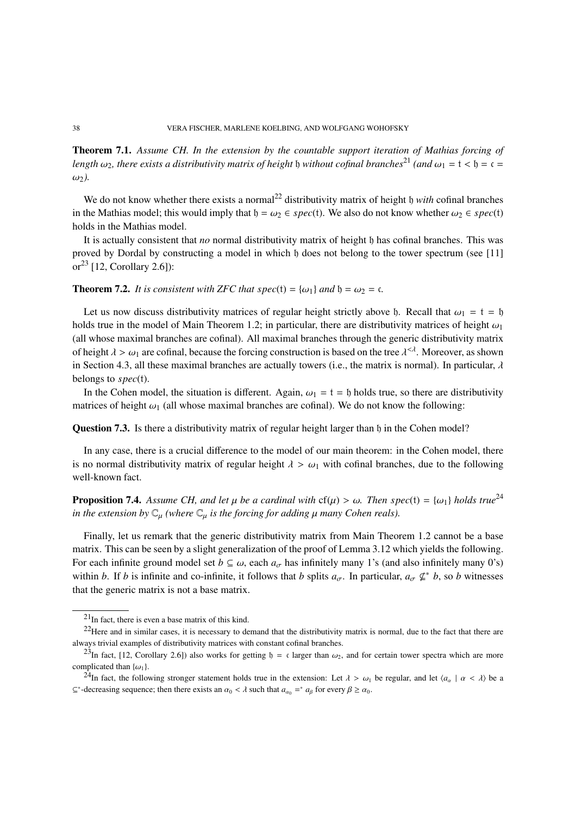Theorem 7.1. *Assume CH. In the extension by the countable support iteration of Mathias forcing of length*  $\omega_2$ , there exists a distributivity matrix of height b without cofinal branches<sup>21</sup> (and  $\omega_1 = t < b = c$ )  $\omega$ <sub>2</sub>).

We do not know whether there exists a normal<sup>22</sup> distributivity matrix of height h *with* cofinal branches in the Mathias model; this would imply that  $\mathfrak{h} = \omega_2 \in spec(\mathfrak{t})$ . We also do not know whether  $\omega_2 \in spec(\mathfrak{t})$ holds in the Mathias model.

It is actually consistent that *no* normal distributivity matrix of height h has cofinal branches. This was proved by Dordal by constructing a model in which h does not belong to the tower spectrum (see [11] or<sup>23</sup> [12, Corollary 2.6]):

# **Theorem 7.2.** *It is consistent with ZFC that spec*(t) =  $\{\omega_1\}$  *and*  $\mathfrak{h} = \omega_2 = \mathfrak{c}$ *.*

Let us now discuss distributivity matrices of regular height strictly above h. Recall that  $\omega_1 = t = h$ holds true in the model of Main Theorem 1.2; in particular, there are distributivity matrices of height  $\omega_1$ (all whose maximal branches are cofinal). All maximal branches through the generic distributivity matrix of height  $\lambda > \omega_1$  are cofinal, because the forcing construction is based on the tree  $\lambda^{<\lambda}$ . Moreover, as shown in Section 4.3, all these maximal branches are actually towers (i.e., the matrix is normal). In particular,  $\lambda$ belongs to *spec*(t).

In the Cohen model, the situation is different. Again,  $\omega_1 = t = \mathfrak{h}$  holds true, so there are distributivity matrices of height  $\omega_1$  (all whose maximal branches are cofinal). We do not know the following:

Question 7.3. Is there a distributivity matrix of regular height larger than  $\mathfrak h$  in the Cohen model?

In any case, there is a crucial difference to the model of our main theorem: in the Cohen model, there is no normal distributivity matrix of regular height  $\lambda > \omega_1$  with cofinal branches, due to the following well-known fact.

**Proposition 7.4.** Assume CH, and let  $\mu$  be a cardinal with cf( $\mu$ ) >  $\omega$ . Then spec(t) = { $\omega_1$ } holds true<sup>24</sup> *in the extension by*  $\mathbb{C}_u$  *(where*  $\mathbb{C}_u$  *is the forcing for adding*  $\mu$  *many Cohen reals).* 

Finally, let us remark that the generic distributivity matrix from Main Theorem 1.2 cannot be a base matrix. This can be seen by a slight generalization of the proof of Lemma 3.12 which yields the following. For each infinite ground model set  $b \subseteq \omega$ , each  $a_{\sigma}$  has infinitely many 1's (and also infinitely many 0's) within *b*. If *b* is infinite and co-infinite, it follows that *b* splits  $a_{\sigma}$ . In particular,  $a_{\sigma} \not\subseteq b$ , so *b* witnesses that the generic matrix is not a base matrix.

 $21$ In fact, there is even a base matrix of this kind.

 $^{22}$ Here and in similar cases, it is necessary to demand that the distributivity matrix is normal, due to the fact that there are always trivial examples of distributivity matrices with constant cofinal branches.

<sup>&</sup>lt;sup>23</sup>In fact, [12, Corollary 2.6]) also works for getting  $\mathfrak{h} = c$  larger than  $\omega_2$ , and for certain tower spectra which are more complicated than { $\omega_1$ }.<br><sup>24</sup>In fact, the following stronger statement holds true in the extension: Let  $\lambda > \omega_1$  be regular, and let  $\langle a_{\alpha} | \alpha < \lambda \rangle$  be a

 $\subseteq^*$ -decreasing sequence; then there exists an  $\alpha_0 < \lambda$  such that  $a_{\alpha_0} = a_{\beta}$  for every  $\beta \ge \alpha_0$ .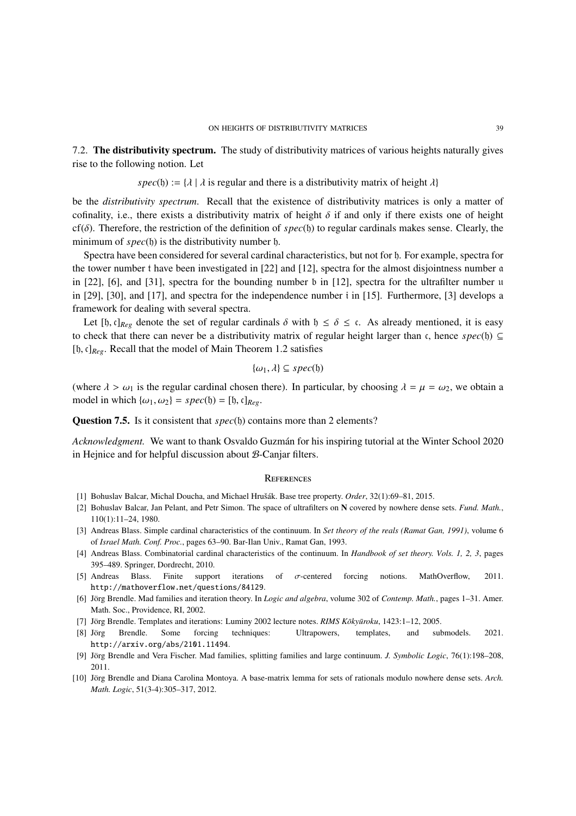7.2. The distributivity spectrum. The study of distributivity matrices of various heights naturally gives rise to the following notion. Let

 $spec(\mathfrak{h}) := \{ \lambda \mid \lambda \text{ is regular and there is a distributivity matrix of height } \lambda \}$ 

be the *distributivity spectrum*. Recall that the existence of distributivity matrices is only a matter of cofinality, i.e., there exists a distributivity matrix of height  $\delta$  if and only if there exists one of height  $cf(\delta)$ . Therefore, the restriction of the definition of *spec*(f) to regular cardinals makes sense. Clearly, the minimum of  $spec(\mathfrak{h})$  is the distributivity number  $\mathfrak{h}$ .

Spectra have been considered for several cardinal characteristics, but not for h. For example, spectra for the tower number t have been investigated in [22] and [12], spectra for the almost disjointness number a in [22], [6], and [31], spectra for the bounding number b in [12], spectra for the ultrafilter number u in [29], [30], and [17], and spectra for the independence number i in [15]. Furthermore, [3] develops a framework for dealing with several spectra.

Let [b, c]<sub>Reg</sub> denote the set of regular cardinals  $\delta$  with  $\delta \leq \delta \leq \epsilon$ . As already mentioned, it is easy to check that there can never be a distributivity matrix of regular height larger than c, hence  $spec(\mathfrak{h}) \subseteq$ [ $\mathfrak{h}, \mathfrak{c}$ ]<sub>*Reg*</sub>. Recall that the model of Main Theorem 1.2 satisfies

$$
\{\omega_1,\lambda\}\subseteq spec(\mathfrak{h})
$$

(where  $\lambda > \omega_1$  is the regular cardinal chosen there). In particular, by choosing  $\lambda = \mu = \omega_2$ , we obtain a model in which  $\{\omega_1, \omega_2\} = spec(\mathfrak{h}) = [\mathfrak{h}, \mathfrak{c}]_{\text{Re}g}$ .

Question 7.5. Is it consistent that *spec*(h) contains more than 2 elements?

*Acknowledgment.* We want to thank Osvaldo Guzman for his inspiring tutorial at the Winter School 2020 ´ in Hejnice and for helpful discussion about B-Canjar filters.

#### **REFERENCES**

- [1] Bohuslav Balcar, Michal Doucha, and Michael Hrušák. Base tree property. Order, 32(1):69–81, 2015.
- [2] Bohuslav Balcar, Jan Pelant, and Petr Simon. The space of ultrafilters on N covered by nowhere dense sets. *Fund. Math.*, 110(1):11–24, 1980.
- [3] Andreas Blass. Simple cardinal characteristics of the continuum. In *Set theory of the reals (Ramat Gan, 1991)*, volume 6 of *Israel Math. Conf. Proc.*, pages 63–90. Bar-Ilan Univ., Ramat Gan, 1993.
- [4] Andreas Blass. Combinatorial cardinal characteristics of the continuum. In *Handbook of set theory. Vols. 1, 2, 3*, pages 395–489. Springer, Dordrecht, 2010.
- [5] Andreas Blass. Finite support iterations of  $\sigma$ -centered forcing notions. MathOverflow, 2011. http://mathoverflow.net/questions/84129.
- [6] Jörg Brendle. Mad families and iteration theory. In *Logic and algebra*, volume 302 of *Contemp. Math.*, pages 1–31. Amer. Math. Soc., Providence, RI, 2002.
- [7] Jörg Brendle. Templates and iterations: Luminy 2002 lecture notes. *RIMS Kōkyūroku*, 1423:1–12, 2005.
- [8] Jörg Brendle. Some forcing techniques: Ultrapowers, templates, and submodels. 2021. http://arxiv.org/abs/2101.11494.
- [9] Jörg Brendle and Vera Fischer. Mad families, splitting families and large continuum. *J. Symbolic Logic*, 76(1):198–208, 2011.
- [10] Jörg Brendle and Diana Carolina Montoya. A base-matrix lemma for sets of rationals modulo nowhere dense sets. Arch. *Math. Logic*, 51(3-4):305–317, 2012.